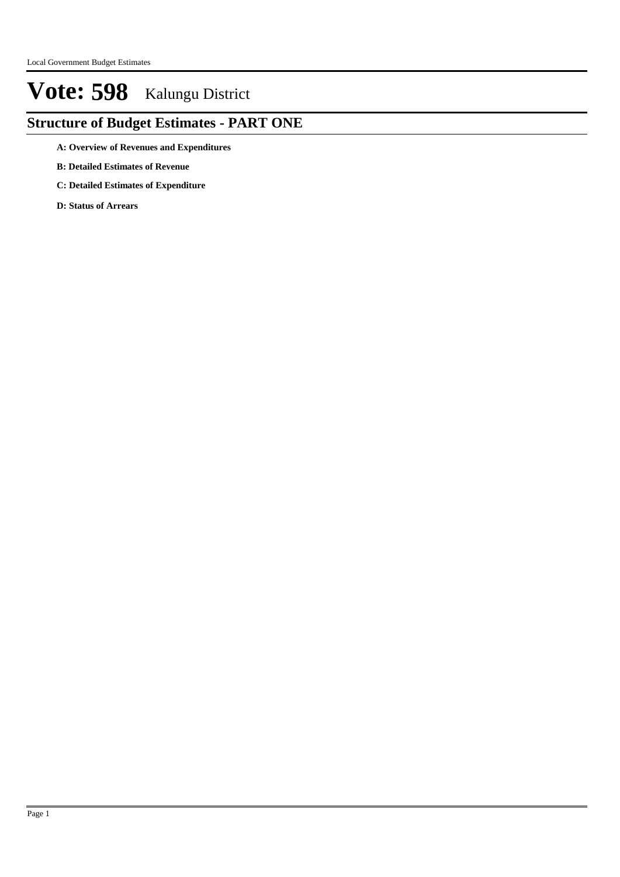### **Structure of Budget Estimates - PART ONE**

- **A: Overview of Revenues and Expenditures**
- **B: Detailed Estimates of Revenue**
- **C: Detailed Estimates of Expenditure**
- **D: Status of Arrears**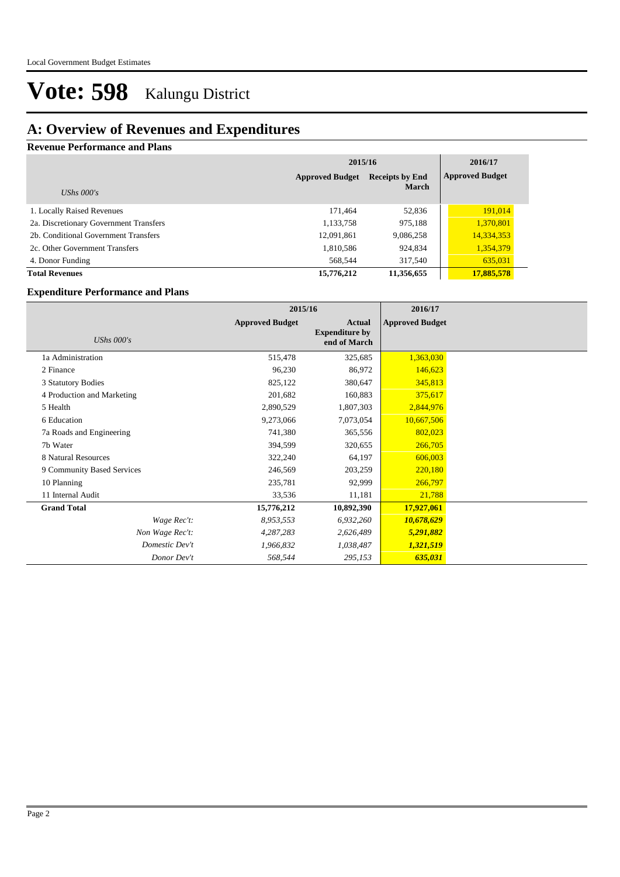### **A: Overview of Revenues and Expenditures**

#### **Revenue Performance and Plans**

|                                        | 2015/16                | 2016/17                |                        |
|----------------------------------------|------------------------|------------------------|------------------------|
|                                        | <b>Approved Budget</b> | <b>Receipts by End</b> | <b>Approved Budget</b> |
| UShs $000's$                           |                        | <b>March</b>           |                        |
| 1. Locally Raised Revenues             | 171,464                | 52,836                 | 191,014                |
| 2a. Discretionary Government Transfers | 1,133,758              | 975,188                | 1,370,801              |
| 2b. Conditional Government Transfers   | 12,091,861             | 9,086,258              | 14,334,353             |
| 2c. Other Government Transfers         | 1,810,586              | 924,834                | 1,354,379              |
| 4. Donor Funding                       | 568,544                | 317,540                | 635,031                |
| <b>Total Revenues</b>                  | 15,776,212             | 11,356,655             | 17,885,578             |

#### **Expenditure Performance and Plans**

|                            | 2015/16                |                                                        | 2016/17                |  |
|----------------------------|------------------------|--------------------------------------------------------|------------------------|--|
| <b>UShs 000's</b>          | <b>Approved Budget</b> | <b>Actual</b><br><b>Expenditure by</b><br>end of March | <b>Approved Budget</b> |  |
| 1a Administration          | 515,478                | 325,685                                                | 1,363,030              |  |
| 2 Finance                  | 96,230                 | 86,972                                                 | 146,623                |  |
| 3 Statutory Bodies         | 825,122                | 380,647                                                | 345,813                |  |
| 4 Production and Marketing | 201,682                | 160,883                                                | 375,617                |  |
| 5 Health                   | 2,890,529              | 1,807,303                                              | 2,844,976              |  |
| 6 Education                | 9,273,066              | 7,073,054                                              | 10,667,506             |  |
| 7a Roads and Engineering   | 741,380                | 365,556                                                | 802,023                |  |
| 7b Water                   | 394,599                | 320,655                                                | 266,705                |  |
| 8 Natural Resources        | 322,240                | 64,197                                                 | 606,003                |  |
| 9 Community Based Services | 246,569                | 203,259                                                | 220,180                |  |
| 10 Planning                | 235,781                | 92,999                                                 | 266,797                |  |
| 11 Internal Audit          | 33,536                 | 11,181                                                 | 21,788                 |  |
| <b>Grand Total</b>         | 15,776,212             | 10,892,390                                             | 17,927,061             |  |
| Wage Rec't:                | 8,953,553              | 6,932,260                                              | 10,678,629             |  |
| Non Wage Rec't:            | 4,287,283              | 2,626,489                                              | 5,291,882              |  |
| Domestic Dev't             | 1,966,832              | 1,038,487                                              | 1,321,519              |  |
| Donor Dev't                | 568,544                | 295,153                                                | 635,031                |  |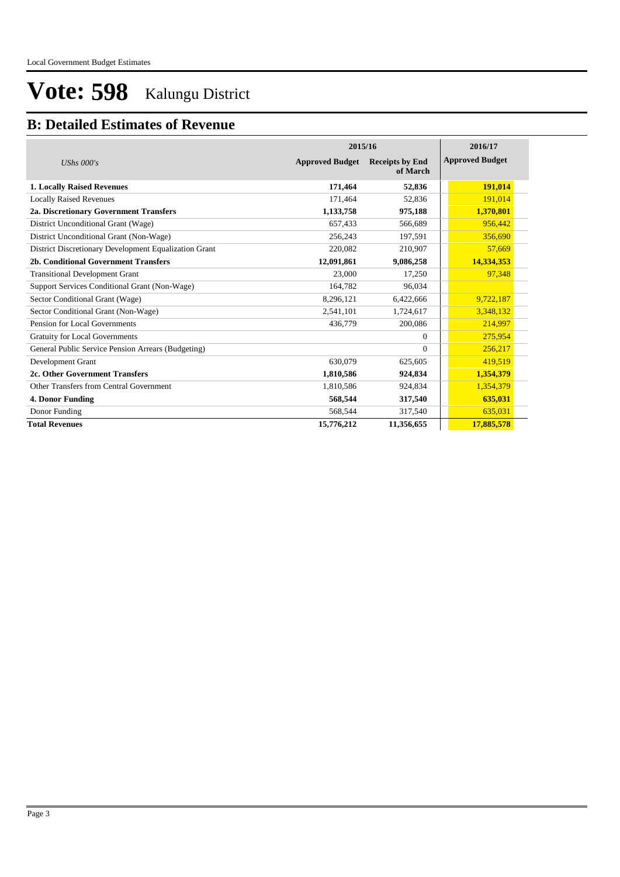### **B: Detailed Estimates of Revenue**

|                                                       | 2015/16                | 2016/17                            |                        |
|-------------------------------------------------------|------------------------|------------------------------------|------------------------|
| UShs $000's$                                          | <b>Approved Budget</b> | <b>Receipts by End</b><br>of March | <b>Approved Budget</b> |
| <b>1. Locally Raised Revenues</b>                     | 171,464                | 52,836                             | 191,014                |
| <b>Locally Raised Revenues</b>                        | 171,464                | 52,836                             | 191,014                |
| 2a. Discretionary Government Transfers                | 1,133,758              | 975,188                            | 1,370,801              |
| District Unconditional Grant (Wage)                   | 657,433                | 566,689                            | 956,442                |
| District Unconditional Grant (Non-Wage)               | 256,243                | 197,591                            | 356,690                |
| District Discretionary Development Equalization Grant | 220,082                | 210,907                            | 57,669                 |
| 2b. Conditional Government Transfers                  | 12,091,861             | 9,086,258                          | 14,334,353             |
| <b>Transitional Development Grant</b>                 | 23,000                 | 17,250                             | 97,348                 |
| Support Services Conditional Grant (Non-Wage)         | 164,782                | 96,034                             |                        |
| Sector Conditional Grant (Wage)                       | 8,296,121              | 6,422,666                          | 9,722,187              |
| Sector Conditional Grant (Non-Wage)                   | 2,541,101              | 1,724,617                          | 3,348,132              |
| Pension for Local Governments                         | 436,779                | 200,086                            | 214,997                |
| <b>Gratuity for Local Governments</b>                 |                        | $\Omega$                           | 275,954                |
| General Public Service Pension Arrears (Budgeting)    |                        | $\Omega$                           | 256,217                |
| Development Grant                                     | 630.079                | 625,605                            | 419,519                |
| 2c. Other Government Transfers                        | 1,810,586              | 924,834                            | 1,354,379              |
| Other Transfers from Central Government               | 1,810,586              | 924,834                            | 1,354,379              |
| 4. Donor Funding                                      | 568,544                | 317,540                            | 635,031                |
| Donor Funding                                         | 568,544                | 317,540                            | 635,031                |
| <b>Total Revenues</b>                                 | 15,776,212             | 11,356,655                         | 17,885,578             |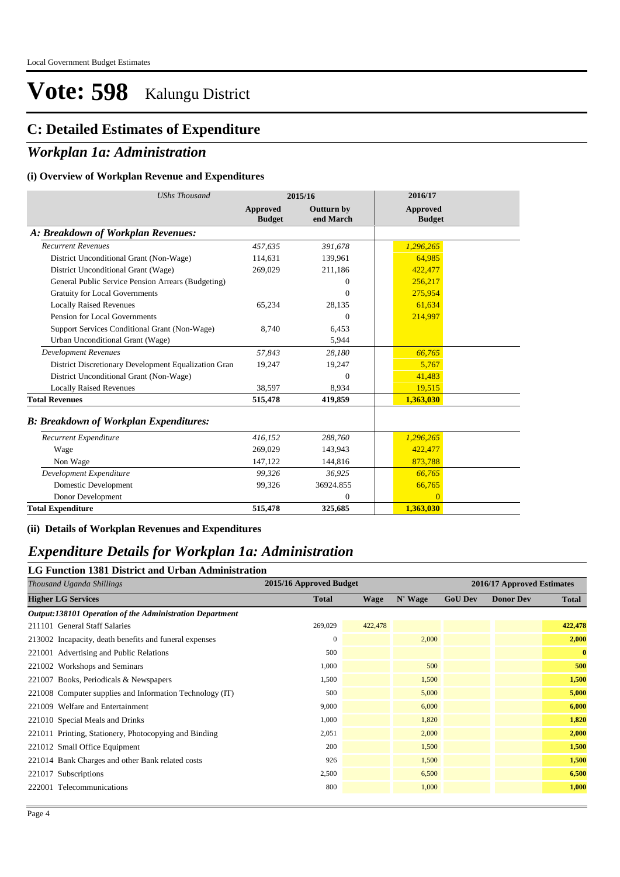### **C: Detailed Estimates of Expenditure**

### *Workplan 1a: Administration*

#### **(i) Overview of Workplan Revenue and Expenditures**

| <b>UShs Thousand</b>                                 |                           | 2015/16                        | 2016/17                   |  |
|------------------------------------------------------|---------------------------|--------------------------------|---------------------------|--|
|                                                      | Approved<br><b>Budget</b> | <b>Outturn by</b><br>end March | Approved<br><b>Budget</b> |  |
| A: Breakdown of Workplan Revenues:                   |                           |                                |                           |  |
| <b>Recurrent Revenues</b>                            | 457,635                   | 391,678                        | 1,296,265                 |  |
| District Unconditional Grant (Non-Wage)              | 114,631                   | 139,961                        | 64.985                    |  |
| District Unconditional Grant (Wage)                  | 269,029                   | 211,186                        | 422,477                   |  |
| General Public Service Pension Arrears (Budgeting)   |                           | $\Omega$                       | 256,217                   |  |
| <b>Gratuity for Local Governments</b>                |                           | $\theta$                       | 275,954                   |  |
| <b>Locally Raised Revenues</b>                       | 65,234                    | 28,135                         | 61,634                    |  |
| Pension for Local Governments                        |                           | $\Omega$                       | 214.997                   |  |
| Support Services Conditional Grant (Non-Wage)        | 8,740                     | 6,453                          |                           |  |
| Urban Unconditional Grant (Wage)                     |                           | 5,944                          |                           |  |
| <b>Development Revenues</b>                          | 57,843                    | 28,180                         | 66,765                    |  |
| District Discretionary Development Equalization Gran | 19,247                    | 19,247                         | 5,767                     |  |
| District Unconditional Grant (Non-Wage)              |                           | $\Omega$                       | 41,483                    |  |
| <b>Locally Raised Revenues</b>                       | 38.597                    | 8.934                          | 19,515                    |  |
| <b>Total Revenues</b>                                | 515,478                   | 419,859                        | 1,363,030                 |  |
| <b>B: Breakdown of Workplan Expenditures:</b>        |                           |                                |                           |  |
| Recurrent Expenditure                                | 416,152                   | 288,760                        | 1,296,265                 |  |
| Wage                                                 | 269,029                   | 143,943                        | 422,477                   |  |
| Non Wage                                             | 147,122                   | 144,816                        | 873,788                   |  |
| Development Expenditure                              | 99,326                    | 36,925                         | 66,765                    |  |
| Domestic Development                                 | 99.326                    | 36924.855                      | 66,765                    |  |
| Donor Development                                    |                           | $\Omega$                       | $\Omega$                  |  |
| <b>Total Expenditure</b>                             | 515,478                   | 325,685                        | 1,363,030                 |  |

**(ii) Details of Workplan Revenues and Expenditures**

### *Expenditure Details for Workplan 1a: Administration*

#### **LG Function 1381 District and Urban Administration**

| 2015/16 Approved Budget |         |         |                | 2016/17 Approved Estimates |              |
|-------------------------|---------|---------|----------------|----------------------------|--------------|
| <b>Total</b>            | Wage    | N' Wage | <b>GoU Dev</b> | <b>Donor Dev</b>           | <b>Total</b> |
|                         |         |         |                |                            |              |
| 269,029                 | 422,478 |         |                |                            | 422,478      |
| $\mathbf{0}$            |         | 2,000   |                |                            | 2,000        |
| 500                     |         |         |                |                            | $\bf{0}$     |
| 1,000                   |         | 500     |                |                            | 500          |
| 1,500                   |         | 1,500   |                |                            | 1,500        |
| 500                     |         | 5,000   |                |                            | 5,000        |
| 9,000                   |         | 6,000   |                |                            | 6,000        |
| 1,000                   |         | 1,820   |                |                            | 1,820        |
| 2,051                   |         | 2,000   |                |                            | 2,000        |
| 200                     |         | 1,500   |                |                            | 1,500        |
| 926                     |         | 1,500   |                |                            | 1,500        |
| 2,500                   |         | 6,500   |                |                            | 6,500        |
| 800                     |         | 1,000   |                |                            | 1,000        |
|                         |         |         |                |                            |              |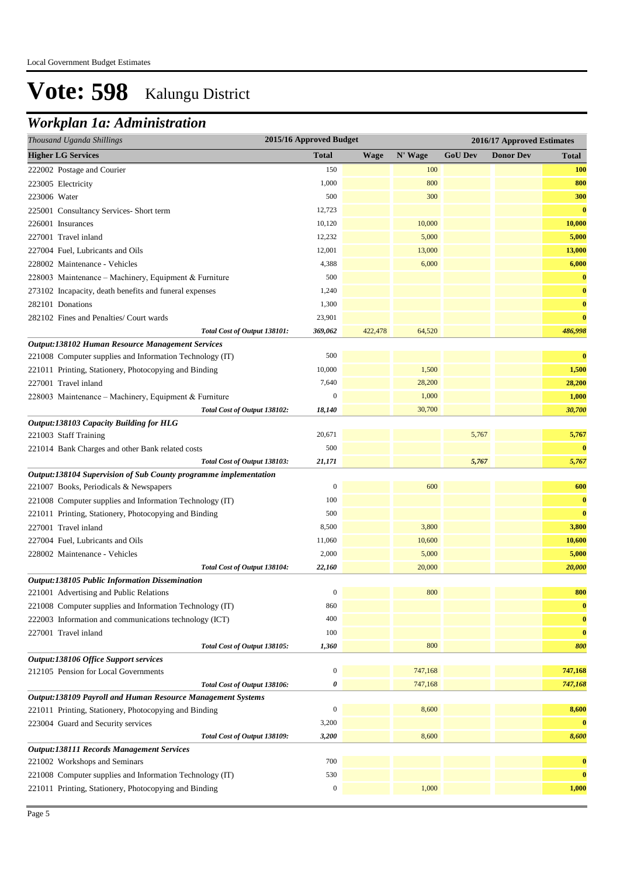### *Workplan 1a: Administration*

| 2015/16 Approved Budget<br>Thousand Uganda Shillings                          |                  |             |         | 2016/17 Approved Estimates |                  |              |  |
|-------------------------------------------------------------------------------|------------------|-------------|---------|----------------------------|------------------|--------------|--|
| <b>Higher LG Services</b>                                                     | <b>Total</b>     | <b>Wage</b> | N' Wage | <b>GoU Dev</b>             | <b>Donor Dev</b> | <b>Total</b> |  |
| 222002 Postage and Courier                                                    | 150              |             | 100     |                            |                  | <b>100</b>   |  |
| 223005 Electricity                                                            | 1,000            |             | 800     |                            |                  | 800          |  |
| 223006 Water                                                                  | 500              |             | 300     |                            |                  | 300          |  |
| 225001 Consultancy Services-Short term                                        | 12,723           |             |         |                            |                  | $\bf{0}$     |  |
| 226001 Insurances                                                             | 10,120           |             | 10,000  |                            |                  | 10,000       |  |
| 227001 Travel inland                                                          | 12,232           |             | 5,000   |                            |                  | 5,000        |  |
| 227004 Fuel, Lubricants and Oils                                              | 12,001           |             | 13,000  |                            |                  | 13,000       |  |
| 228002 Maintenance - Vehicles                                                 | 4,388            |             | 6,000   |                            |                  | 6,000        |  |
| 228003 Maintenance - Machinery, Equipment & Furniture                         | 500              |             |         |                            |                  | $\bf{0}$     |  |
| 273102 Incapacity, death benefits and funeral expenses                        | 1,240            |             |         |                            |                  | $\bf{0}$     |  |
| 282101 Donations                                                              | 1,300            |             |         |                            |                  | $\bf{0}$     |  |
| 282102 Fines and Penalties/ Court wards                                       | 23,901           |             |         |                            |                  | $\bf{0}$     |  |
| Total Cost of Output 138101:                                                  | 369,062          | 422,478     | 64,520  |                            |                  | 486,998      |  |
| Output:138102 Human Resource Management Services                              |                  |             |         |                            |                  |              |  |
| 221008 Computer supplies and Information Technology (IT)                      | 500              |             |         |                            |                  | $\bf{0}$     |  |
| 221011 Printing, Stationery, Photocopying and Binding                         | 10,000           |             | 1,500   |                            |                  | 1,500        |  |
| 227001 Travel inland                                                          | 7,640            |             | 28,200  |                            |                  | 28,200       |  |
| 228003 Maintenance - Machinery, Equipment & Furniture                         | $\mathbf{0}$     |             | 1,000   |                            |                  | 1,000        |  |
| Total Cost of Output 138102:                                                  | 18,140           |             | 30,700  |                            |                  | 30,700       |  |
| Output:138103 Capacity Building for HLG                                       |                  |             |         |                            |                  |              |  |
| 221003 Staff Training                                                         | 20,671           |             |         | 5,767                      |                  | 5,767        |  |
| 221014 Bank Charges and other Bank related costs                              | 500              |             |         |                            |                  | $\bf{0}$     |  |
| Total Cost of Output 138103:                                                  | 21,171           |             |         | 5,767                      |                  | 5,767        |  |
| Output:138104 Supervision of Sub County programme implementation              |                  |             |         |                            |                  |              |  |
| 221007 Books, Periodicals & Newspapers                                        | $\boldsymbol{0}$ |             | 600     |                            |                  | 600          |  |
| 221008 Computer supplies and Information Technology (IT)                      | 100              |             |         |                            |                  | $\bf{0}$     |  |
| 221011 Printing, Stationery, Photocopying and Binding                         | 500              |             |         |                            |                  | $\bf{0}$     |  |
| 227001 Travel inland                                                          | 8,500            |             | 3,800   |                            |                  | 3,800        |  |
| 227004 Fuel, Lubricants and Oils                                              | 11,060           |             | 10,600  |                            |                  | 10,600       |  |
| 228002 Maintenance - Vehicles                                                 | 2,000            |             | 5,000   |                            |                  | 5,000        |  |
| Total Cost of Output 138104:                                                  | 22,160           |             | 20,000  |                            |                  | 20,000       |  |
| Output:138105 Public Information Dissemination                                |                  |             |         |                            |                  |              |  |
| 221001 Advertising and Public Relations                                       | $\boldsymbol{0}$ |             | 800     |                            |                  | 800          |  |
| 221008 Computer supplies and Information Technology (IT)                      | 860              |             |         |                            |                  | $\bf{0}$     |  |
| 222003 Information and communications technology (ICT)                        | 400              |             |         |                            |                  | $\bf{0}$     |  |
| 227001 Travel inland                                                          | 100              |             |         |                            |                  | $\bf{0}$     |  |
| Total Cost of Output 138105:                                                  | 1,360            |             | 800     |                            |                  | 800          |  |
| Output:138106 Office Support services<br>212105 Pension for Local Governments | $\boldsymbol{0}$ |             | 747,168 |                            |                  | 747,168      |  |
| Total Cost of Output 138106:                                                  | 0                |             | 747,168 |                            |                  | 747,168      |  |
| Output:138109 Payroll and Human Resource Management Systems                   |                  |             |         |                            |                  |              |  |
| 221011 Printing, Stationery, Photocopying and Binding                         | $\mathbf{0}$     |             | 8,600   |                            |                  | 8,600        |  |
| 223004 Guard and Security services                                            | 3,200            |             |         |                            |                  | $\bf{0}$     |  |
| Total Cost of Output 138109:                                                  | 3,200            |             | 8,600   |                            |                  | 8,600        |  |
| <b>Output:138111 Records Management Services</b>                              |                  |             |         |                            |                  |              |  |
| 221002 Workshops and Seminars                                                 | 700              |             |         |                            |                  | $\bf{0}$     |  |
| 221008 Computer supplies and Information Technology (IT)                      | 530              |             |         |                            |                  | $\bf{0}$     |  |
| 221011 Printing, Stationery, Photocopying and Binding                         | $\boldsymbol{0}$ |             | 1,000   |                            |                  | 1,000        |  |
|                                                                               |                  |             |         |                            |                  |              |  |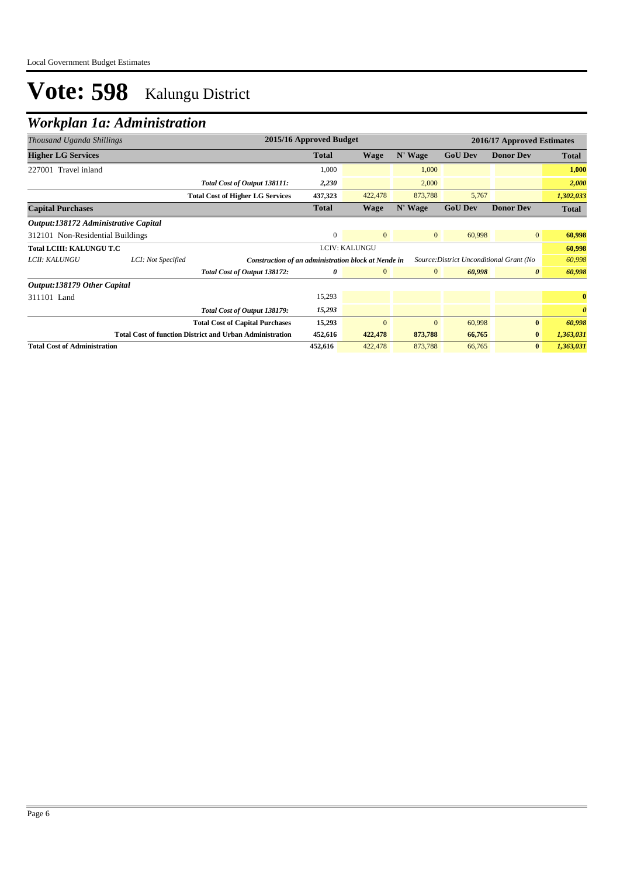### *Workplan 1a: Administration*

| Thousand Uganda Shillings            |                    | 2015/16 Approved Budget<br>2016/17 Approved Estimates                                           |              |                |              |                |                       |                       |
|--------------------------------------|--------------------|-------------------------------------------------------------------------------------------------|--------------|----------------|--------------|----------------|-----------------------|-----------------------|
| <b>Higher LG Services</b>            |                    |                                                                                                 | <b>Total</b> | Wage           | N' Wage      | <b>GoU Dev</b> | <b>Donor Dev</b>      | Total                 |
| 227001 Travel inland                 |                    |                                                                                                 | 1,000        |                | 1,000        |                |                       | 1,000                 |
|                                      |                    | Total Cost of Output 138111:                                                                    | 2,230        |                | 2,000        |                |                       | 2,000                 |
|                                      |                    | <b>Total Cost of Higher LG Services</b>                                                         | 437,323      | 422,478        | 873,788      | 5,767          |                       | 1,302,033             |
| <b>Capital Purchases</b>             |                    |                                                                                                 | <b>Total</b> | Wage           | N' Wage      | <b>GoU Dev</b> | <b>Donor Dev</b>      | Total                 |
| Output:138172 Administrative Capital |                    |                                                                                                 |              |                |              |                |                       |                       |
| 312101 Non-Residential Buildings     |                    |                                                                                                 | $\mathbf{0}$ | $\mathbf{0}$   | $\mathbf{0}$ | 60,998         | $\mathbf{0}$          | 60,998                |
| <b>Total LCIII: KALUNGU T.C</b>      |                    | LCIV: KALUNGU                                                                                   |              |                |              | 60,998         |                       |                       |
| LCII: KALUNGU                        | LCI: Not Specified | Construction of an administration block at Nende in<br>Source: District Unconditional Grant (No |              |                |              | 60,998         |                       |                       |
|                                      |                    | Total Cost of Output 138172:                                                                    | 0            | $\mathbf{0}$   | $\mathbf{0}$ | 60,998         | $\boldsymbol{\theta}$ | 60,998                |
| Output:138179 Other Capital          |                    |                                                                                                 |              |                |              |                |                       |                       |
| 311101 Land                          |                    |                                                                                                 | 15,293       |                |              |                |                       | $\bf{0}$              |
|                                      |                    | Total Cost of Output 138179:                                                                    | 15,293       |                |              |                |                       | $\boldsymbol{\theta}$ |
|                                      |                    | <b>Total Cost of Capital Purchases</b>                                                          | 15,293       | $\overline{0}$ | $\mathbf{0}$ | 60,998         | $\bf{0}$              | 60,998                |
|                                      |                    | <b>Total Cost of function District and Urban Administration</b>                                 | 452,616      | 422,478        | 873,788      | 66,765         | $\bf{0}$              | 1,363,031             |
| <b>Total Cost of Administration</b>  |                    |                                                                                                 | 452,616      | 422,478        | 873,788      | 66,765         | $\mathbf{0}$          | 1,363,031             |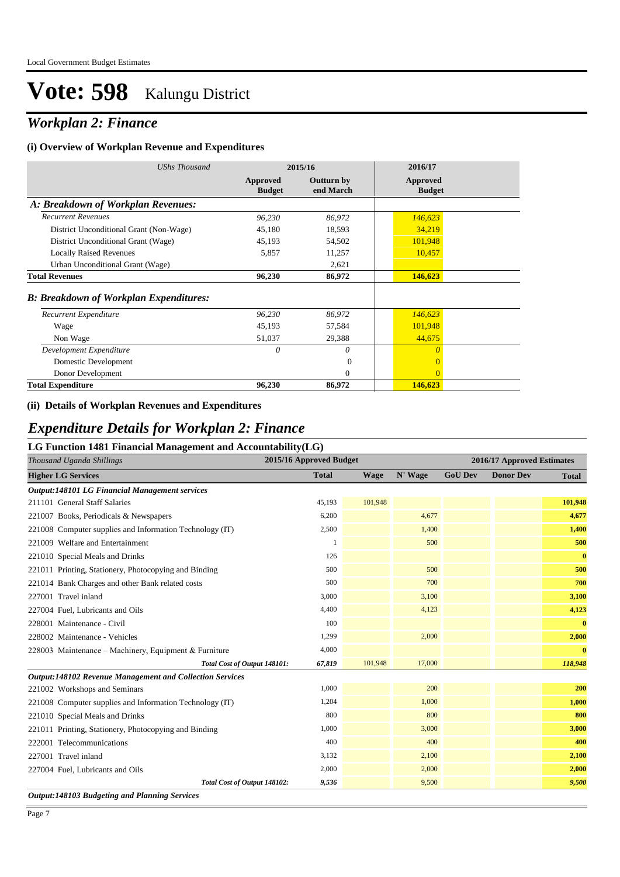### *Workplan 2: Finance*

#### **(i) Overview of Workplan Revenue and Expenditures**

| UShs Thousand                                 |                           | 2015/16                 | 2016/17                   |
|-----------------------------------------------|---------------------------|-------------------------|---------------------------|
|                                               | Approved<br><b>Budget</b> | Outturn by<br>end March | Approved<br><b>Budget</b> |
| A: Breakdown of Workplan Revenues:            |                           |                         |                           |
| <b>Recurrent Revenues</b>                     | 96,230                    | 86,972                  | 146,623                   |
| District Unconditional Grant (Non-Wage)       | 45,180                    | 18,593                  | 34,219                    |
| District Unconditional Grant (Wage)           | 45,193                    | 54,502                  | 101,948                   |
| <b>Locally Raised Revenues</b>                | 5,857                     | 11,257                  | 10,457                    |
| Urban Unconditional Grant (Wage)              |                           | 2,621                   |                           |
| <b>Total Revenues</b>                         | 96,230                    | 86,972                  | 146,623                   |
| <b>B: Breakdown of Workplan Expenditures:</b> |                           |                         |                           |
| Recurrent Expenditure                         | 96,230                    | 86,972                  | 146,623                   |
| Wage                                          | 45,193                    | 57,584                  | 101,948                   |
| Non Wage                                      | 51,037                    | 29,388                  | 44,675                    |
| Development Expenditure                       | 0                         | 0                       | $\theta$                  |
| Domestic Development                          |                           | $\Omega$                | $\Omega$                  |
| Donor Development                             |                           | $\Omega$                | $\Omega$                  |
| <b>Total Expenditure</b>                      | 96,230                    | 86,972                  | 146,623                   |

#### **(ii) Details of Workplan Revenues and Expenditures**

#### *Expenditure Details for Workplan 2: Finance*

#### **LG Function 1481 Financial Management and Accountability(LG)**

| 2015/16 Approved Budget<br>Thousand Uganda Shillings            |              |         |         |                | 2016/17 Approved Estimates |              |
|-----------------------------------------------------------------|--------------|---------|---------|----------------|----------------------------|--------------|
| <b>Higher LG Services</b>                                       | <b>Total</b> | Wage    | N' Wage | <b>GoU Dev</b> | <b>Donor Dev</b>           | <b>Total</b> |
| <b>Output:148101 LG Financial Management services</b>           |              |         |         |                |                            |              |
| 211101 General Staff Salaries                                   | 45,193       | 101,948 |         |                |                            | 101,948      |
| 221007 Books, Periodicals & Newspapers                          | 6,200        |         | 4,677   |                |                            | 4,677        |
| 221008 Computer supplies and Information Technology (IT)        | 2,500        |         | 1,400   |                |                            | 1,400        |
| 221009 Welfare and Entertainment                                |              |         | 500     |                |                            | 500          |
| 221010 Special Meals and Drinks                                 | 126          |         |         |                |                            | $\bf{0}$     |
| 221011 Printing, Stationery, Photocopying and Binding           | 500          |         | 500     |                |                            | 500          |
| 221014 Bank Charges and other Bank related costs                | 500          |         | 700     |                |                            | 700          |
| 227001 Travel inland                                            | 3,000        |         | 3,100   |                |                            | 3,100        |
| 227004 Fuel, Lubricants and Oils                                | 4,400        |         | 4,123   |                |                            | 4,123        |
| 228001 Maintenance - Civil                                      | 100          |         |         |                |                            | $\bf{0}$     |
| 228002 Maintenance - Vehicles                                   | 1,299        |         | 2,000   |                |                            | 2,000        |
| 228003 Maintenance – Machinery, Equipment & Furniture           | 4,000        |         |         |                |                            | $\bf{0}$     |
| Total Cost of Output 148101:                                    | 67,819       | 101,948 | 17,000  |                |                            | 118,948      |
| <b>Output:148102 Revenue Management and Collection Services</b> |              |         |         |                |                            |              |
| 221002 Workshops and Seminars                                   | 1.000        |         | 200     |                |                            | 200          |
| 221008 Computer supplies and Information Technology (IT)        | 1,204        |         | 1,000   |                |                            | 1,000        |
| 221010 Special Meals and Drinks                                 | 800          |         | 800     |                |                            | 800          |
| 221011 Printing, Stationery, Photocopying and Binding           | 1,000        |         | 3,000   |                |                            | 3,000        |
| 222001 Telecommunications                                       | 400          |         | 400     |                |                            | 400          |
| 227001 Travel inland                                            | 3,132        |         | 2,100   |                |                            | 2,100        |
| 227004 Fuel, Lubricants and Oils                                | 2,000        |         | 2,000   |                |                            | 2,000        |
| Total Cost of Output 148102:                                    | 9,536        |         | 9,500   |                |                            | 9,500        |

*Output:148103 Budgeting and Planning Services*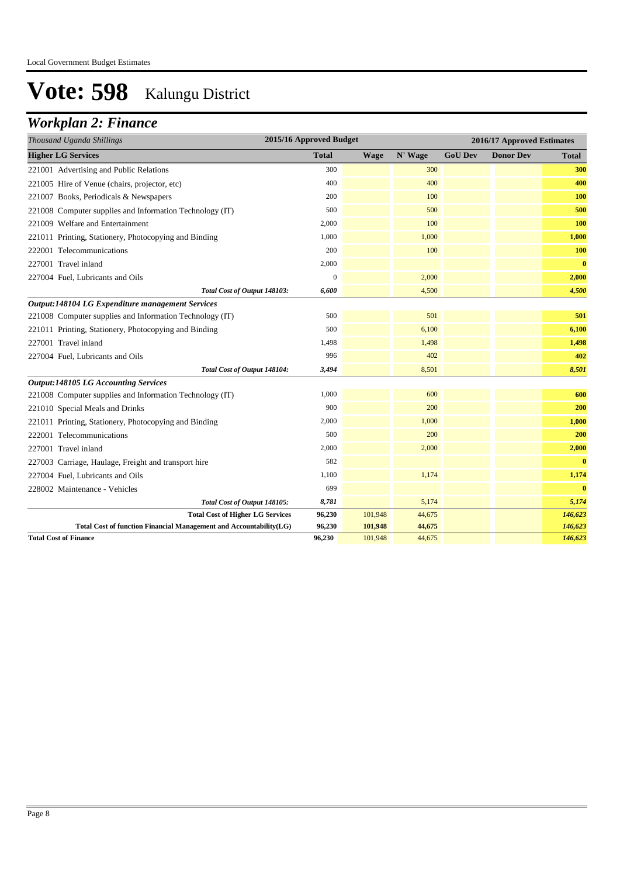### *Workplan 2: Finance*

| Thousand Uganda Shillings                                          | 2015/16 Approved Budget |             |         |                | 2016/17 Approved Estimates |              |
|--------------------------------------------------------------------|-------------------------|-------------|---------|----------------|----------------------------|--------------|
| <b>Higher LG Services</b>                                          | <b>Total</b>            | <b>Wage</b> | N' Wage | <b>GoU Dev</b> | <b>Donor Dev</b>           | <b>Total</b> |
| 221001 Advertising and Public Relations                            | 300                     |             | 300     |                |                            | 300          |
| 221005 Hire of Venue (chairs, projector, etc)                      | 400                     |             | 400     |                |                            | 400          |
| 221007 Books, Periodicals & Newspapers                             | 200                     |             | 100     |                |                            | 100          |
| 221008 Computer supplies and Information Technology (IT)           | 500                     |             | 500     |                |                            | 500          |
| 221009 Welfare and Entertainment                                   | 2,000                   |             | 100     |                |                            | 100          |
| 221011 Printing, Stationery, Photocopying and Binding              | 1,000                   |             | 1,000   |                |                            | 1,000        |
| 222001 Telecommunications                                          | 200                     |             | 100     |                |                            | 100          |
| 227001 Travel inland                                               | 2,000                   |             |         |                |                            | $\bf{0}$     |
| 227004 Fuel, Lubricants and Oils                                   | $\overline{0}$          |             | 2,000   |                |                            | 2,000        |
| Total Cost of Output 148103:                                       | 6,600                   |             | 4,500   |                |                            | 4,500        |
| Output:148104 LG Expenditure management Services                   |                         |             |         |                |                            |              |
| 221008 Computer supplies and Information Technology (IT)           | 500                     |             | 501     |                |                            | 501          |
| 221011 Printing, Stationery, Photocopying and Binding              | 500                     |             | 6,100   |                |                            | 6,100        |
| 227001 Travel inland                                               | 1,498                   |             | 1,498   |                |                            | 1,498        |
| 227004 Fuel, Lubricants and Oils                                   | 996                     |             | 402     |                |                            | 402          |
| Total Cost of Output 148104:                                       | 3,494                   |             | 8,501   |                |                            | 8,501        |
| <b>Output:148105 LG Accounting Services</b>                        |                         |             |         |                |                            |              |
| 221008 Computer supplies and Information Technology (IT)           | 1,000                   |             | 600     |                |                            | 600          |
| 221010 Special Meals and Drinks                                    | 900                     |             | 200     |                |                            | 200          |
| 221011 Printing, Stationery, Photocopying and Binding              | 2,000                   |             | 1,000   |                |                            | 1,000        |
| 222001 Telecommunications                                          | 500                     |             | 200     |                |                            | 200          |
| 227001 Travel inland                                               | 2,000                   |             | 2,000   |                |                            | 2,000        |
| 227003 Carriage, Haulage, Freight and transport hire               | 582                     |             |         |                |                            | $\bf{0}$     |
| 227004 Fuel, Lubricants and Oils                                   | 1,100                   |             | 1,174   |                |                            | 1,174        |
| 228002 Maintenance - Vehicles                                      | 699                     |             |         |                |                            | $\bf{0}$     |
| Total Cost of Output 148105:                                       | 8,781                   |             | 5,174   |                |                            | 5,174        |
| <b>Total Cost of Higher LG Services</b>                            | 96,230                  | 101,948     | 44,675  |                |                            | 146,623      |
| Total Cost of function Financial Management and Accountability(LG) | 96,230                  | 101,948     | 44,675  |                |                            | 146,623      |
| <b>Total Cost of Finance</b>                                       | 96,230                  | 101,948     | 44,675  |                |                            | 146,623      |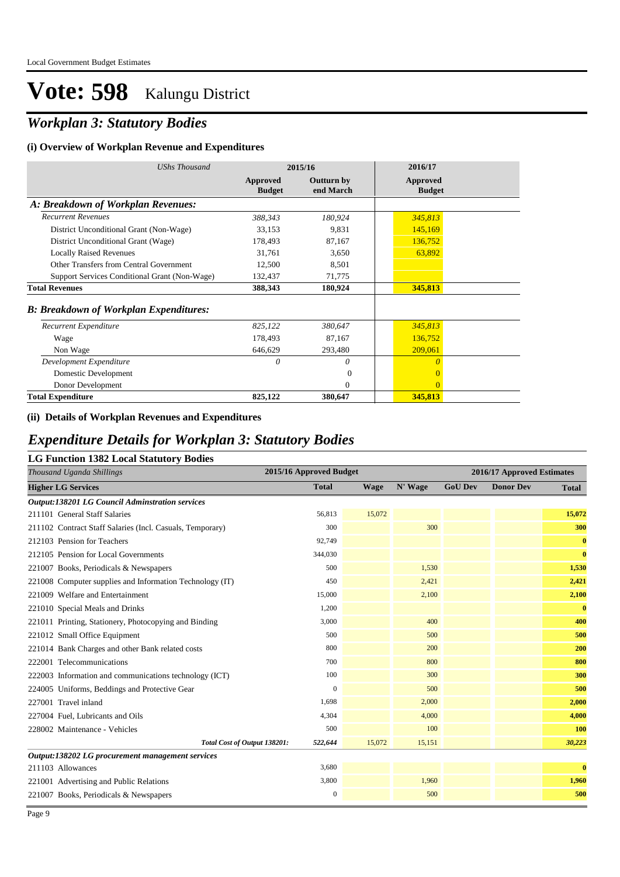### *Workplan 3: Statutory Bodies*

#### **(i) Overview of Workplan Revenue and Expenditures**

| UShs Thousand                                 |                           | 2015/16                 | 2016/17                   |
|-----------------------------------------------|---------------------------|-------------------------|---------------------------|
|                                               | Approved<br><b>Budget</b> | Outturn by<br>end March | Approved<br><b>Budget</b> |
| A: Breakdown of Workplan Revenues:            |                           |                         |                           |
| <b>Recurrent Revenues</b>                     | 388,343                   | 180,924                 | 345,813                   |
| District Unconditional Grant (Non-Wage)       | 33,153                    | 9,831                   | 145,169                   |
| District Unconditional Grant (Wage)           | 178,493                   | 87,167                  | 136,752                   |
| <b>Locally Raised Revenues</b>                | 31,761                    | 3,650                   | 63,892                    |
| Other Transfers from Central Government       | 12,500                    | 8,501                   |                           |
| Support Services Conditional Grant (Non-Wage) | 132,437                   | 71,775                  |                           |
| <b>Total Revenues</b>                         | 388,343                   | 180,924                 | 345,813                   |
| <b>B: Breakdown of Workplan Expenditures:</b> |                           |                         |                           |
| Recurrent Expenditure                         | 825,122                   | 380,647                 | 345,813                   |
| Wage                                          | 178,493                   | 87,167                  | 136,752                   |
| Non Wage                                      | 646,629                   | 293,480                 | 209,061                   |
| Development Expenditure                       | 0                         | 0                       | $\theta$                  |
| Domestic Development                          |                           | 0                       | $\Omega$                  |
| Donor Development                             |                           | $\theta$                | $\Omega$                  |
| <b>Total Expenditure</b>                      | 825,122                   | 380,647                 | 345,813                   |

#### **(ii) Details of Workplan Revenues and Expenditures**

### *Expenditure Details for Workplan 3: Statutory Bodies*

|  |  |  |  |  | <b>LG Function 1382 Local Statutory Bodies</b> |  |
|--|--|--|--|--|------------------------------------------------|--|
|--|--|--|--|--|------------------------------------------------|--|

| во I ансион 1902 восат эминот у <b>Б</b> оакв<br>Thousand Uganda Shillings | 2015/16 Approved Budget |             |         | 2016/17 Approved Estimates |                  |              |  |
|----------------------------------------------------------------------------|-------------------------|-------------|---------|----------------------------|------------------|--------------|--|
| <b>Higher LG Services</b>                                                  | <b>Total</b>            | <b>Wage</b> | N' Wage | <b>GoU Dev</b>             | <b>Donor Dev</b> | <b>Total</b> |  |
| <b>Output:138201 LG Council Adminstration services</b>                     |                         |             |         |                            |                  |              |  |
| 211101 General Staff Salaries                                              | 56,813                  | 15,072      |         |                            |                  | 15,072       |  |
| 211102 Contract Staff Salaries (Incl. Casuals, Temporary)                  | 300                     |             | 300     |                            |                  | 300          |  |
| 212103 Pension for Teachers                                                | 92,749                  |             |         |                            |                  | $\bf{0}$     |  |
| 212105 Pension for Local Governments                                       | 344,030                 |             |         |                            |                  | $\bf{0}$     |  |
| 221007 Books, Periodicals & Newspapers                                     | 500                     |             | 1,530   |                            |                  | 1,530        |  |
| 221008 Computer supplies and Information Technology (IT)                   | 450                     |             | 2,421   |                            |                  | 2,421        |  |
| 221009 Welfare and Entertainment                                           | 15,000                  |             | 2,100   |                            |                  | 2,100        |  |
| 221010 Special Meals and Drinks                                            | 1,200                   |             |         |                            |                  | $\bf{0}$     |  |
| 221011 Printing, Stationery, Photocopying and Binding                      | 3,000                   |             | 400     |                            |                  | 400          |  |
| 221012 Small Office Equipment                                              | 500                     |             | 500     |                            |                  | 500          |  |
| 221014 Bank Charges and other Bank related costs                           | 800                     |             | 200     |                            |                  | 200          |  |
| 222001 Telecommunications                                                  | 700                     |             | 800     |                            |                  | 800          |  |
| 222003 Information and communications technology (ICT)                     | 100                     |             | 300     |                            |                  | 300          |  |
| 224005 Uniforms, Beddings and Protective Gear                              | $\mathbf{0}$            |             | 500     |                            |                  | 500          |  |
| 227001 Travel inland                                                       | 1.698                   |             | 2,000   |                            |                  | 2,000        |  |
| 227004 Fuel, Lubricants and Oils                                           | 4,304                   |             | 4.000   |                            |                  | 4,000        |  |
| 228002 Maintenance - Vehicles                                              | 500                     |             | 100     |                            |                  | 100          |  |
| Total Cost of Output 138201:                                               | 522,644                 | 15,072      | 15,151  |                            |                  | 30,223       |  |
| Output:138202 LG procurement management services                           |                         |             |         |                            |                  |              |  |
| 211103 Allowances                                                          | 3,680                   |             |         |                            |                  | $\bf{0}$     |  |
| 221001 Advertising and Public Relations                                    | 3,800                   |             | 1,960   |                            |                  | 1,960        |  |
| 221007 Books, Periodicals & Newspapers                                     | $\boldsymbol{0}$        |             | 500     |                            |                  | 500          |  |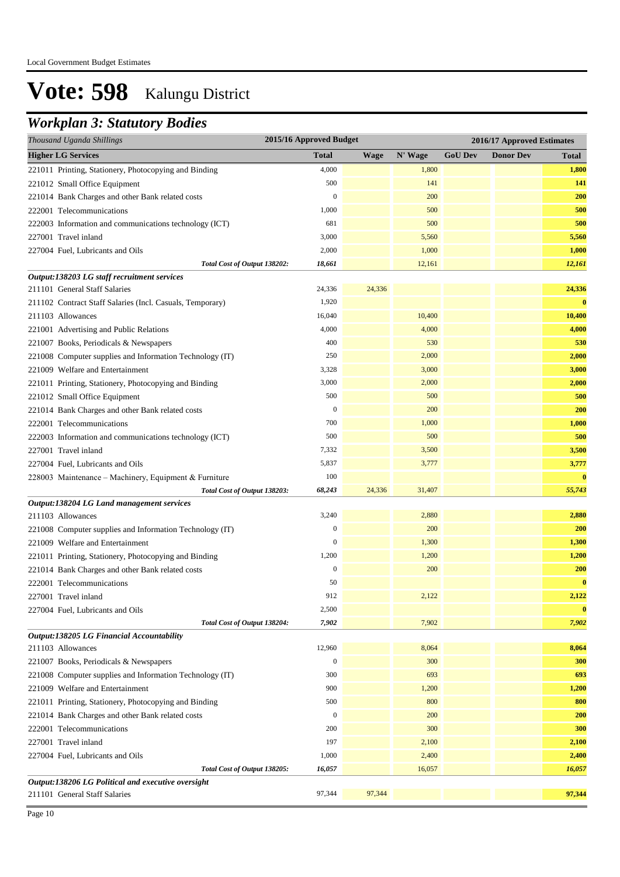### *Workplan 3: Statutory Bodies*

| Thousand Uganda Shillings                                 | 2015/16 Approved Budget |             |         | 2016/17 Approved Estimates |                  |              |  |
|-----------------------------------------------------------|-------------------------|-------------|---------|----------------------------|------------------|--------------|--|
| <b>Higher LG Services</b>                                 | <b>Total</b>            | <b>Wage</b> | N' Wage | <b>GoU Dev</b>             | <b>Donor Dev</b> | <b>Total</b> |  |
| 221011 Printing, Stationery, Photocopying and Binding     | 4,000                   |             | 1,800   |                            |                  | 1,800        |  |
| 221012 Small Office Equipment                             | 500                     |             | 141     |                            |                  | 141          |  |
| 221014 Bank Charges and other Bank related costs          | $\overline{0}$          |             | 200     |                            |                  | 200          |  |
| 222001 Telecommunications                                 | 1,000                   |             | 500     |                            |                  | 500          |  |
| 222003 Information and communications technology (ICT)    | 681                     |             | 500     |                            |                  | 500          |  |
| 227001 Travel inland                                      | 3,000                   |             | 5,560   |                            |                  | 5,560        |  |
| 227004 Fuel, Lubricants and Oils                          | 2,000                   |             | 1,000   |                            |                  | 1,000        |  |
| Total Cost of Output 138202:                              | 18,661                  |             | 12,161  |                            |                  | 12,161       |  |
| Output:138203 LG staff recruitment services               |                         |             |         |                            |                  |              |  |
| 211101 General Staff Salaries                             | 24,336                  | 24,336      |         |                            |                  | 24,336       |  |
| 211102 Contract Staff Salaries (Incl. Casuals, Temporary) | 1,920                   |             |         |                            |                  | $\bf{0}$     |  |
| 211103 Allowances                                         | 16,040                  |             | 10,400  |                            |                  | 10,400       |  |
| 221001 Advertising and Public Relations                   | 4,000                   |             | 4,000   |                            |                  | 4,000        |  |
| 221007 Books, Periodicals & Newspapers                    | 400                     |             | 530     |                            |                  | 530          |  |
| 221008 Computer supplies and Information Technology (IT)  | 250                     |             | 2,000   |                            |                  | 2,000        |  |
| 221009 Welfare and Entertainment                          | 3,328                   |             | 3,000   |                            |                  | 3,000        |  |
| 221011 Printing, Stationery, Photocopying and Binding     | 3,000                   |             | 2,000   |                            |                  | 2,000        |  |
| 221012 Small Office Equipment                             | 500                     |             | 500     |                            |                  | 500          |  |
| 221014 Bank Charges and other Bank related costs          | $\boldsymbol{0}$        |             | 200     |                            |                  | 200          |  |
| 222001 Telecommunications                                 | 700                     |             | 1,000   |                            |                  | 1,000        |  |
| 222003 Information and communications technology (ICT)    | 500                     |             | 500     |                            |                  | 500          |  |
| 227001 Travel inland                                      | 7,332                   |             | 3,500   |                            |                  | 3,500        |  |
| 227004 Fuel, Lubricants and Oils                          | 5,837                   |             | 3,777   |                            |                  | 3,777        |  |
| 228003 Maintenance - Machinery, Equipment & Furniture     | 100                     |             |         |                            |                  | $\bf{0}$     |  |
| Total Cost of Output 138203:                              | 68,243                  | 24,336      | 31,407  |                            |                  | 55,743       |  |
| Output:138204 LG Land management services                 |                         |             |         |                            |                  |              |  |
| 211103 Allowances                                         | 3,240                   |             | 2,880   |                            |                  | 2,880        |  |
| 221008 Computer supplies and Information Technology (IT)  | $\boldsymbol{0}$        |             | 200     |                            |                  | 200          |  |
| 221009 Welfare and Entertainment                          | $\boldsymbol{0}$        |             | 1,300   |                            |                  | 1,300        |  |
| 221011 Printing, Stationery, Photocopying and Binding     | 1,200                   |             | 1,200   |                            |                  | 1,200        |  |
| 221014 Bank Charges and other Bank related costs          | $\boldsymbol{0}$        |             | 200     |                            |                  | 200          |  |
| 222001 Telecommunications                                 | 50                      |             |         |                            |                  | $\bf{0}$     |  |
| 227001 Travel inland                                      | 912                     |             | 2,122   |                            |                  | 2.122        |  |
| 227004 Fuel, Lubricants and Oils                          | 2,500                   |             |         |                            |                  | $\bf{0}$     |  |
| Total Cost of Output 138204:                              | 7,902                   |             | 7,902   |                            |                  | 7,902        |  |
| Output:138205 LG Financial Accountability                 |                         |             |         |                            |                  |              |  |
| 211103 Allowances                                         | 12,960                  |             | 8,064   |                            |                  | 8,064        |  |
| 221007 Books, Periodicals & Newspapers                    | $\boldsymbol{0}$        |             | 300     |                            |                  | 300          |  |
| 221008 Computer supplies and Information Technology (IT)  | 300                     |             | 693     |                            |                  | 693          |  |
| 221009 Welfare and Entertainment                          | 900                     |             | 1,200   |                            |                  | 1,200        |  |
| 221011 Printing, Stationery, Photocopying and Binding     | 500                     |             | 800     |                            |                  | 800          |  |
| 221014 Bank Charges and other Bank related costs          | $\boldsymbol{0}$        |             | 200     |                            |                  | 200          |  |
| 222001 Telecommunications                                 | 200                     |             | 300     |                            |                  | 300          |  |
| 227001 Travel inland                                      | 197                     |             | 2,100   |                            |                  | 2,100        |  |
| 227004 Fuel, Lubricants and Oils                          | 1,000                   |             | 2,400   |                            |                  | 2,400        |  |
| Total Cost of Output 138205:                              | 16,057                  |             | 16,057  |                            |                  | 16,057       |  |
| Output:138206 LG Political and executive oversight        |                         |             |         |                            |                  |              |  |
| 211101 General Staff Salaries                             | 97,344                  | 97,344      |         |                            |                  | 97,344       |  |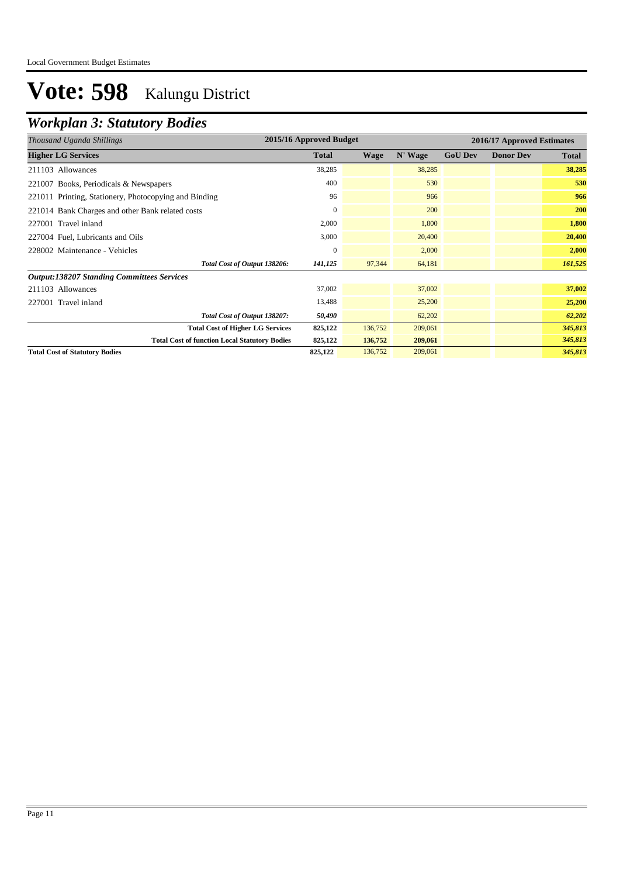### *Workplan 3: Statutory Bodies*

| Thousand Uganda Shillings                             | 2015/16 Approved Budget |         |         | 2016/17 Approved Estimates |                  |              |
|-------------------------------------------------------|-------------------------|---------|---------|----------------------------|------------------|--------------|
| <b>Higher LG Services</b>                             | <b>Total</b>            | Wage    | N' Wage | <b>GoU Dev</b>             | <b>Donor Dev</b> | <b>Total</b> |
| 211103 Allowances                                     | 38,285                  |         | 38,285  |                            |                  | 38,285       |
| 221007 Books, Periodicals & Newspapers                | 400                     |         | 530     |                            |                  | 530          |
| 221011 Printing, Stationery, Photocopying and Binding | 96                      |         | 966     |                            |                  | 966          |
| 221014 Bank Charges and other Bank related costs      | $\mathbf{0}$            |         | 200     |                            |                  | 200          |
| 227001 Travel inland                                  | 2,000                   |         | 1,800   |                            |                  | 1,800        |
| 227004 Fuel, Lubricants and Oils                      | 3,000                   |         | 20,400  |                            |                  | 20,400       |
| 228002 Maintenance - Vehicles                         | $\mathbf{0}$            |         | 2,000   |                            |                  | 2,000        |
| Total Cost of Output 138206:                          | 141,125                 | 97,344  | 64,181  |                            |                  | 161,525      |
| <b>Output:138207 Standing Committees Services</b>     |                         |         |         |                            |                  |              |
| 211103 Allowances                                     | 37,002                  |         | 37,002  |                            |                  | 37,002       |
| 227001 Travel inland                                  | 13,488                  |         | 25,200  |                            |                  | 25,200       |
| Total Cost of Output 138207:                          | 50,490                  |         | 62,202  |                            |                  | 62,202       |
| <b>Total Cost of Higher LG Services</b>               | 825,122                 | 136,752 | 209,061 |                            |                  | 345,813      |
| <b>Total Cost of function Local Statutory Bodies</b>  | 825,122                 | 136,752 | 209,061 |                            |                  | 345,813      |
| <b>Total Cost of Statutory Bodies</b>                 | 825,122                 | 136,752 | 209,061 |                            |                  | 345,813      |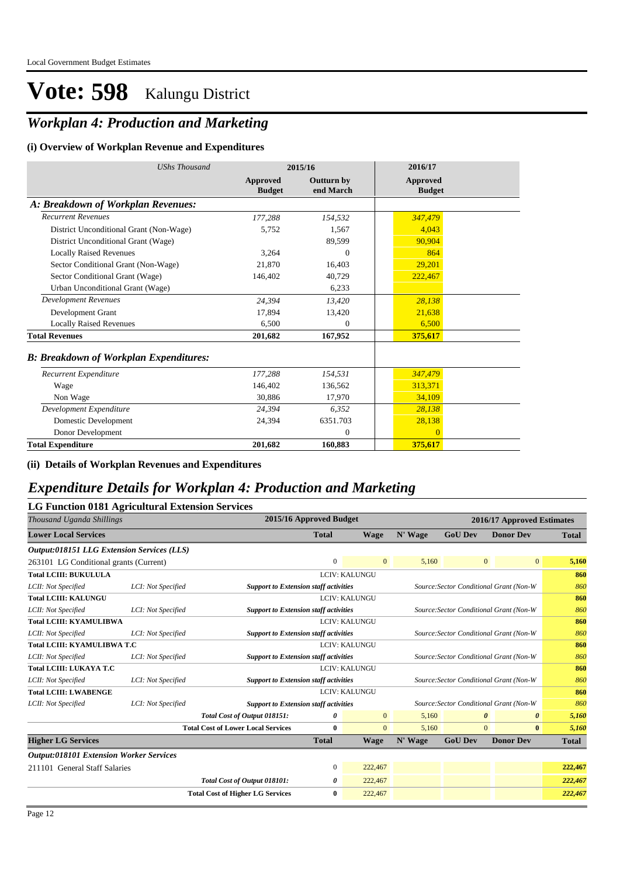### *Workplan 4: Production and Marketing*

#### **(i) Overview of Workplan Revenue and Expenditures**

| <b>UShs Thousand</b>                          |                           | 2015/16                 | 2016/17                          |
|-----------------------------------------------|---------------------------|-------------------------|----------------------------------|
|                                               | Approved<br><b>Budget</b> | Outturn by<br>end March | <b>Approved</b><br><b>Budget</b> |
| A: Breakdown of Workplan Revenues:            |                           |                         |                                  |
| <b>Recurrent Revenues</b>                     | 177,288                   | 154,532                 | 347,479                          |
| District Unconditional Grant (Non-Wage)       | 5,752                     | 1,567                   | 4,043                            |
| District Unconditional Grant (Wage)           |                           | 89,599                  | 90,904                           |
| <b>Locally Raised Revenues</b>                | 3,264                     | $\Omega$                | 864                              |
| Sector Conditional Grant (Non-Wage)           | 21,870                    | 16,403                  | 29,201                           |
| Sector Conditional Grant (Wage)               | 146,402                   | 40,729                  | 222,467                          |
| Urban Unconditional Grant (Wage)              |                           | 6,233                   |                                  |
| <b>Development Revenues</b>                   | 24.394                    | 13.420                  | 28,138                           |
| Development Grant                             | 17.894                    | 13,420                  | 21,638                           |
| <b>Locally Raised Revenues</b>                | 6.500                     | $\overline{0}$          | 6,500                            |
| <b>Total Revenues</b>                         | 201,682                   | 167,952                 | 375,617                          |
| <b>B: Breakdown of Workplan Expenditures:</b> |                           |                         |                                  |
| Recurrent Expenditure                         | 177,288                   | 154,531                 | 347,479                          |
| Wage                                          | 146,402                   | 136,562                 | 313,371                          |
| Non Wage                                      | 30,886                    | 17,970                  | 34,109                           |
| Development Expenditure                       | 24,394                    | 6,352                   | 28,138                           |
| Domestic Development                          | 24,394                    | 6351.703                | 28,138                           |
| Donor Development                             |                           | $\theta$                | $\overline{0}$                   |
| <b>Total Expenditure</b>                      | 201,682                   | 160,883                 | 375,617                          |

**(ii) Details of Workplan Revenues and Expenditures**

#### *Expenditure Details for Workplan 4: Production and Marketing*

| <b>LG Function 0181 Agricultural Extension Services</b> |                    |                                              |                                                                                         |                      |         |                            |                                                |              |  |
|---------------------------------------------------------|--------------------|----------------------------------------------|-----------------------------------------------------------------------------------------|----------------------|---------|----------------------------|------------------------------------------------|--------------|--|
| Thousand Uganda Shillings                               |                    |                                              | 2015/16 Approved Budget                                                                 |                      |         | 2016/17 Approved Estimates |                                                |              |  |
| <b>Lower Local Services</b>                             |                    |                                              | <b>Total</b>                                                                            | Wage                 | N' Wage | <b>GoU Dev</b>             | <b>Donor Dev</b>                               | <b>Total</b> |  |
| Output:018151 LLG Extension Services (LLS)              |                    |                                              |                                                                                         |                      |         |                            |                                                |              |  |
| 263101 LG Conditional grants (Current)                  |                    |                                              | $\mathbf{0}$                                                                            | $\overline{0}$       | 5,160   |                            | $\overline{0}$<br>$\overline{0}$               | 5,160        |  |
| <b>Total LCIII: BUKULULA</b>                            |                    |                                              |                                                                                         | <b>LCIV: KALUNGU</b> |         |                            |                                                | 860          |  |
| LCII: Not Specified                                     | LCI: Not Specified | <b>Support to Extension staff activities</b> |                                                                                         |                      |         |                            | Source: Sector Conditional Grant (Non-W        | 860          |  |
| <b>Total LCIII: KALUNGU</b>                             |                    |                                              |                                                                                         | <b>LCIV: KALUNGU</b> |         |                            |                                                | 860          |  |
| LCII: Not Specified                                     | LCI: Not Specified | <b>Support to Extension staff activities</b> |                                                                                         |                      |         |                            | Source: Sector Conditional Grant (Non-W        | 860          |  |
| <b>Total LCIII: KYAMULIBWA</b>                          |                    |                                              |                                                                                         | <b>LCIV: KALUNGU</b> |         |                            |                                                | 860          |  |
| LCII: Not Specified                                     | LCI: Not Specified |                                              | Source: Sector Conditional Grant (Non-W<br><b>Support to Extension staff activities</b> |                      |         |                            |                                                | 860          |  |
| <b>Total LCIII: KYAMULIBWA T.C</b>                      |                    |                                              | <b>LCIV: KALUNGU</b>                                                                    |                      |         |                            | 860                                            |              |  |
| LCII: Not Specified                                     | LCI: Not Specified | <b>Support to Extension staff activities</b> |                                                                                         |                      |         |                            | Source: Sector Conditional Grant (Non-W        | 860          |  |
| <b>Total LCIII: LUKAYA T.C</b>                          |                    |                                              |                                                                                         | <b>LCIV: KALUNGU</b> |         |                            |                                                | 860          |  |
| LCII: Not Specified                                     | LCI: Not Specified | <b>Support to Extension staff activities</b> |                                                                                         |                      |         |                            | Source: Sector Conditional Grant (Non-W        | 860          |  |
| <b>Total LCIII: LWABENGE</b>                            |                    |                                              |                                                                                         | <b>LCIV: KALUNGU</b> |         |                            |                                                | 860          |  |
| LCII: Not Specified                                     | LCI: Not Specified | <b>Support to Extension staff activities</b> |                                                                                         |                      |         |                            | Source: Sector Conditional Grant (Non-W        | 860          |  |
|                                                         |                    | Total Cost of Output 018151:                 | 0                                                                                       | $\overline{0}$       | 5,160   |                            | $\boldsymbol{\theta}$<br>$\boldsymbol{\theta}$ | 5,160        |  |
|                                                         |                    | <b>Total Cost of Lower Local Services</b>    | $\bf{0}$                                                                                | $\mathbf{0}$         | 5,160   |                            | $\mathbf{0}$<br>$\bf{0}$                       | 5,160        |  |
| <b>Higher LG Services</b>                               |                    |                                              | <b>Total</b>                                                                            | <b>Wage</b>          | N' Wage | <b>GoU Dev</b>             | <b>Donor Dev</b>                               | <b>Total</b> |  |
| <b>Output:018101 Extension Worker Services</b>          |                    |                                              |                                                                                         |                      |         |                            |                                                |              |  |
| 211101 General Staff Salaries                           |                    |                                              | $\overline{0}$                                                                          | 222,467              |         |                            |                                                | 222,467      |  |
|                                                         |                    | Total Cost of Output 018101:                 | 0                                                                                       | 222,467              |         |                            |                                                | 222,467      |  |
|                                                         |                    | <b>Total Cost of Higher LG Services</b>      | $\bf{0}$                                                                                | 222,467              |         |                            |                                                | 222,467      |  |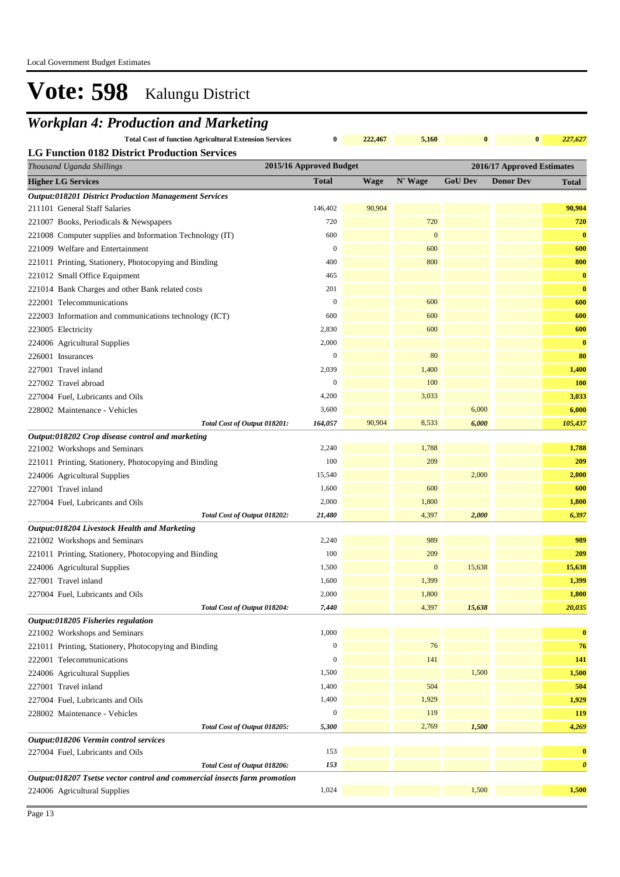### *Workplan 4: Production and Marketing*

**Total Cost of function Agricultural Extension Services 0 222,467 5,160 0 0** *227,627*

| Thousand Uganda Shillings                                                 | 2015/16 Approved Budget |             |              | 2016/17 Approved Estimates |                  |                       |
|---------------------------------------------------------------------------|-------------------------|-------------|--------------|----------------------------|------------------|-----------------------|
| <b>Higher LG Services</b>                                                 | <b>Total</b>            | <b>Wage</b> | N' Wage      | <b>GoU Dev</b>             | <b>Donor Dev</b> | <b>Total</b>          |
| <b>Output:018201 District Production Management Services</b>              |                         |             |              |                            |                  |                       |
| 211101 General Staff Salaries                                             | 146,402                 | 90,904      |              |                            |                  | 90,904                |
| 221007 Books, Periodicals & Newspapers                                    | 720                     |             | 720          |                            |                  | 720                   |
| 221008 Computer supplies and Information Technology (IT)                  | 600                     |             | $\mathbf{0}$ |                            |                  | $\bf{0}$              |
| 221009 Welfare and Entertainment                                          | $\boldsymbol{0}$        |             | 600          |                            |                  | 600                   |
| 221011 Printing, Stationery, Photocopying and Binding                     | 400                     |             | 800          |                            |                  | 800                   |
| 221012 Small Office Equipment                                             | 465                     |             |              |                            |                  | $\bf{0}$              |
| 221014 Bank Charges and other Bank related costs                          | 201                     |             |              |                            |                  | $\bf{0}$              |
| 222001 Telecommunications                                                 | $\boldsymbol{0}$        |             | 600          |                            |                  | 600                   |
| 222003 Information and communications technology (ICT)                    | 600                     |             | 600          |                            |                  | 600                   |
| 223005 Electricity                                                        | 2,830                   |             | 600          |                            |                  | 600                   |
| 224006 Agricultural Supplies                                              | 2,000                   |             |              |                            |                  | $\bf{0}$              |
| 226001 Insurances                                                         | $\mathbf{0}$            |             | 80           |                            |                  | 80                    |
| 227001 Travel inland                                                      | 2,039                   |             | 1,400        |                            |                  | 1,400                 |
| 227002 Travel abroad                                                      | $\boldsymbol{0}$        |             | 100          |                            |                  | 100                   |
| 227004 Fuel, Lubricants and Oils                                          | 4,200                   |             | 3,033        |                            |                  | 3,033                 |
| 228002 Maintenance - Vehicles                                             | 3,600                   |             |              | 6,000                      |                  | 6,000                 |
| Total Cost of Output 018201:                                              | 164,057                 | 90,904      | 8,533        | 6,000                      |                  | 105,437               |
| Output:018202 Crop disease control and marketing                          |                         |             |              |                            |                  |                       |
| 221002 Workshops and Seminars                                             | 2,240                   |             | 1,788        |                            |                  | 1,788                 |
| 221011 Printing, Stationery, Photocopying and Binding                     | 100                     |             | 209          |                            |                  | 209                   |
| 224006 Agricultural Supplies                                              | 15,540                  |             |              | 2,000                      |                  | 2,000                 |
| 227001 Travel inland                                                      | 1,600                   |             | 600          |                            |                  | 600                   |
| 227004 Fuel, Lubricants and Oils                                          | 2,000                   |             | 1,800        |                            |                  | 1,800                 |
| Total Cost of Output 018202:                                              | 21,480                  |             | 4,397        | 2,000                      |                  | 6,397                 |
| Output:018204 Livestock Health and Marketing                              |                         |             |              |                            |                  |                       |
| 221002 Workshops and Seminars                                             | 2,240                   |             | 989          |                            |                  | 989                   |
| 221011 Printing, Stationery, Photocopying and Binding                     | 100                     |             | 209          |                            |                  | 209                   |
| 224006 Agricultural Supplies                                              | 1,500                   |             | $\mathbf{0}$ | 15,638                     |                  | 15,638                |
| 227001 Travel inland                                                      | 1,600                   |             | 1,399        |                            |                  | 1,399                 |
| 227004 Fuel, Lubricants and Oils                                          | 2,000                   |             | 1,800        |                            |                  | 1,800                 |
| Total Cost of Output 018204:                                              | 7,440                   |             | 4,397        | 15,638                     |                  | 20,035                |
| Output:018205 Fisheries regulation                                        |                         |             |              |                            |                  |                       |
| 221002 Workshops and Seminars                                             | 1,000                   |             |              |                            |                  | $\bf{0}$              |
| 221011 Printing, Stationery, Photocopying and Binding                     | $\boldsymbol{0}$        |             | 76           |                            |                  | 76                    |
| 222001 Telecommunications                                                 | $\boldsymbol{0}$        |             | 141          |                            |                  | 141                   |
| 224006 Agricultural Supplies                                              | 1,500                   |             |              | 1,500                      |                  | 1,500                 |
| 227001 Travel inland                                                      | 1,400                   |             | 504          |                            |                  | 504                   |
| 227004 Fuel, Lubricants and Oils                                          | 1,400                   |             | 1,929        |                            |                  | 1,929                 |
| 228002 Maintenance - Vehicles                                             | $\boldsymbol{0}$        |             | 119          |                            |                  | 119                   |
| Total Cost of Output 018205:                                              | 5,300                   |             | 2,769        | 1,500                      |                  | 4,269                 |
| Output:018206 Vermin control services<br>227004 Fuel, Lubricants and Oils | 153                     |             |              |                            |                  | $\bf{0}$              |
| Total Cost of Output 018206:                                              | 153                     |             |              |                            |                  | $\boldsymbol{\theta}$ |
| Output:018207 Tsetse vector control and commercial insects farm promotion |                         |             |              |                            |                  |                       |
| 224006 Agricultural Supplies                                              | 1,024                   |             |              | 1,500                      |                  | 1,500                 |
|                                                                           |                         |             |              |                            |                  |                       |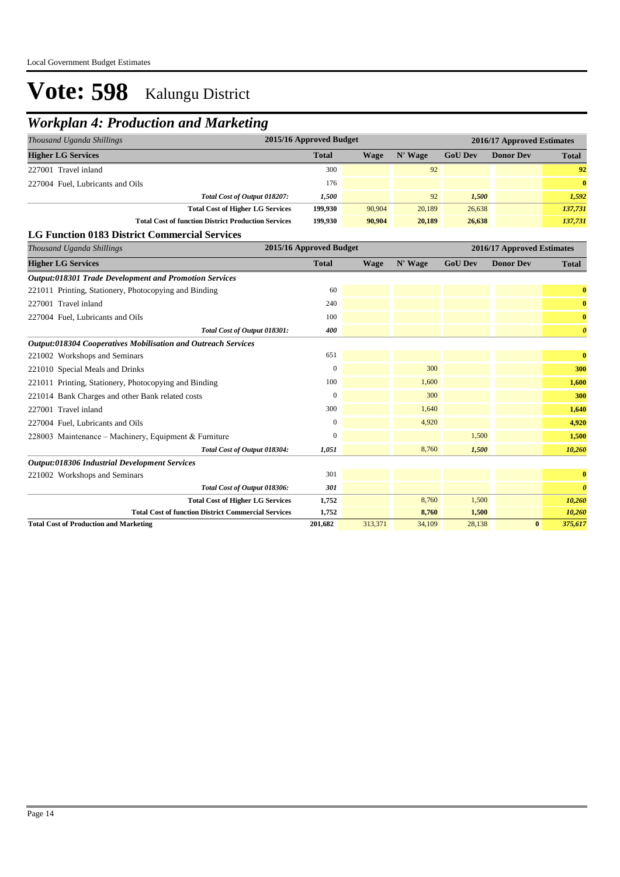### *Workplan 4: Production and Marketing*

| 2015/16 Approved Budget<br>Thousand Uganda Shillings       |              |        |         |                | 2016/17 Approved Estimates |              |  |
|------------------------------------------------------------|--------------|--------|---------|----------------|----------------------------|--------------|--|
| <b>Higher LG Services</b>                                  | <b>Total</b> | Wage   | N' Wage | <b>GoU Dev</b> | <b>Donor Dev</b>           | <b>Total</b> |  |
| 227001 Travel inland                                       | 300          |        | 92      |                |                            | 92           |  |
| 227004 Fuel, Lubricants and Oils                           | 176          |        |         |                |                            | $\mathbf{0}$ |  |
| Total Cost of Output 018207:                               | 1,500        |        | 92      | 1,500          |                            | 1,592        |  |
| <b>Total Cost of Higher LG Services</b>                    | 199,930      | 90,904 | 20,189  | 26,638         |                            | 137,731      |  |
| <b>Total Cost of function District Production Services</b> | 199,930      | 90,904 | 20,189  | 26,638         |                            | 137,731      |  |
| <b>LG Function 0183 District Commercial Services</b>       |              |        |         |                |                            |              |  |

| Thousand Uganda Shillings                                     | 2015/16 Approved Budget |             |         |                | 2016/17 Approved Estimates |                       |
|---------------------------------------------------------------|-------------------------|-------------|---------|----------------|----------------------------|-----------------------|
| <b>Higher LG Services</b>                                     | <b>Total</b>            | <b>Wage</b> | N' Wage | <b>GoU Dev</b> | <b>Donor Dev</b>           | <b>Total</b>          |
| <b>Output:018301 Trade Development and Promotion Services</b> |                         |             |         |                |                            |                       |
| 221011 Printing, Stationery, Photocopying and Binding         | 60                      |             |         |                |                            | $\bf{0}$              |
| 227001 Travel inland                                          | 240                     |             |         |                |                            | $\bf{0}$              |
| 227004 Fuel, Lubricants and Oils                              | 100                     |             |         |                |                            | $\bf{0}$              |
| Total Cost of Output 018301:                                  | 400                     |             |         |                |                            | $\boldsymbol{\theta}$ |
| Output:018304 Cooperatives Mobilisation and Outreach Services |                         |             |         |                |                            |                       |
| 221002 Workshops and Seminars                                 | 651                     |             |         |                |                            | $\bf{0}$              |
| 221010 Special Meals and Drinks                               | $\mathbf{0}$            |             | 300     |                |                            | 300                   |
| 221011 Printing, Stationery, Photocopying and Binding         | 100                     |             | 1,600   |                |                            | 1,600                 |
| 221014 Bank Charges and other Bank related costs              | $\theta$                |             | 300     |                |                            | 300                   |
| 227001 Travel inland                                          | 300                     |             | 1,640   |                |                            | 1,640                 |
| 227004 Fuel, Lubricants and Oils                              | $\mathbf{0}$            |             | 4,920   |                |                            | 4,920                 |
| 228003 Maintenance - Machinery, Equipment & Furniture         | $\mathbf{0}$            |             |         | 1,500          |                            | 1,500                 |
| Total Cost of Output 018304:                                  | 1,051                   |             | 8,760   | 1,500          |                            | 10,260                |
| <b>Output:018306 Industrial Development Services</b>          |                         |             |         |                |                            |                       |
| 221002 Workshops and Seminars                                 | 301                     |             |         |                |                            | $\bf{0}$              |
| Total Cost of Output 018306:                                  | 301                     |             |         |                |                            | $\boldsymbol{\theta}$ |
| <b>Total Cost of Higher LG Services</b>                       | 1,752                   |             | 8,760   | 1,500          |                            | 10,260                |
| <b>Total Cost of function District Commercial Services</b>    | 1,752                   |             | 8,760   | 1,500          |                            | 10,260                |
| <b>Total Cost of Production and Marketing</b>                 | 201,682                 | 313,371     | 34,109  | 28,138         | $\bf{0}$                   | 375,617               |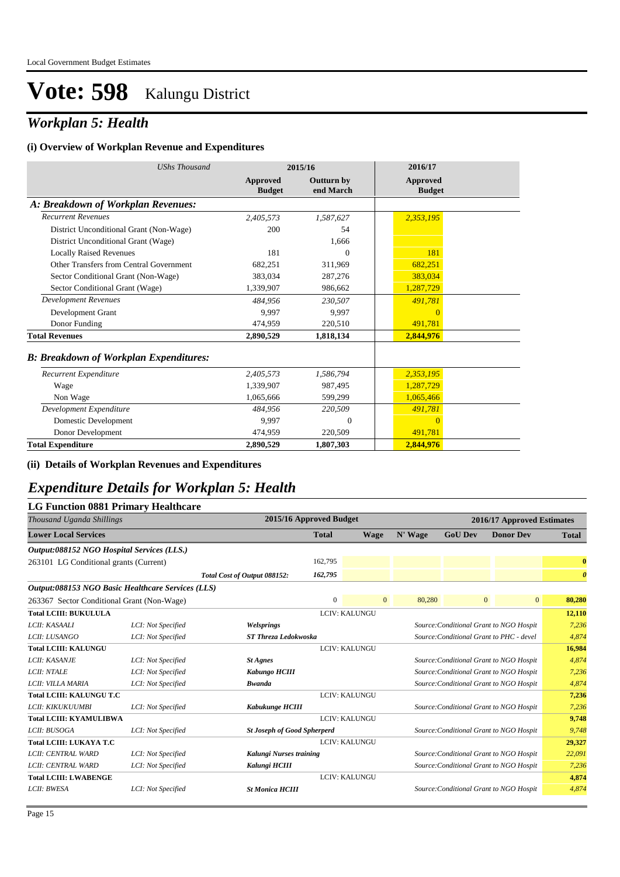### *Workplan 5: Health*

#### **(i) Overview of Workplan Revenue and Expenditures**

| <b>UShs Thousand</b>                          |                           | 2015/16                        | 2016/17                   |
|-----------------------------------------------|---------------------------|--------------------------------|---------------------------|
|                                               | Approved<br><b>Budget</b> | <b>Outturn by</b><br>end March | Approved<br><b>Budget</b> |
| A: Breakdown of Workplan Revenues:            |                           |                                |                           |
| <b>Recurrent Revenues</b>                     | 2,405,573                 | 1,587,627                      | 2,353,195                 |
| District Unconditional Grant (Non-Wage)       | 200                       | 54                             |                           |
| District Unconditional Grant (Wage)           |                           | 1,666                          |                           |
| <b>Locally Raised Revenues</b>                | 181                       | $\Omega$                       | 181                       |
| Other Transfers from Central Government       | 682,251                   | 311,969                        | 682,251                   |
| Sector Conditional Grant (Non-Wage)           | 383.034                   | 287,276                        | 383,034                   |
| Sector Conditional Grant (Wage)               | 1,339,907                 | 986,662                        | 1,287,729                 |
| <b>Development Revenues</b>                   | 484,956                   | 230,507                        | 491,781                   |
| Development Grant                             | 9.997                     | 9.997                          | $\Omega$                  |
| Donor Funding                                 | 474.959                   | 220,510                        | 491,781                   |
| <b>Total Revenues</b>                         | 2,890,529                 | 1,818,134                      | 2,844,976                 |
| <b>B: Breakdown of Workplan Expenditures:</b> |                           |                                |                           |
| Recurrent Expenditure                         | 2,405,573                 | 1.586.794                      | 2,353,195                 |
| Wage                                          | 1,339,907                 | 987,495                        | 1,287,729                 |
| Non Wage                                      | 1,065,666                 | 599,299                        | 1,065,466                 |
| Development Expenditure                       | 484,956                   | 220,509                        | 491,781                   |
| Domestic Development                          | 9.997                     | $\Omega$                       | $\Omega$                  |
| Donor Development                             | 474,959                   | 220,509                        | 491,781                   |
| <b>Total Expenditure</b>                      | 2,890,529                 | 1,807,303                      | 2,844,976                 |

**(ii) Details of Workplan Revenues and Expenditures**

### *Expenditure Details for Workplan 5: Health*

#### **LG Function 0881 Primary Healthcare**

| Thousand Uganda Shillings                         |                    |                                    | 2015/16 Approved Budget                                                 |                      |         |                                         | 2016/17 Approved Estimates |                       |
|---------------------------------------------------|--------------------|------------------------------------|-------------------------------------------------------------------------|----------------------|---------|-----------------------------------------|----------------------------|-----------------------|
| <b>Lower Local Services</b>                       |                    |                                    | <b>Total</b>                                                            | Wage                 | N' Wage | <b>GoU Dev</b>                          | <b>Donor Dev</b>           | <b>Total</b>          |
| Output:088152 NGO Hospital Services (LLS.)        |                    |                                    |                                                                         |                      |         |                                         |                            |                       |
| 263101 LG Conditional grants (Current)            |                    |                                    | 162,795                                                                 |                      |         |                                         |                            | $\bf{0}$              |
|                                                   |                    | Total Cost of Output 088152:       | 162,795                                                                 |                      |         |                                         |                            | $\boldsymbol{\theta}$ |
| Output:088153 NGO Basic Healthcare Services (LLS) |                    |                                    |                                                                         |                      |         |                                         |                            |                       |
| 263367 Sector Conditional Grant (Non-Wage)        |                    |                                    | $\mathbf{0}$                                                            | $\overline{0}$       | 80,280  | $\overline{0}$                          | $\overline{0}$             | 80,280                |
| <b>Total LCIII: BUKULULA</b>                      |                    |                                    |                                                                         | <b>LCIV: KALUNGU</b> |         |                                         |                            | 12,110                |
| LCII: KASAALI                                     | LCI: Not Specified | Welsprings                         | Source: Conditional Grant to NGO Hospit                                 |                      |         |                                         | 7,236                      |                       |
| LCII: LUSANGO                                     | LCI: Not Specified |                                    | <b>ST Threza Ledokwoska</b><br>Source: Conditional Grant to PHC - devel |                      |         |                                         |                            | 4.874                 |
| <b>Total LCIII: KALUNGU</b>                       |                    |                                    | <b>LCIV: KALUNGU</b>                                                    |                      |         |                                         | 16,984                     |                       |
| LCII: KASANJE                                     | LCI: Not Specified | <b>St Agnes</b>                    |                                                                         |                      |         | Source: Conditional Grant to NGO Hospit |                            | 4,874                 |
| <b>LCII: NTALE</b>                                | LCI: Not Specified | Kabungo HCIII                      |                                                                         |                      |         | Source: Conditional Grant to NGO Hospit | 7,236                      |                       |
| LCII: VILLA MARIA                                 | LCI: Not Specified | <b>Bwanda</b>                      |                                                                         |                      |         | Source: Conditional Grant to NGO Hospit |                            | 4,874                 |
| <b>Total LCIII: KALUNGU T.C</b>                   |                    |                                    |                                                                         | <b>LCIV: KALUNGU</b> |         |                                         |                            | 7,236                 |
| LCII: KIKUKUUMBI                                  | LCI: Not Specified | Kabukunge HCIII                    |                                                                         |                      |         | Source: Conditional Grant to NGO Hospit |                            | 7,236                 |
| <b>Total LCIII: KYAMULIBWA</b>                    |                    |                                    |                                                                         | <b>LCIV: KALUNGU</b> |         |                                         |                            | 9,748                 |
| LCII: BUSOGA                                      | LCI: Not Specified | <b>St Joseph of Good Spherperd</b> |                                                                         |                      |         | Source: Conditional Grant to NGO Hospit |                            | 9,748                 |
| <b>Total LCIII: LUKAYA T.C</b>                    |                    |                                    |                                                                         | <b>LCIV: KALUNGU</b> |         |                                         |                            | 29,327                |
| LCII: CENTRAL WARD                                | LCI: Not Specified | Kalungi Nurses training            |                                                                         |                      |         | Source: Conditional Grant to NGO Hospit |                            | 22,091                |
| LCII: CENTRAL WARD                                | LCI: Not Specified | Kalungi HCIII                      |                                                                         |                      |         | Source: Conditional Grant to NGO Hospit |                            | 7,236                 |
| <b>Total LCIII: LWABENGE</b>                      |                    |                                    |                                                                         | <b>LCIV: KALUNGU</b> |         |                                         |                            | 4,874                 |
| <b>LCII: BWESA</b>                                | LCI: Not Specified | <b>St Monica HCIII</b>             |                                                                         |                      |         | Source: Conditional Grant to NGO Hospit |                            | 4,874                 |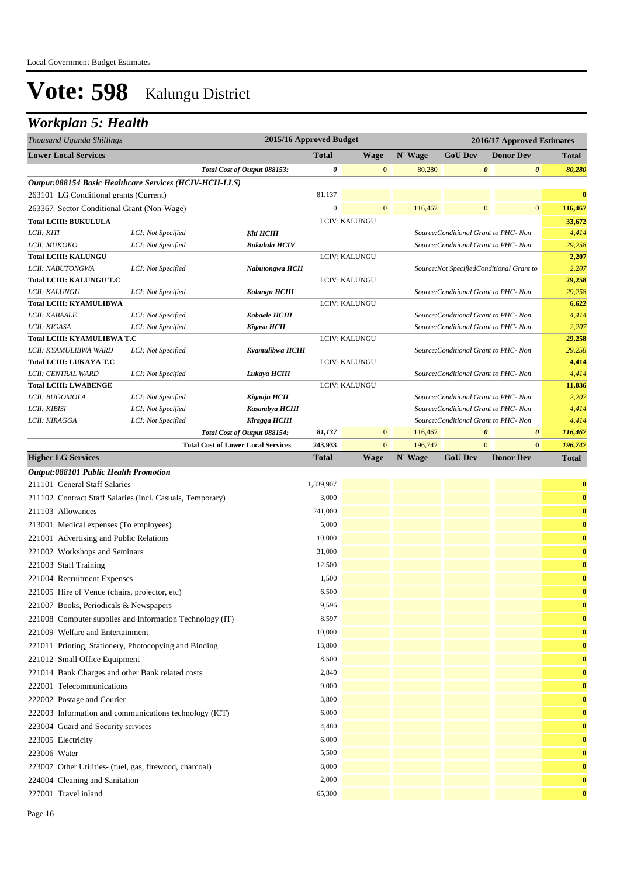### *Workplan 5: Health*

| Thousand Uganda Shillings                                |                    |                                           | 2015/16 Approved Budget               |                                       |         |                                            | 2016/17 Approved Estimates |                       |              |  |
|----------------------------------------------------------|--------------------|-------------------------------------------|---------------------------------------|---------------------------------------|---------|--------------------------------------------|----------------------------|-----------------------|--------------|--|
| <b>Lower Local Services</b>                              |                    |                                           | <b>Total</b>                          | <b>Wage</b>                           | N' Wage | <b>GoU Dev</b>                             |                            | <b>Donor Dev</b>      | <b>Total</b> |  |
|                                                          |                    | Total Cost of Output 088153:              | 0                                     | $\overline{0}$                        | 80,280  |                                            | $\boldsymbol{\theta}$      | $\boldsymbol{\theta}$ | 80,280       |  |
| Output:088154 Basic Healthcare Services (HCIV-HCII-LLS)  |                    |                                           |                                       |                                       |         |                                            |                            |                       |              |  |
| 263101 LG Conditional grants (Current)                   |                    |                                           | 81,137                                |                                       |         |                                            |                            |                       | $\bf{0}$     |  |
| 263367 Sector Conditional Grant (Non-Wage)               |                    |                                           | $\overline{0}$                        | $\overline{0}$                        | 116,467 |                                            | $\mathbf{0}$               | $\overline{0}$        | 116,467      |  |
| <b>Total LCIII: BUKULULA</b>                             |                    |                                           |                                       | <b>LCIV: KALUNGU</b>                  |         |                                            |                            |                       | 33,672       |  |
| LCII: KITI                                               | LCI: Not Specified | Kiti HCIII                                |                                       |                                       |         | Source: Conditional Grant to PHC- Non      |                            |                       | 4,414        |  |
| LCII: MUKOKO                                             | LCI: Not Specified | <b>Bukulula HCIV</b>                      |                                       | Source: Conditional Grant to PHC- Non |         |                                            |                            |                       | 29,258       |  |
| <b>Total LCIII: KALUNGU</b>                              |                    |                                           | <b>LCIV: KALUNGU</b>                  |                                       |         |                                            | 2,207                      |                       |              |  |
| LCII: NABUTONGWA                                         | LCI: Not Specified | Nabutongwa HCII                           |                                       |                                       |         | Source: Not Specified Conditional Grant to |                            |                       | 2,207        |  |
| <b>Total LCIII: KALUNGU T.C</b>                          |                    |                                           |                                       | LCIV: KALUNGU                         |         |                                            |                            |                       | 29,258       |  |
| LCII: KALUNGU                                            | LCI: Not Specified | Kalungu HCIII                             | Source: Conditional Grant to PHC- Non |                                       |         |                                            |                            | 29,258                |              |  |
| <b>Total LCIII: KYAMULIBWA</b>                           |                    |                                           |                                       | LCIV: KALUNGU                         |         |                                            |                            |                       | 6,622        |  |
| LCII: KABAALE                                            | LCI: Not Specified | <b>Kabaale HCIII</b>                      |                                       |                                       |         | Source: Conditional Grant to PHC- Non      |                            |                       | 4,414        |  |
| LCII: KIGASA                                             | LCI: Not Specified | Kigasa HCII                               |                                       |                                       |         | Source: Conditional Grant to PHC- Non      |                            |                       | 2,207        |  |
| <b>Total LCIII: KYAMULIBWA T.C</b>                       |                    |                                           |                                       | LCIV: KALUNGU                         |         |                                            |                            |                       | 29,258       |  |
| LCII: KYAMULIBWA WARD                                    | LCI: Not Specified | Kyamulibwa HCIII                          |                                       |                                       |         | Source: Conditional Grant to PHC- Non      |                            |                       | 29,258       |  |
| <b>Total LCIII: LUKAYA T.C</b>                           |                    |                                           |                                       | LCIV: KALUNGU                         |         |                                            |                            |                       | 4,414        |  |
| LCII: CENTRAL WARD                                       | LCI: Not Specified | Lukaya HCIII                              |                                       |                                       |         | Source: Conditional Grant to PHC- Non      |                            |                       | 4,414        |  |
| <b>Total LCIII: LWABENGE</b>                             |                    |                                           |                                       | LCIV: KALUNGU                         |         |                                            |                            |                       | 11,036       |  |
| LCII: BUGOMOLA                                           | LCI: Not Specified | Kigaaju HCII                              |                                       |                                       |         | Source: Conditional Grant to PHC- Non      |                            |                       | 2,207        |  |
| LCII: KIBISI                                             | LCI: Not Specified | Kasambya HCIII                            |                                       |                                       |         | Source: Conditional Grant to PHC- Non      |                            |                       | 4,414        |  |
| LCII: KIRAGGA                                            | LCI: Not Specified | Kiragga HCIII                             |                                       |                                       |         | Source: Conditional Grant to PHC- Non      |                            |                       | 4,414        |  |
|                                                          |                    | Total Cost of Output 088154:              | 81,137                                | $\overline{0}$                        | 116,467 |                                            | $\boldsymbol{\theta}$      | $\boldsymbol{\theta}$ | 116,467      |  |
|                                                          |                    | <b>Total Cost of Lower Local Services</b> | 243,933                               | $\overline{0}$                        | 196,747 |                                            | $\mathbf{0}$               | $\bf{0}$              | 196,747      |  |
| <b>Higher LG Services</b>                                |                    |                                           | <b>Total</b>                          | <b>Wage</b>                           | N' Wage | <b>GoU Dev</b>                             |                            | <b>Donor Dev</b>      | <b>Total</b> |  |
| Output:088101 Public Health Promotion                    |                    |                                           |                                       |                                       |         |                                            |                            |                       |              |  |
| 211101 General Staff Salaries                            |                    |                                           | 1,339,907                             |                                       |         |                                            |                            |                       | $\bf{0}$     |  |
| 211102 Contract Staff Salaries (Incl. Casuals Temperary) |                    |                                           | 3.000                                 |                                       |         |                                            |                            |                       | $\mathbf{a}$ |  |

|                            | 211101 - Ochelai Diali-Dalatics                           |         |  |  |              |
|----------------------------|-----------------------------------------------------------|---------|--|--|--------------|
|                            | 211102 Contract Staff Salaries (Incl. Casuals, Temporary) | 3.000   |  |  | $\bf{0}$     |
| 211103 Allowances          |                                                           | 241,000 |  |  | $\bf{0}$     |
|                            | 213001 Medical expenses (To employees)                    | 5,000   |  |  | $\mathbf{0}$ |
|                            | 221001 Advertising and Public Relations                   | 10,000  |  |  | $\bf{0}$     |
|                            | 221002 Workshops and Seminars                             | 31,000  |  |  | $\mathbf{0}$ |
| 221003 Staff Training      |                                                           | 12,500  |  |  | $\bf{0}$     |
|                            | 221004 Recruitment Expenses                               | 1,500   |  |  | $\bf{0}$     |
|                            | 221005 Hire of Venue (chairs, projector, etc)             | 6,500   |  |  | $\bf{0}$     |
|                            | 221007 Books, Periodicals & Newspapers                    | 9,596   |  |  | $\bf{0}$     |
|                            | 221008 Computer supplies and Information Technology (IT)  | 8,597   |  |  | $\mathbf{0}$ |
|                            | 221009 Welfare and Entertainment                          | 10,000  |  |  | $\bf{0}$     |
|                            | 221011 Printing, Stationery, Photocopying and Binding     | 13,800  |  |  | $\mathbf{0}$ |
|                            | 221012 Small Office Equipment                             | 8,500   |  |  | $\bf{0}$     |
|                            | 221014 Bank Charges and other Bank related costs          | 2,840   |  |  | $\bf{0}$     |
| 222001 Telecommunications  |                                                           | 9,000   |  |  | $\bf{0}$     |
| 222002 Postage and Courier |                                                           | 3,800   |  |  | $\bf{0}$     |
|                            | 222003 Information and communications technology (ICT)    | 6,000   |  |  | $\bf{0}$     |
|                            | 223004 Guard and Security services                        | 4,480   |  |  | $\bf{0}$     |
| 223005 Electricity         |                                                           | 6,000   |  |  | $\bf{0}$     |
| 223006 Water               |                                                           | 5,500   |  |  | $\bf{0}$     |
|                            | 223007 Other Utilities- (fuel, gas, firewood, charcoal)   | 8,000   |  |  | $\bf{0}$     |
|                            | 224004 Cleaning and Sanitation                            | 2,000   |  |  | $\bf{0}$     |
| 227001 Travel inland       |                                                           | 65,300  |  |  | $\mathbf{0}$ |
|                            |                                                           |         |  |  |              |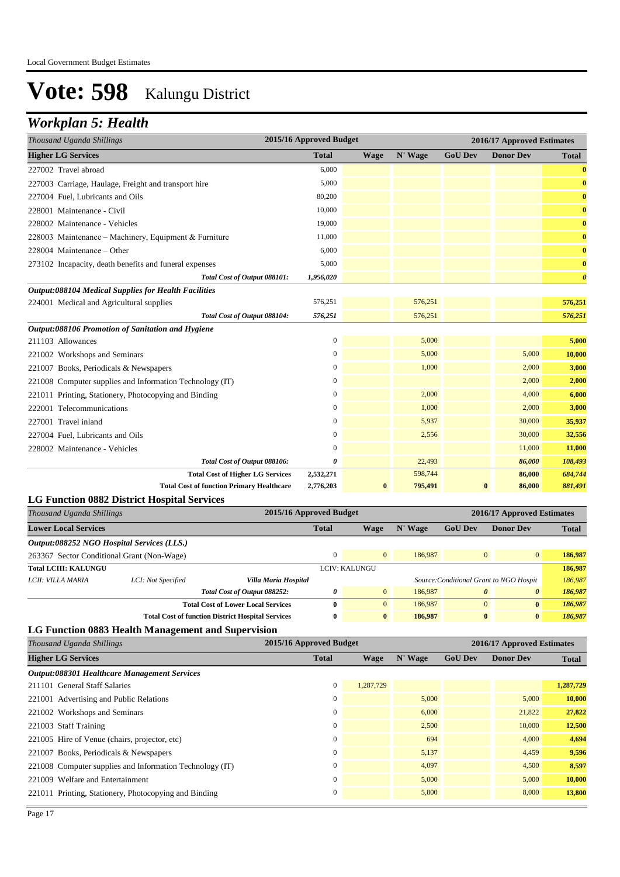### *Workplan 5: Health*

| Thousand Uganda Shillings                                |                                                          | 2015/16 Approved Budget |               |         |                                                                  | 2016/17 Approved Estimates |                       |
|----------------------------------------------------------|----------------------------------------------------------|-------------------------|---------------|---------|------------------------------------------------------------------|----------------------------|-----------------------|
| <b>Higher LG Services</b>                                |                                                          | <b>Total</b>            | Wage          | N' Wage | <b>GoU Dev</b>                                                   | <b>Donor Dev</b>           | <b>Total</b>          |
| 227002 Travel abroad                                     |                                                          | 6,000                   |               |         |                                                                  |                            | $\bf{0}$              |
| 227003 Carriage, Haulage, Freight and transport hire     |                                                          | 5,000                   |               |         |                                                                  |                            | $\bf{0}$              |
| 227004 Fuel, Lubricants and Oils                         |                                                          | 80,200                  |               |         |                                                                  |                            | $\bf{0}$              |
| 228001 Maintenance - Civil                               |                                                          | 10,000                  |               |         |                                                                  |                            | $\bf{0}$              |
| 228002 Maintenance - Vehicles                            |                                                          | 19,000                  |               |         |                                                                  |                            | $\bf{0}$              |
| 228003 Maintenance – Machinery, Equipment & Furniture    |                                                          | 11,000                  |               |         |                                                                  |                            | $\bf{0}$              |
| 228004 Maintenance - Other                               |                                                          | 6,000                   |               |         |                                                                  |                            | $\bf{0}$              |
| 273102 Incapacity, death benefits and funeral expenses   |                                                          | 5,000                   |               |         |                                                                  |                            | $\bf{0}$              |
|                                                          | Total Cost of Output 088101:                             | 1,956,020               |               |         |                                                                  |                            | $\boldsymbol{\theta}$ |
| Output:088104 Medical Supplies for Health Facilities     |                                                          |                         |               |         |                                                                  |                            |                       |
| 224001 Medical and Agricultural supplies                 |                                                          | 576,251                 |               | 576,251 |                                                                  |                            | 576,251               |
|                                                          | Total Cost of Output 088104:                             | 576,251                 |               | 576,251 |                                                                  |                            | 576,251               |
| Output:088106 Promotion of Sanitation and Hygiene        |                                                          |                         |               |         |                                                                  |                            |                       |
| 211103 Allowances                                        |                                                          | $\boldsymbol{0}$        |               | 5,000   |                                                                  |                            | 5,000                 |
| 221002 Workshops and Seminars                            |                                                          | $\mathbf{0}$            |               | 5,000   |                                                                  | 5,000                      | 10,000                |
| 221007 Books, Periodicals & Newspapers                   |                                                          | $\boldsymbol{0}$        |               | 1,000   |                                                                  | 2,000                      | 3,000                 |
| 221008 Computer supplies and Information Technology (IT) |                                                          | $\mathbf{0}$            |               |         |                                                                  | 2,000                      | 2,000                 |
| 221011 Printing, Stationery, Photocopying and Binding    |                                                          | $\boldsymbol{0}$        |               | 2,000   |                                                                  | 4,000                      | 6,000                 |
| 222001 Telecommunications                                |                                                          | $\boldsymbol{0}$        |               | 1,000   |                                                                  | 2,000                      | 3,000                 |
| 227001 Travel inland                                     |                                                          | $\boldsymbol{0}$        |               | 5,937   |                                                                  | 30,000                     | 35,937                |
| 227004 Fuel, Lubricants and Oils                         |                                                          | $\boldsymbol{0}$        |               | 2,556   |                                                                  | 30,000                     | 32,556                |
| 228002 Maintenance - Vehicles                            |                                                          | $\mathbf{0}$            |               |         |                                                                  | 11,000                     | 11,000                |
|                                                          | Total Cost of Output 088106:                             | 0                       |               | 22,493  |                                                                  | 86,000                     | 108,493               |
|                                                          | <b>Total Cost of Higher LG Services</b>                  | 2,532,271               |               | 598,744 |                                                                  | 86,000                     | 684,744               |
|                                                          | <b>Total Cost of function Primary Healthcare</b>         | 2,776,203               | $\bf{0}$      | 795,491 | $\bf{0}$                                                         | 86,000                     | 881,491               |
| <b>LG Function 0882 District Hospital Services</b>       |                                                          |                         |               |         |                                                                  |                            |                       |
| Thousand Uganda Shillings                                |                                                          | 2015/16 Approved Budget |               |         |                                                                  | 2016/17 Approved Estimates |                       |
| <b>Lower Local Services</b>                              |                                                          | <b>Total</b>            | <b>Wage</b>   | N' Wage | <b>GoU Dev</b>                                                   | <b>Donor Dev</b>           | <b>Total</b>          |
| Output:088252 NGO Hospital Services (LLS.)               |                                                          |                         |               |         |                                                                  |                            |                       |
| 263367 Sector Conditional Grant (Non-Wage)               |                                                          | $\boldsymbol{0}$        | $\mathbf{0}$  | 186,987 | $\mathbf{0}$                                                     | $\mathbf{0}$               | 186,987               |
| <b>Total LCIII: KALUNGU</b>                              |                                                          |                         | LCIV: KALUNGU |         |                                                                  |                            | 186,987               |
| LCII: VILLA MARIA<br>LCI: Not Specified                  | Villa Maria Hospital<br>Total Cost of Output 088252:     | 0                       | $\mathbf{0}$  | 186,987 | Source: Conditional Grant to NGO Hospit<br>$\boldsymbol{\theta}$ | $\boldsymbol{\theta}$      | 186,987<br>186,987    |
|                                                          | <b>Total Cost of Lower Local Services</b>                | 0                       | $\bf{0}$      | 186,987 | $\boldsymbol{0}$                                                 | $\bf{0}$                   | 186,987               |
|                                                          | <b>Total Cost of function District Hospital Services</b> | $\bf{0}$                | $\bf{0}$      | 186,987 | $\bf{0}$                                                         | $\bf{0}$                   | 186,987               |
| LG Function 0883 Health Management and Supervision       |                                                          |                         |               |         |                                                                  |                            |                       |
| Thousand Uganda Shillings                                |                                                          | 2015/16 Approved Budget |               |         |                                                                  | 2016/17 Approved Estimates |                       |
| <b>Higher LG Services</b>                                |                                                          | <b>Total</b>            | <b>Wage</b>   | N' Wage | <b>GoU Dev</b>                                                   | <b>Donor Dev</b>           | <b>Total</b>          |
| Output:088301 Healthcare Management Services             |                                                          |                         |               |         |                                                                  |                            |                       |
| 211101 General Staff Salaries                            |                                                          | $\boldsymbol{0}$        | 1,287,729     |         |                                                                  |                            | 1,287,729             |
| 221001 Advertising and Public Relations                  |                                                          | 0                       |               | 5,000   |                                                                  | 5,000                      | 10,000                |
| 221002 Workshops and Seminars                            |                                                          | $\boldsymbol{0}$        |               | 6,000   |                                                                  | 21,822                     | 27,822                |
| $221003$ Staff Training                                  |                                                          |                         |               | 2,500   |                                                                  | 10,000                     | 12.500                |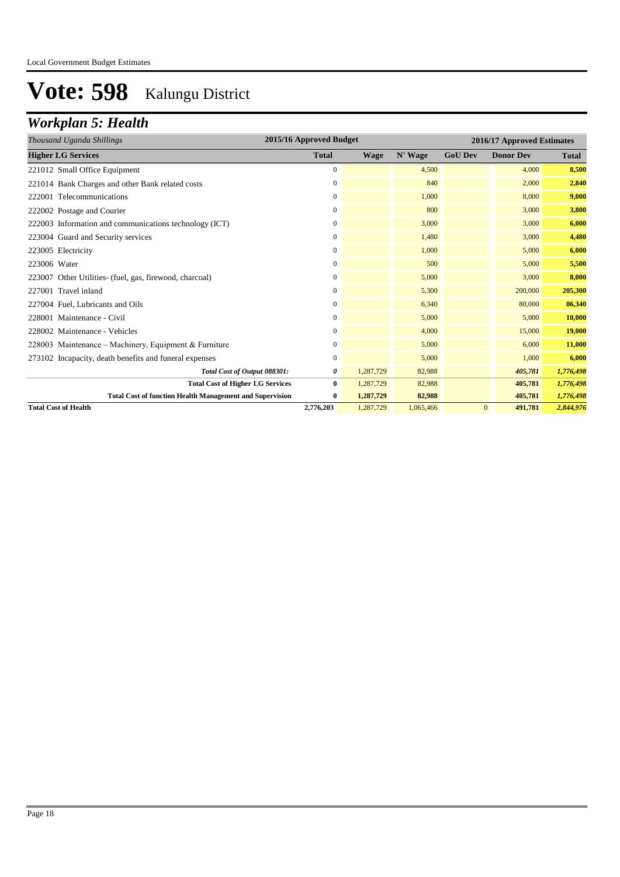### *Workplan 5: Health*

| Thousand Uganda Shillings                                       | 2015/16 Approved Budget |             | 2016/17 Approved Estimates |                |                  |              |
|-----------------------------------------------------------------|-------------------------|-------------|----------------------------|----------------|------------------|--------------|
| <b>Higher LG Services</b>                                       | <b>Total</b>            | <b>Wage</b> | N' Wage                    | <b>GoU Dev</b> | <b>Donor Dev</b> | <b>Total</b> |
| 221012 Small Office Equipment                                   | $\overline{0}$          |             | 4,500                      |                | 4,000            | 8,500        |
| 221014 Bank Charges and other Bank related costs                | 0                       |             | 840                        |                | 2,000            | 2,840        |
| 222001 Telecommunications                                       | 0                       |             | 1,000                      |                | 8,000            | 9,000        |
| 222002 Postage and Courier                                      | $\overline{0}$          |             | 800                        |                | 3,000            | 3,800        |
| 222003 Information and communications technology (ICT)          | 0                       |             | 3,000                      |                | 3,000            | 6,000        |
| 223004 Guard and Security services                              | $\boldsymbol{0}$        |             | 1,480                      |                | 3,000            | 4,480        |
| 223005 Electricity                                              | 0                       |             | 1,000                      |                | 5,000            | 6,000        |
| 223006 Water                                                    | 0                       |             | 500                        |                | 5,000            | 5,500        |
| 223007 Other Utilities- (fuel, gas, firewood, charcoal)         | 0                       |             | 5,000                      |                | 3,000            | 8,000        |
| 227001 Travel inland                                            | 0                       |             | 5,300                      |                | 200,000          | 205,300      |
| 227004 Fuel, Lubricants and Oils                                | $\overline{0}$          |             | 6,340                      |                | 80,000           | 86,340       |
| 228001 Maintenance - Civil                                      | 0                       |             | 5,000                      |                | 5,000            | 10,000       |
| 228002 Maintenance - Vehicles                                   | 0                       |             | 4,000                      |                | 15,000           | 19,000       |
| 228003 Maintenance – Machinery, Equipment & Furniture           | 0                       |             | 5,000                      |                | 6,000            | 11,000       |
| 273102 Incapacity, death benefits and funeral expenses          | 0                       |             | 5,000                      |                | 1,000            | 6,000        |
| Total Cost of Output 088301:                                    | 0                       | 1,287,729   | 82,988                     |                | 405,781          | 1,776,498    |
| <b>Total Cost of Higher LG Services</b>                         | $\mathbf{0}$            | 1,287,729   | 82,988                     |                | 405,781          | 1,776,498    |
| <b>Total Cost of function Health Management and Supervision</b> | $\bf{0}$                | 1,287,729   | 82,988                     |                | 405,781          | 1,776,498    |
| <b>Total Cost of Health</b>                                     | 2,776,203               | 1,287,729   | 1,065,466                  | $\mathbf{0}$   | 491,781          | 2,844,976    |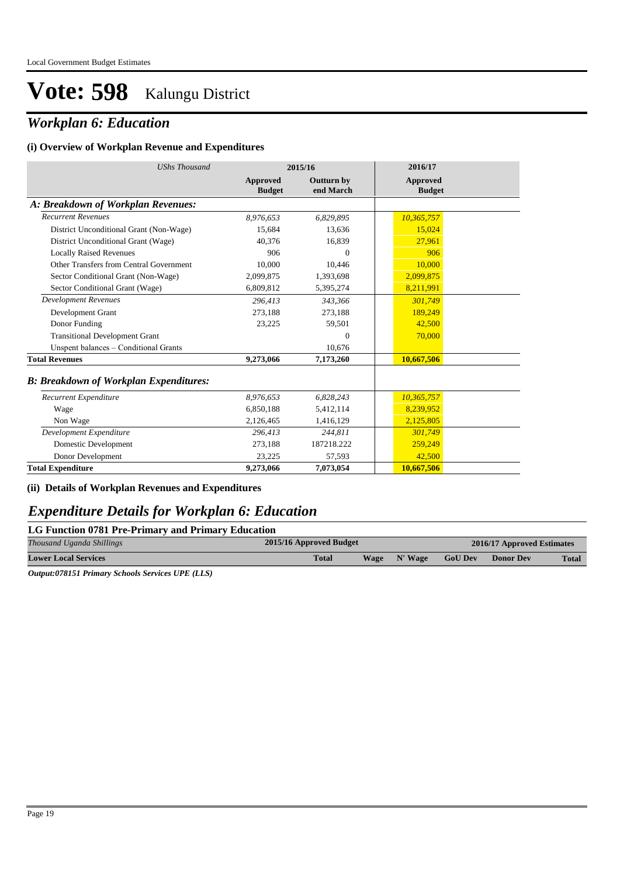### *Workplan 6: Education*

#### **(i) Overview of Workplan Revenue and Expenditures**

| <b>UShs Thousand</b>                          |                           | 2015/16                        | 2016/17                   |
|-----------------------------------------------|---------------------------|--------------------------------|---------------------------|
|                                               | Approved<br><b>Budget</b> | <b>Outturn by</b><br>end March | Approved<br><b>Budget</b> |
| A: Breakdown of Workplan Revenues:            |                           |                                |                           |
| <b>Recurrent Revenues</b>                     | 8,976,653                 | 6,829,895                      | 10,365,757                |
| District Unconditional Grant (Non-Wage)       | 15,684                    | 13,636                         | 15,024                    |
| District Unconditional Grant (Wage)           | 40,376                    | 16,839                         | 27,961                    |
| <b>Locally Raised Revenues</b>                | 906                       | $\Omega$                       | 906                       |
| Other Transfers from Central Government       | 10.000                    | 10,446                         | 10,000                    |
| Sector Conditional Grant (Non-Wage)           | 2,099,875                 | 1,393,698                      | 2,099,875                 |
| Sector Conditional Grant (Wage)               | 6,809,812                 | 5,395,274                      | 8,211,991                 |
| <b>Development Revenues</b>                   | 296.413                   | 343,366                        | 301,749                   |
| Development Grant                             | 273,188                   | 273,188                        | 189.249                   |
| Donor Funding                                 | 23,225                    | 59,501                         | 42,500                    |
| <b>Transitional Development Grant</b>         |                           | $\mathbf{0}$                   | 70,000                    |
| Unspent balances - Conditional Grants         |                           | 10,676                         |                           |
| <b>Total Revenues</b>                         | 9,273,066                 | 7,173,260                      | 10,667,506                |
| <b>B: Breakdown of Workplan Expenditures:</b> |                           |                                |                           |
| Recurrent Expenditure                         | 8.976.653                 | 6,828,243                      | 10,365,757                |
| Wage                                          | 6,850,188                 | 5,412,114                      | 8,239,952                 |
| Non Wage                                      | 2,126,465                 | 1,416,129                      | 2,125,805                 |
| Development Expenditure                       | 296.413                   | 244,811                        | 301,749                   |
| Domestic Development                          | 273,188                   | 187218.222                     | 259,249                   |
| Donor Development                             | 23,225                    | 57,593                         | 42,500                    |
| <b>Total Expenditure</b>                      | 9,273,066                 | 7,073,054                      | 10,667,506                |

#### **(ii) Details of Workplan Revenues and Expenditures**

### *Expenditure Details for Workplan 6: Education*

#### **LG Function 0781 Pre-Primary and Primary Education**

| Thousand Uganda Shillings   | 2015/16 Approved Budget | 2016/17 Approved Estimates |         |                |                  |       |
|-----------------------------|-------------------------|----------------------------|---------|----------------|------------------|-------|
| <b>Lower Local Services</b> | <b>Total</b>            | <b>Wage</b>                | N' Wage | <b>GoU Dev</b> | <b>Donor Dev</b> | Total |
| .<br>____ __ __ _           |                         |                            |         |                |                  |       |

*Output:078151 Primary Schools Services UPE (LLS)*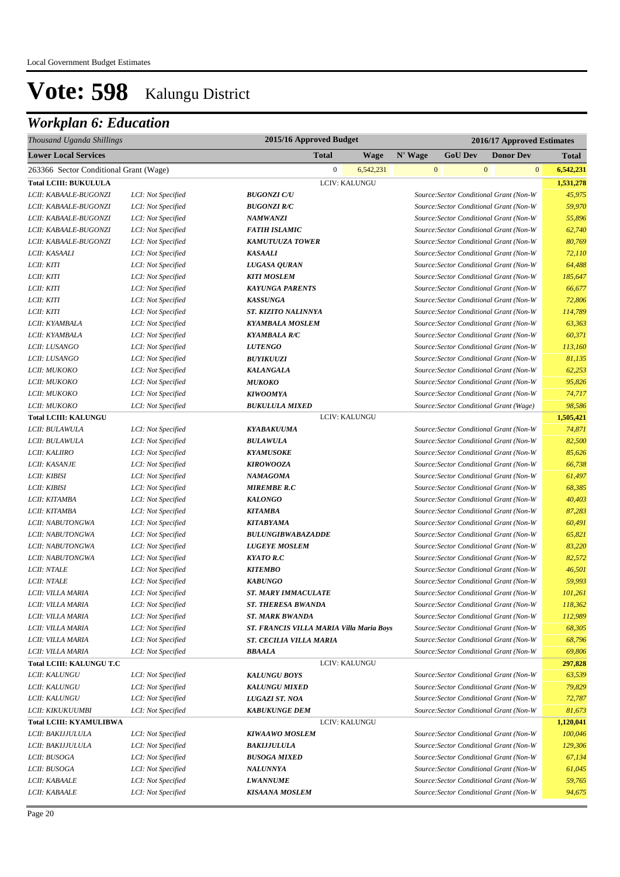| Thousand Uganda Shillings              |                    | 2015/16 Approved Budget                  |               | 2016/17 Approved Estimates |                |                                         |              |  |
|----------------------------------------|--------------------|------------------------------------------|---------------|----------------------------|----------------|-----------------------------------------|--------------|--|
| <b>Lower Local Services</b>            |                    | <b>Total</b>                             | <b>Wage</b>   | N' Wage                    | <b>GoU Dev</b> | <b>Donor Dev</b>                        | <b>Total</b> |  |
| 263366 Sector Conditional Grant (Wage) |                    | $\mathbf{0}$                             | 6,542,231     | $\boldsymbol{0}$           |                | $\mathbf{0}$<br>$\overline{0}$          | 6,542,231    |  |
| <b>Total LCIII: BUKULULA</b>           |                    | LCIV: KALUNGU                            |               |                            |                |                                         | 1,531,278    |  |
| LCII: KABAALE-BUGONZI                  | LCI: Not Specified | <b>BUGONZI C/U</b>                       |               |                            |                | Source: Sector Conditional Grant (Non-W | 45,975       |  |
| LCII: KABAALE-BUGONZI                  | LCI: Not Specified | <b>BUGONZI R/C</b>                       |               |                            |                | Source: Sector Conditional Grant (Non-W | 59,970       |  |
| LCII: KABAALE-BUGONZI                  | LCI: Not Specified | <b>NAMWANZI</b>                          |               |                            |                | Source: Sector Conditional Grant (Non-W | 55,896       |  |
| LCII: KABAALE-BUGONZI                  | LCI: Not Specified | <b>FATIH ISLAMIC</b>                     |               |                            |                | Source: Sector Conditional Grant (Non-W | 62,740       |  |
| LCII: KABAALE-BUGONZI                  | LCI: Not Specified | <b>KAMUTUUZA TOWER</b>                   |               |                            |                | Source: Sector Conditional Grant (Non-W | 80,769       |  |
| LCII: KASAALI                          | LCI: Not Specified | <b>KASAALI</b>                           |               |                            |                | Source: Sector Conditional Grant (Non-W | 72,110       |  |
| LCII: KITI                             | LCI: Not Specified | LUGASA QURAN                             |               |                            |                | Source: Sector Conditional Grant (Non-W | 64,488       |  |
| LCII: KITI                             | LCI: Not Specified | <b>KITI MOSLEM</b>                       |               |                            |                | Source: Sector Conditional Grant (Non-W | 185,647      |  |
| LCII: KITI                             | LCI: Not Specified | <b>KAYUNGA PARENTS</b>                   |               |                            |                | Source: Sector Conditional Grant (Non-W | 66,677       |  |
| LCII: KITI                             | LCI: Not Specified | <b>KASSUNGA</b>                          |               |                            |                | Source: Sector Conditional Grant (Non-W | 72,806       |  |
| LCII: KITI                             | LCI: Not Specified | ST. KIZITO NALINNYA                      |               |                            |                | Source: Sector Conditional Grant (Non-W | 114,789      |  |
| LCII: KYAMBALA                         | LCI: Not Specified | <b>KYAMBALA MOSLEM</b>                   |               |                            |                | Source: Sector Conditional Grant (Non-W | 63,363       |  |
| LCII: KYAMBALA                         | LCI: Not Specified | <b>KYAMBALA R/C</b>                      |               |                            |                | Source: Sector Conditional Grant (Non-W | 60,371       |  |
| LCII: LUSANGO                          | LCI: Not Specified | <b>LUTENGO</b>                           |               |                            |                | Source: Sector Conditional Grant (Non-W | 113,160      |  |
| LCII: LUSANGO                          | LCI: Not Specified | <b>BUYIKUUZI</b>                         |               |                            |                | Source: Sector Conditional Grant (Non-W | 81,135       |  |
| LCII: MUKOKO                           | LCI: Not Specified | <b>KALANGALA</b>                         |               |                            |                | Source: Sector Conditional Grant (Non-W | 62,253       |  |
| LCII: MUKOKO                           | LCI: Not Specified | <b>МUКОКО</b>                            |               |                            |                | Source: Sector Conditional Grant (Non-W | 95,826       |  |
| LCII: MUKOKO                           | LCI: Not Specified | <b>KIWOOMYA</b>                          |               |                            |                | Source: Sector Conditional Grant (Non-W | 74,717       |  |
| LCII: MUKOKO                           | LCI: Not Specified | <b>BUKULULA MIXED</b>                    |               |                            |                | Source: Sector Conditional Grant (Wage) | 98,586       |  |
| <b>Total LCIII: KALUNGU</b>            |                    |                                          | LCIV: KALUNGU |                            |                |                                         | 1,505,421    |  |
| LCII: BULAWULA                         | LCI: Not Specified | <b>KYABAKUUMA</b>                        |               |                            |                | Source: Sector Conditional Grant (Non-W | 74,871       |  |
| LCII: BULAWULA                         | LCI: Not Specified | <b>BULAWULA</b>                          |               |                            |                | Source: Sector Conditional Grant (Non-W | 82,500       |  |
| LCII: KALIIRO                          | LCI: Not Specified | <b>KYAMUSOKE</b>                         |               |                            |                | Source: Sector Conditional Grant (Non-W | 85,626       |  |
| LCII: KASANJE                          | LCI: Not Specified | <b>KIROWOOZA</b>                         |               |                            |                | Source: Sector Conditional Grant (Non-W | 66,738       |  |
| LCII: KIBISI                           | LCI: Not Specified | <b>NAMAGOMA</b>                          |               |                            |                | Source: Sector Conditional Grant (Non-W | 61,497       |  |
| LCII: KIBISI                           | LCI: Not Specified | <b>MIREMBE R.C</b>                       |               |                            |                | Source: Sector Conditional Grant (Non-W | 68,385       |  |
| LCII: KITAMBA                          | LCI: Not Specified | <b>KALONGO</b>                           |               |                            |                | Source: Sector Conditional Grant (Non-W | 40,403       |  |
| LCII: KITAMBA                          | LCI: Not Specified | <b>KITAMBA</b>                           |               |                            |                | Source: Sector Conditional Grant (Non-W | 87,283       |  |
| LCII: NABUTONGWA                       | LCI: Not Specified | <b>KITABYAMA</b>                         |               |                            |                | Source: Sector Conditional Grant (Non-W | 60,491       |  |
| LCII: NABUTONGWA                       | LCI: Not Specified | <b>BULUNGIBWABAZADDE</b>                 |               |                            |                | Source: Sector Conditional Grant (Non-W | 65,821       |  |
| LCII: NABUTONGWA                       | LCI: Not Specified | <b>LUGEYE MOSLEM</b>                     |               |                            |                | Source: Sector Conditional Grant (Non-W | 83,220       |  |
| LCII: NABUTONGWA                       | LCI: Not Specified | <b>KYATO R.C</b>                         |               |                            |                | Source: Sector Conditional Grant (Non-W | 82,572       |  |
| <b>LCII: NTALE</b>                     | LCI: Not Specified | <b>KITEMBO</b>                           |               |                            |                | Source: Sector Conditional Grant (Non-W | 46,501       |  |
| <b>LCII: NTALE</b>                     | LCI: Not Specified | <b>KABUNGO</b>                           |               |                            |                | Source: Sector Conditional Grant (Non-W | 59,993       |  |
| LCII: VILLA MARIA                      | LCI: Not Specified | <b>ST. MARY IMMACULATE</b>               |               |                            |                | Source: Sector Conditional Grant (Non-W | 101,261      |  |
| LCII: VILLA MARIA                      | LCI: Not Specified | <b>ST. THERESA BWANDA</b>                |               |                            |                | Source: Sector Conditional Grant (Non-W | 118,362      |  |
| LCII: VILLA MARIA                      | LCI: Not Specified | <b>ST. MARK BWANDA</b>                   |               |                            |                | Source: Sector Conditional Grant (Non-W | 112,989      |  |
| LCII: VILLA MARIA                      | LCI: Not Specified | ST. FRANCIS VILLA MARIA Villa Maria Boys |               |                            |                | Source: Sector Conditional Grant (Non-W | 68,305       |  |
| LCII: VILLA MARIA                      | LCI: Not Specified | ST. CECILIA VILLA MARIA                  |               |                            |                | Source: Sector Conditional Grant (Non-W | 68,796       |  |
| LCII: VILLA MARIA                      | LCI: Not Specified | <b>BBAALA</b>                            |               |                            |                | Source: Sector Conditional Grant (Non-W | 69,806       |  |
| <b>Total LCIII: KALUNGU T.C</b>        |                    |                                          | LCIV: KALUNGU |                            |                |                                         | 297,828      |  |
| <i>LCII: KALUNGU</i>                   | LCI: Not Specified | <b>KALUNGU BOYS</b>                      |               |                            |                | Source: Sector Conditional Grant (Non-W | 63,539       |  |
| LCII: KALUNGU                          | LCI: Not Specified | <b>KALUNGU MIXED</b>                     |               |                            |                | Source: Sector Conditional Grant (Non-W | 79,829       |  |
| <i>LCII: KALUNGU</i>                   | LCI: Not Specified | <b>LUGAZI ST. NOA</b>                    |               |                            |                | Source: Sector Conditional Grant (Non-W | 72,787       |  |
| LCII: KIKUKUUMBI                       | LCI: Not Specified | <b>KABUKUNGE DEM</b>                     |               |                            |                | Source: Sector Conditional Grant (Non-W | 81,673       |  |
| <b>Total LCIII: KYAMULIBWA</b>         |                    | LCIV: KALUNGU                            |               |                            |                |                                         | 1,120,041    |  |
| LCII: BAKIJJULULA                      | LCI: Not Specified | <b>KIWAAWO MOSLEM</b>                    |               |                            |                | Source: Sector Conditional Grant (Non-W | 100,046      |  |
| LCII: BAKIJJULULA                      | LCI: Not Specified | <b>BAKIJJULULA</b>                       |               |                            |                | Source: Sector Conditional Grant (Non-W | 129,306      |  |
| LCII: BUSOGA                           | LCI: Not Specified | <b>BUSOGA MIXED</b>                      |               |                            |                | Source: Sector Conditional Grant (Non-W | 67,134       |  |
| LCII: BUSOGA                           | LCI: Not Specified | <b>NALUNNYA</b>                          |               |                            |                | Source: Sector Conditional Grant (Non-W | 61,045       |  |
| LCII: KABAALE                          | LCI: Not Specified | <b>LWANNUME</b>                          |               |                            |                | Source: Sector Conditional Grant (Non-W | 59,765       |  |
| LCII: KABAALE                          | LCI: Not Specified | <b>KISAANA MOSLEM</b>                    |               |                            |                | Source: Sector Conditional Grant (Non-W | 94,675       |  |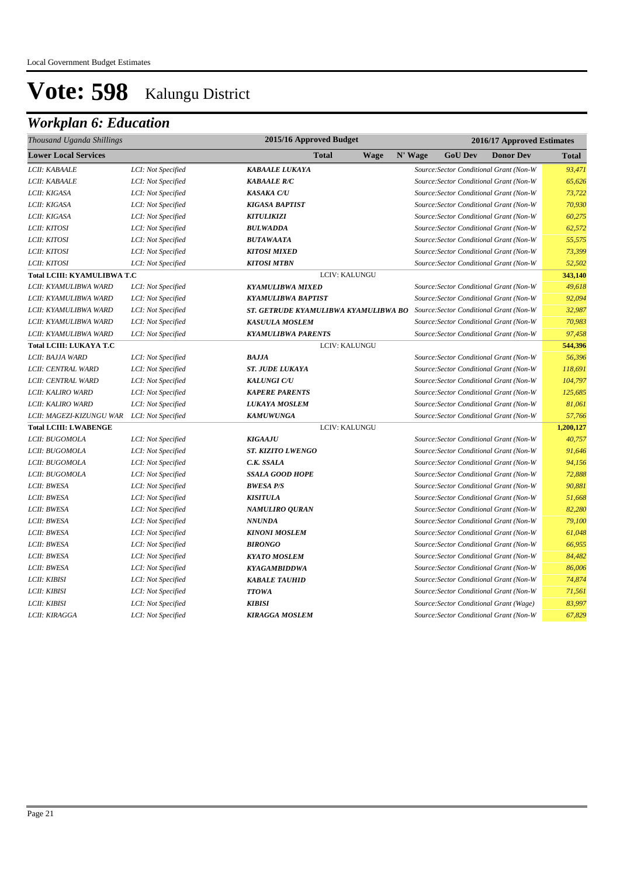| Thousand Uganda Shillings          |                    | 2015/16 Approved Budget              |             |         | 2016/17 Approved Estimates |                                         |              |
|------------------------------------|--------------------|--------------------------------------|-------------|---------|----------------------------|-----------------------------------------|--------------|
| <b>Lower Local Services</b>        |                    | Total                                | <b>Wage</b> | N' Wage | <b>GoU Dev</b>             | <b>Donor Dev</b>                        | <b>Total</b> |
| LCII: KABAALE                      | LCI: Not Specified | <b>KABAALE LUKAYA</b>                |             |         |                            | Source: Sector Conditional Grant (Non-W | 93,471       |
| LCII: KABAALE                      | LCI: Not Specified | <b>KABAALE R/C</b>                   |             |         |                            | Source: Sector Conditional Grant (Non-W | 65,626       |
| LCII: KIGASA                       | LCI: Not Specified | <b>KASAKA C/U</b>                    |             |         |                            | Source: Sector Conditional Grant (Non-W | 73,722       |
| LCII: KIGASA                       | LCI: Not Specified | <b>KIGASA BAPTIST</b>                |             |         |                            | Source: Sector Conditional Grant (Non-W | 70,930       |
| LCII: KIGASA                       | LCI: Not Specified | <b>KITULIKIZI</b>                    |             |         |                            | Source: Sector Conditional Grant (Non-W | 60,275       |
| LCII: KITOSI                       | LCI: Not Specified | <b>BULWADDA</b>                      |             |         |                            | Source: Sector Conditional Grant (Non-W | 62,572       |
| LCII: KITOSI                       | LCI: Not Specified | <b>BUTAWAATA</b>                     |             |         |                            | Source: Sector Conditional Grant (Non-W | 55,575       |
| LCII: KITOSI                       | LCI: Not Specified | <b>KITOSI MIXED</b>                  |             |         |                            | Source: Sector Conditional Grant (Non-W | 73,399       |
| LCII: KITOSI                       | LCI: Not Specified | <b>KITOSI MTBN</b>                   |             |         |                            | Source: Sector Conditional Grant (Non-W | 52,502       |
| <b>Total LCIII: KYAMULIBWA T.C</b> |                    | <b>LCIV: KALUNGU</b>                 |             |         |                            |                                         | 343,140      |
| LCII: KYAMULIBWA WARD              | LCI: Not Specified | <b>KYAMULIBWA MIXED</b>              |             |         |                            | Source: Sector Conditional Grant (Non-W | 49,618       |
| LCII: KYAMULIBWA WARD              | LCI: Not Specified | <b>KYAMULIBWA BAPTIST</b>            |             |         |                            | Source: Sector Conditional Grant (Non-W | 92,094       |
| LCII: KYAMULIBWA WARD              | LCI: Not Specified | ST. GETRUDE KYAMULIBWA KYAMULIBWA BO |             |         |                            | Source: Sector Conditional Grant (Non-W | 32,987       |
| LCII: KYAMULIBWA WARD              | LCI: Not Specified | <b>KASUULA MOSLEM</b>                |             |         |                            | Source: Sector Conditional Grant (Non-W | 70,983       |
| LCII: KYAMULIBWA WARD              | LCI: Not Specified | <b>KYAMULIBWA PARENTS</b>            |             |         |                            | Source: Sector Conditional Grant (Non-W | 97,458       |
| <b>Total LCIII: LUKAYA T.C</b>     |                    | LCIV: KALUNGU                        |             |         |                            |                                         | 544,396      |
| LCII: BAJJA WARD                   | LCI: Not Specified | <b>BAJJA</b>                         |             |         |                            | Source: Sector Conditional Grant (Non-W | 56,396       |
| LCII: CENTRAL WARD                 | LCI: Not Specified | <b>ST. JUDE LUKAYA</b>               |             |         |                            | Source: Sector Conditional Grant (Non-W | 118,691      |
| LCII: CENTRAL WARD                 | LCI: Not Specified | <b>KALUNGI C/U</b>                   |             |         |                            | Source: Sector Conditional Grant (Non-W | 104,797      |
| LCII: KALIRO WARD                  | LCI: Not Specified | <b>KAPERE PARENTS</b>                |             |         |                            | Source: Sector Conditional Grant (Non-W | 125,685      |
| LCII: KALIRO WARD                  | LCI: Not Specified | <b>LUKAYA MOSLEM</b>                 |             |         |                            | Source: Sector Conditional Grant (Non-W | 81,061       |
| LCII: MAGEZI-KIZUNGU WAR           | LCI: Not Specified | <b>KAMUWUNGA</b>                     |             |         |                            | Source: Sector Conditional Grant (Non-W | 57,766       |
| <b>Total LCIII: LWABENGE</b>       |                    | LCIV: KALUNGU                        |             |         |                            |                                         | 1,200,127    |
| LCII: BUGOMOLA                     | LCI: Not Specified | <b>KIGAAJU</b>                       |             |         |                            | Source: Sector Conditional Grant (Non-W | 40,757       |
| LCII: BUGOMOLA                     | LCI: Not Specified | <b>ST. KIZITO LWENGO</b>             |             |         |                            | Source: Sector Conditional Grant (Non-W | 91,646       |
| LCII: BUGOMOLA                     | LCI: Not Specified | C.K. SSALA                           |             |         |                            | Source: Sector Conditional Grant (Non-W | 94,156       |
| LCII: BUGOMOLA                     | LCI: Not Specified | <b>SSALA GOOD HOPE</b>               |             |         |                            | Source: Sector Conditional Grant (Non-W | 72,888       |
| LCII: BWESA                        | LCI: Not Specified | <b>BWESA P/S</b>                     |             |         |                            | Source: Sector Conditional Grant (Non-W | 90,881       |
| LCII: BWESA                        | LCI: Not Specified | <b>KISITULA</b>                      |             |         |                            | Source: Sector Conditional Grant (Non-W | 51,668       |
| LCII: BWESA                        | LCI: Not Specified | <b>NAMULIRO QURAN</b>                |             |         |                            | Source: Sector Conditional Grant (Non-W | 82,280       |
| LCII: BWESA                        | LCI: Not Specified | <b>NNUNDA</b>                        |             |         |                            | Source: Sector Conditional Grant (Non-W | 79,100       |
| LCII: BWESA                        | LCI: Not Specified | <b>KINONI MOSLEM</b>                 |             |         |                            | Source: Sector Conditional Grant (Non-W | 61,048       |
| LCII: BWESA                        | LCI: Not Specified | <b>BIRONGO</b>                       |             |         |                            | Source: Sector Conditional Grant (Non-W | 66,955       |
| LCII: BWESA                        | LCI: Not Specified | <b>KYATO MOSLEM</b>                  |             |         |                            | Source: Sector Conditional Grant (Non-W | 84,482       |
| LCII: BWESA                        | LCI: Not Specified | <b>KYAGAMBIDDWA</b>                  |             |         |                            | Source: Sector Conditional Grant (Non-W | 86,006       |
| LCII: KIBISI                       | LCI: Not Specified | <b>KABALE TAUHID</b>                 |             |         |                            | Source: Sector Conditional Grant (Non-W | 74,874       |
| LCII: KIBISI                       | LCI: Not Specified | <b>TTOWA</b>                         |             |         |                            | Source: Sector Conditional Grant (Non-W | 71,561       |
| LCII: KIBISI                       | LCI: Not Specified | <b>KIBISI</b>                        |             |         |                            | Source: Sector Conditional Grant (Wage) | 83,997       |
| LCII: KIRAGGA                      | LCI: Not Specified | <b>KIRAGGA MOSLEM</b>                |             |         |                            | Source: Sector Conditional Grant (Non-W | 67,829       |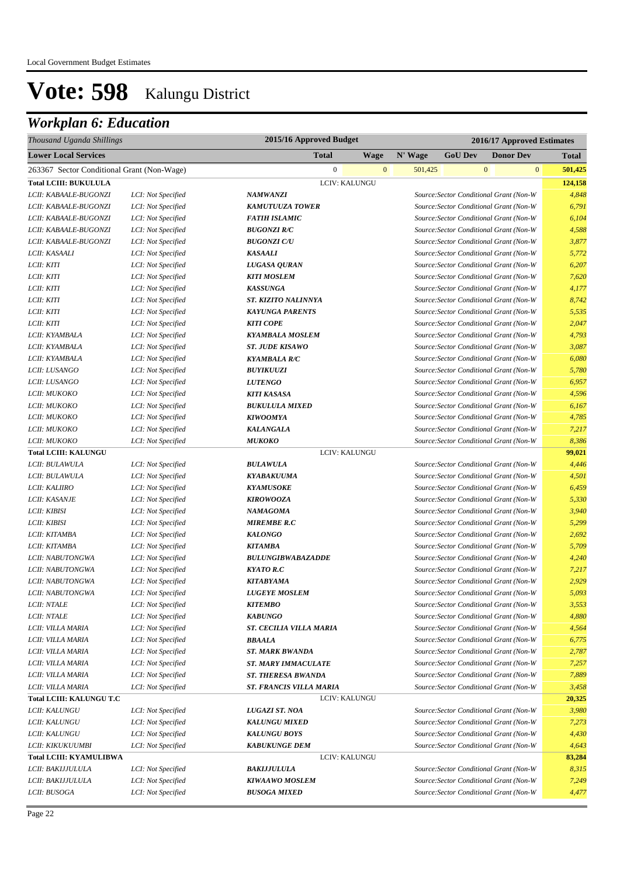| Thousand Uganda Shillings                  |                    | 2015/16 Approved Budget        |               | 2016/17 Approved Estimates |                |                                         |              |
|--------------------------------------------|--------------------|--------------------------------|---------------|----------------------------|----------------|-----------------------------------------|--------------|
| <b>Lower Local Services</b>                |                    | <b>Total</b>                   | <b>Wage</b>   | N' Wage                    | <b>GoU Dev</b> | <b>Donor Dev</b>                        | <b>Total</b> |
| 263367 Sector Conditional Grant (Non-Wage) |                    | $\mathbf{0}$                   | $\mathbf{0}$  | 501,425                    |                | $\mathbf{0}$<br>$\mathbf{0}$            | 501,425      |
| <b>Total LCIII: BUKULULA</b>               |                    |                                | LCIV: KALUNGU |                            |                |                                         | 124,158      |
| LCII: KABAALE-BUGONZI                      | LCI: Not Specified | <b>NAMWANZI</b>                |               |                            |                | Source: Sector Conditional Grant (Non-W | 4,848        |
| LCII: KABAALE-BUGONZI                      | LCI: Not Specified | <b>KAMUTUUZA TOWER</b>         |               |                            |                | Source: Sector Conditional Grant (Non-W | 6,791        |
| LCII: KABAALE-BUGONZI                      | LCI: Not Specified | <b>FATIH ISLAMIC</b>           |               |                            |                | Source: Sector Conditional Grant (Non-W | 6,104        |
| LCII: KABAALE-BUGONZI                      | LCI: Not Specified | <b>BUGONZI R/C</b>             |               |                            |                | Source: Sector Conditional Grant (Non-W | 4,588        |
| LCII: KABAALE-BUGONZI                      | LCI: Not Specified | <b>BUGONZI C/U</b>             |               |                            |                | Source: Sector Conditional Grant (Non-W | 3,877        |
| LCII: KASAALI                              | LCI: Not Specified | <b>KASAALI</b>                 |               |                            |                | Source: Sector Conditional Grant (Non-W | 5,772        |
| LCII: KITI                                 | LCI: Not Specified | LUGASA QURAN                   |               |                            |                | Source: Sector Conditional Grant (Non-W | 6,207        |
| LCII: KITI                                 | LCI: Not Specified | <b>KITI MOSLEM</b>             |               |                            |                | Source: Sector Conditional Grant (Non-W | 7,620        |
| LCII: KITI                                 | LCI: Not Specified | <b>KASSUNGA</b>                |               |                            |                | Source: Sector Conditional Grant (Non-W | 4,177        |
| LCII: KITI                                 | LCI: Not Specified | ST. KIZITO NALINNYA            |               |                            |                | Source: Sector Conditional Grant (Non-W | 8,742        |
| LCII: KITI                                 | LCI: Not Specified | <b>KAYUNGA PARENTS</b>         |               |                            |                | Source: Sector Conditional Grant (Non-W | 5,535        |
| LCII: KITI                                 | LCI: Not Specified | <b>KITI COPE</b>               |               |                            |                | Source: Sector Conditional Grant (Non-W | 2,047        |
| LCII: KYAMBALA                             | LCI: Not Specified | <b>KYAMBALA MOSLEM</b>         |               |                            |                | Source: Sector Conditional Grant (Non-W | 4,793        |
| LCII: KYAMBALA                             | LCI: Not Specified | <b>ST. JUDE KISAWO</b>         |               |                            |                | Source: Sector Conditional Grant (Non-W | 3,087        |
| LCII: KYAMBALA                             | LCI: Not Specified | <b>KYAMBALA R/C</b>            |               |                            |                | Source: Sector Conditional Grant (Non-W | 6,080        |
| LCII: LUSANGO                              | LCI: Not Specified | <b>BUYIKUUZI</b>               |               |                            |                | Source: Sector Conditional Grant (Non-W | 5,780        |
| LCII: LUSANGO                              | LCI: Not Specified | <b>LUTENGO</b>                 |               |                            |                | Source: Sector Conditional Grant (Non-W | 6,957        |
| LCII: MUKOKO                               | LCI: Not Specified | <b>KITI KASASA</b>             |               |                            |                | Source: Sector Conditional Grant (Non-W | 4,596        |
| LCII: MUKOKO                               | LCI: Not Specified | <b>BUKULULA MIXED</b>          |               |                            |                | Source: Sector Conditional Grant (Non-W | 6,167        |
| LCII: MUKOKO                               | LCI: Not Specified | <b>KIWOOMYA</b>                |               |                            |                | Source: Sector Conditional Grant (Non-W | 4,785        |
| LCII: MUKOKO                               | LCI: Not Specified | KALANGALA                      |               |                            |                | Source: Sector Conditional Grant (Non-W | 7,217        |
| LCII: MUKOKO                               | LCI: Not Specified | <b>MUKOKO</b>                  |               |                            |                | Source: Sector Conditional Grant (Non-W | 8,386        |
| <b>Total LCIII: KALUNGU</b>                |                    |                                | LCIV: KALUNGU |                            |                |                                         | 99,021       |
| LCII: BULAWULA                             | LCI: Not Specified | <b>BULAWULA</b>                |               |                            |                | Source: Sector Conditional Grant (Non-W | 4,446        |
| LCII: BULAWULA                             | LCI: Not Specified | <b>KYABAKUUMA</b>              |               |                            |                | Source: Sector Conditional Grant (Non-W | 4,501        |
| LCII: KALIIRO                              | LCI: Not Specified | <b>KYAMUSOKE</b>               |               |                            |                | Source: Sector Conditional Grant (Non-W | 6,459        |
| LCII: KASANJE                              | LCI: Not Specified | <b>KIROWOOZA</b>               |               |                            |                | Source: Sector Conditional Grant (Non-W | 5,330        |
| LCII: KIBISI                               | LCI: Not Specified | <b>NAMAGOMA</b>                |               |                            |                | Source: Sector Conditional Grant (Non-W | 3,940        |
| LCII: KIBISI                               | LCI: Not Specified | <b>MIREMBE R.C</b>             |               |                            |                | Source: Sector Conditional Grant (Non-W | 5,299        |
| LCII: KITAMBA                              | LCI: Not Specified | <b>KALONGO</b>                 |               |                            |                | Source: Sector Conditional Grant (Non-W | 2,692        |
| LCII: KITAMBA                              | LCI: Not Specified | <b>KITAMBA</b>                 |               |                            |                | Source: Sector Conditional Grant (Non-W | 5,709        |
| LCII: NABUTONGWA                           | LCI: Not Specified | <b>BULUNGIBWABAZADDE</b>       |               |                            |                | Source: Sector Conditional Grant (Non-W | 4,240        |
| LCII: NABUTONGWA                           | LCI: Not Specified | <b>KYATO R.C</b>               |               |                            |                | Source: Sector Conditional Grant (Non-W | 7,217        |
| LCII: NABUTONGWA                           | LCI: Not Specified | <b>KITABYAMA</b>               |               |                            |                | Source: Sector Conditional Grant (Non-W | 2,929        |
| LCII: NABUTONGWA                           | LCI: Not Specified | <b>LUGEYE MOSLEM</b>           |               |                            |                | Source: Sector Conditional Grant (Non-W | 5,093        |
| <b>LCII: NTALE</b>                         | LCI: Not Specified | <b>KITEMBO</b>                 |               |                            |                | Source: Sector Conditional Grant (Non-W | 3,553        |
| <b>LCII: NTALE</b>                         | LCI: Not Specified | <b>KABUNGO</b>                 |               |                            |                | Source: Sector Conditional Grant (Non-W | 4,880        |
| LCII: VILLA MARIA                          | LCI: Not Specified | ST. CECILIA VILLA MARIA        |               |                            |                | Source: Sector Conditional Grant (Non-W | 4,564        |
| LCII: VILLA MARIA                          | LCI: Not Specified | BBAALA                         |               |                            |                | Source: Sector Conditional Grant (Non-W | 6,775        |
| LCII: VILLA MARIA                          | LCI: Not Specified | <b>ST. MARK BWANDA</b>         |               |                            |                | Source: Sector Conditional Grant (Non-W | 2,787        |
| LCII: VILLA MARIA                          | LCI: Not Specified | <b>ST. MARY IMMACULATE</b>     |               |                            |                | Source: Sector Conditional Grant (Non-W | 7,257        |
| LCII: VILLA MARIA                          | LCI: Not Specified | <b>ST. THERESA BWANDA</b>      |               |                            |                | Source: Sector Conditional Grant (Non-W | 7,889        |
| LCII: VILLA MARIA                          | LCI: Not Specified | <b>ST. FRANCIS VILLA MARIA</b> |               |                            |                | Source: Sector Conditional Grant (Non-W | 3,458        |
| Total LCIII: KALUNGU T.C                   |                    |                                | LCIV: KALUNGU |                            |                |                                         | 20,325       |
| <i>LCII: KALUNGU</i>                       | LCI: Not Specified | LUGAZI ST. NOA                 |               |                            |                | Source: Sector Conditional Grant (Non-W | 3,980        |
| LCII: KALUNGU                              | LCI: Not Specified | <b>KALUNGU MIXED</b>           |               |                            |                | Source: Sector Conditional Grant (Non-W | 7,273        |
| <i>LCII: KALUNGU</i>                       | LCI: Not Specified | <b>KALUNGU BOYS</b>            |               |                            |                | Source: Sector Conditional Grant (Non-W | 4,430        |
| LCII: KIKUKUUMBI                           | LCI: Not Specified | <b>KABUKUNGE DEM</b>           |               |                            |                | Source: Sector Conditional Grant (Non-W | 4,643        |
| <b>Total LCIII: KYAMULIBWA</b>             |                    |                                | LCIV: KALUNGU |                            |                |                                         | 83,284       |
| LCII: BAKIJJULULA                          | LCI: Not Specified | <b>BAKIJJULULA</b>             |               |                            |                | Source: Sector Conditional Grant (Non-W | 8,315        |
| LCII: BAKIJJULULA                          | LCI: Not Specified | <b>KIWAAWO MOSLEM</b>          |               |                            |                | Source: Sector Conditional Grant (Non-W | 7,249        |
| LCII: BUSOGA                               | LCI: Not Specified | <b>BUSOGA MIXED</b>            |               |                            |                | Source: Sector Conditional Grant (Non-W | 4,477        |
|                                            |                    |                                |               |                            |                |                                         |              |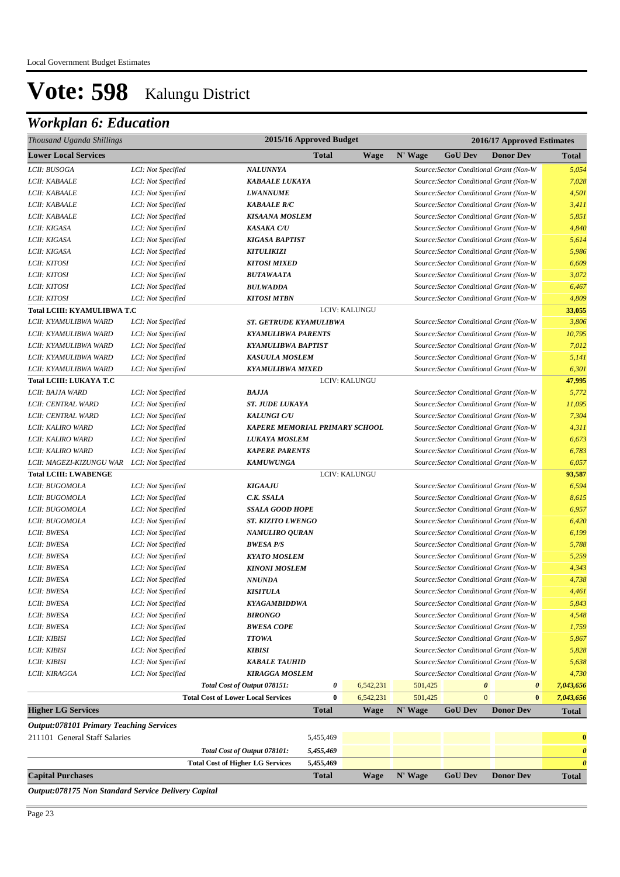### *Workplan 6: Education*

| Thousand Uganda Shillings                      |                    |                                           | 2015/16 Approved Budget |               | 2016/17 Approved Estimates |                |                                         |                       |  |  |
|------------------------------------------------|--------------------|-------------------------------------------|-------------------------|---------------|----------------------------|----------------|-----------------------------------------|-----------------------|--|--|
| <b>Lower Local Services</b>                    |                    |                                           | Total                   | <b>Wage</b>   | N' Wage                    | <b>GoU Dev</b> | <b>Donor Dev</b>                        | <b>Total</b>          |  |  |
| LCII: BUSOGA                                   | LCI: Not Specified | <b>NALUNNYA</b>                           |                         |               |                            |                | Source: Sector Conditional Grant (Non-W | 5,054                 |  |  |
| <i>LCII: KABAALE</i>                           | LCI: Not Specified | <b>KABAALE LUKAYA</b>                     |                         |               |                            |                | Source: Sector Conditional Grant (Non-W | 7,028                 |  |  |
| LCII: KABAALE                                  | LCI: Not Specified | <b>LWANNUME</b>                           |                         |               |                            |                | Source: Sector Conditional Grant (Non-W | 4,501                 |  |  |
| LCII: KABAALE                                  | LCI: Not Specified | <b>KABAALE R/C</b>                        |                         |               |                            |                | Source: Sector Conditional Grant (Non-W | 3,411                 |  |  |
| LCII: KABAALE                                  | LCI: Not Specified | <b>KISAANA MOSLEM</b>                     |                         |               |                            |                | Source: Sector Conditional Grant (Non-W | 5,851                 |  |  |
| LCII: KIGASA                                   | LCI: Not Specified | <b>KASAKA C/U</b>                         |                         |               |                            |                | Source: Sector Conditional Grant (Non-W | 4,840                 |  |  |
| LCII: KIGASA                                   | LCI: Not Specified | <b>KIGASA BAPTIST</b>                     |                         |               |                            |                | Source: Sector Conditional Grant (Non-W | 5,614                 |  |  |
| LCII: KIGASA                                   | LCI: Not Specified | <b>KITULIKIZI</b>                         |                         |               |                            |                | Source: Sector Conditional Grant (Non-W | 5,986                 |  |  |
| LCII: KITOSI                                   | LCI: Not Specified | <b>KITOSI MIXED</b>                       |                         |               |                            |                | Source: Sector Conditional Grant (Non-W | 6,609                 |  |  |
| LCII: KITOSI                                   | LCI: Not Specified | <b>BUTAWAATA</b>                          |                         |               |                            |                | Source: Sector Conditional Grant (Non-W | 3,072                 |  |  |
| LCII: KITOSI                                   | LCI: Not Specified | <b>BULWADDA</b>                           |                         |               |                            |                | Source: Sector Conditional Grant (Non-W | 6,467                 |  |  |
| LCII: KITOSI                                   | LCI: Not Specified | <b>KITOSI MTBN</b>                        |                         |               |                            |                | Source: Sector Conditional Grant (Non-W | 4,809                 |  |  |
| Total LCIII: KYAMULIBWA T.C                    |                    |                                           |                         | LCIV: KALUNGU |                            |                |                                         | 33,055                |  |  |
| LCII: KYAMULIBWA WARD                          | LCI: Not Specified | <b>ST. GETRUDE KYAMULIBWA</b>             |                         |               |                            |                | Source: Sector Conditional Grant (Non-W | 3,806                 |  |  |
| LCII: KYAMULIBWA WARD                          | LCI: Not Specified | <b>KYAMULIBWA PARENTS</b>                 |                         |               |                            |                | Source: Sector Conditional Grant (Non-W | 10,795                |  |  |
| LCII: KYAMULIBWA WARD                          | LCI: Not Specified | <b>KYAMULIBWA BAPTIST</b>                 |                         |               |                            |                | Source: Sector Conditional Grant (Non-W | 7,012                 |  |  |
| LCII: KYAMULIBWA WARD                          | LCI: Not Specified | <b>KASUULA MOSLEM</b>                     |                         |               |                            |                | Source: Sector Conditional Grant (Non-W | 5,141                 |  |  |
| LCII: KYAMULIBWA WARD                          | LCI: Not Specified | <b>KYAMULIBWA MIXED</b>                   |                         |               |                            |                | Source: Sector Conditional Grant (Non-W | 6,301                 |  |  |
| Total LCIII: LUKAYA T.C                        |                    |                                           |                         | LCIV: KALUNGU |                            |                |                                         | 47,995                |  |  |
| LCII: BAJJA WARD                               | LCI: Not Specified | <b>BAJJA</b>                              |                         |               |                            |                | Source: Sector Conditional Grant (Non-W | 5,772                 |  |  |
| LCII: CENTRAL WARD                             | LCI: Not Specified | <b>ST. JUDE LUKAYA</b>                    |                         |               |                            |                | Source: Sector Conditional Grant (Non-W | 11,095                |  |  |
| LCII: CENTRAL WARD                             | LCI: Not Specified | <b>KALUNGI C/U</b>                        |                         |               |                            |                | Source: Sector Conditional Grant (Non-W | 7,304                 |  |  |
| LCII: KALIRO WARD                              | LCI: Not Specified | <b>KAPERE MEMORIAL PRIMARY SCHOOL</b>     |                         |               |                            |                | Source: Sector Conditional Grant (Non-W | 4,311                 |  |  |
| LCII: KALIRO WARD                              | LCI: Not Specified | <b>LUKAYA MOSLEM</b>                      |                         |               |                            |                | Source: Sector Conditional Grant (Non-W | 6,673                 |  |  |
| LCII: KALIRO WARD                              | LCI: Not Specified | <b>KAPERE PARENTS</b>                     |                         |               |                            |                | Source: Sector Conditional Grant (Non-W | 6,783                 |  |  |
| LCII: MAGEZI-KIZUNGU WAR                       | LCI: Not Specified | <b>KAMUWUNGA</b>                          |                         |               |                            |                | Source: Sector Conditional Grant (Non-W | 6,057                 |  |  |
| <b>Total LCIII: LWABENGE</b>                   |                    |                                           |                         | LCIV: KALUNGU |                            |                |                                         | 93,587                |  |  |
| LCII: BUGOMOLA                                 | LCI: Not Specified | <b>KIGAAJU</b>                            |                         |               |                            |                | Source: Sector Conditional Grant (Non-W | 6,594                 |  |  |
| LCII: BUGOMOLA                                 | LCI: Not Specified | C.K. SSALA                                |                         |               |                            |                | Source: Sector Conditional Grant (Non-W | 8,615                 |  |  |
| LCII: BUGOMOLA                                 | LCI: Not Specified | <b>SSALA GOOD HOPE</b>                    |                         |               |                            |                | Source: Sector Conditional Grant (Non-W | 6,957                 |  |  |
| LCII: BUGOMOLA                                 | LCI: Not Specified | <b>ST. KIZITO LWENGO</b>                  |                         |               |                            |                | Source: Sector Conditional Grant (Non-W | 6,420                 |  |  |
| LCII: BWESA                                    | LCI: Not Specified | <b>NAMULIRO QURAN</b>                     |                         |               |                            |                | Source: Sector Conditional Grant (Non-W | 6,199                 |  |  |
| LCII: BWESA                                    | LCI: Not Specified | <b>BWESA P/S</b>                          |                         |               |                            |                | Source: Sector Conditional Grant (Non-W | 5,788                 |  |  |
| LCII: BWESA                                    | LCI: Not Specified | <b>KYATO MOSLEM</b>                       |                         |               |                            |                | Source: Sector Conditional Grant (Non-W | 5,259                 |  |  |
| LCII: BWESA                                    | LCI: Not Specified | <b>KINONI MOSLEM</b>                      |                         |               |                            |                | Source: Sector Conditional Grant (Non-W | 4,343                 |  |  |
| LCII: BWESA                                    | LCI: Not Specified | <b>NNUNDA</b>                             |                         |               |                            |                | Source: Sector Conditional Grant (Non-W | 4,738                 |  |  |
| LCII: BWESA                                    | LCI: Not Specified | <b>KISITULA</b>                           |                         |               |                            |                | Source: Sector Conditional Grant (Non-W | 4,461                 |  |  |
| LCII: BWESA                                    | LCI: Not Specified | <b>KYAGAMBIDDWA</b>                       |                         |               |                            |                | Source: Sector Conditional Grant (Non-W | 5,843                 |  |  |
| LCII: BWESA                                    | LCI: Not Specified | <b>BIRONGO</b>                            |                         |               |                            |                | Source: Sector Conditional Grant (Non-W | 4,548                 |  |  |
| LCII: BWESA                                    | LCI: Not Specified | <b>BWESA COPE</b>                         |                         |               |                            |                | Source: Sector Conditional Grant (Non-W | 1,759                 |  |  |
| <i>LCII: KIBISI</i>                            | LCI: Not Specified | <b>TTOWA</b>                              |                         |               |                            |                | Source: Sector Conditional Grant (Non-W | 5,867                 |  |  |
| <i>LCII: KIBISI</i>                            | LCI: Not Specified | <b>KIBISI</b>                             |                         |               |                            |                | Source: Sector Conditional Grant (Non-W | 5,828                 |  |  |
| LCII: KIBISI                                   | LCI: Not Specified | <b>KABALE TAUHID</b>                      |                         |               |                            |                | Source: Sector Conditional Grant (Non-W | 5,638                 |  |  |
| <i>LCII: KIRAGGA</i>                           | LCI: Not Specified | <b>KIRAGGA MOSLEM</b>                     |                         |               |                            |                | Source: Sector Conditional Grant (Non-W | 4,730                 |  |  |
|                                                |                    | Total Cost of Output 078151:              | 0                       | 6,542,231     | 501,425                    |                | $\boldsymbol{\theta}$<br>0              | 7,043,656             |  |  |
|                                                |                    | <b>Total Cost of Lower Local Services</b> | $\bf{0}$                | 6,542,231     | 501,425                    |                | $\mathbf{0}$<br>$\bf{0}$                | 7,043,656             |  |  |
| <b>Higher LG Services</b>                      |                    |                                           | <b>Total</b>            | <b>Wage</b>   | N' Wage                    | <b>GoU Dev</b> | <b>Donor Dev</b>                        | <b>Total</b>          |  |  |
| <b>Output:078101 Primary Teaching Services</b> |                    |                                           |                         |               |                            |                |                                         |                       |  |  |
| 211101 General Staff Salaries                  |                    |                                           | 5,455,469               |               |                            |                |                                         | $\bf{0}$              |  |  |
|                                                |                    | Total Cost of Output 078101:              | 5,455,469               |               |                            |                |                                         | $\boldsymbol{\theta}$ |  |  |
|                                                |                    | <b>Total Cost of Higher LG Services</b>   | 5,455,469               |               |                            |                |                                         | $\boldsymbol{\theta}$ |  |  |
| <b>Capital Purchases</b>                       |                    |                                           | <b>Total</b>            | <b>Wage</b>   | N' Wage                    | <b>GoU Dev</b> | <b>Donor Dev</b>                        | Total                 |  |  |

*Output:078175 Non Standard Service Delivery Capital*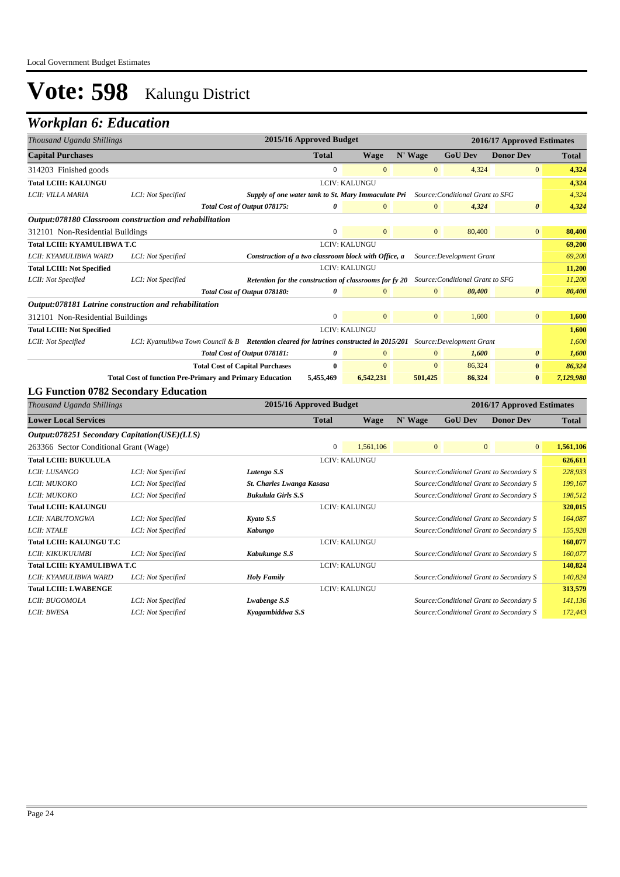| Thousand Uganda Shillings                               |                    |                                                                                         | 2015/16 Approved Budget |                      | 2016/17 Approved Estimates |                                  |                       |              |
|---------------------------------------------------------|--------------------|-----------------------------------------------------------------------------------------|-------------------------|----------------------|----------------------------|----------------------------------|-----------------------|--------------|
| <b>Capital Purchases</b>                                |                    |                                                                                         | <b>Total</b>            | <b>Wage</b>          | N' Wage                    | <b>GoU Dev</b>                   | <b>Donor Dev</b>      | <b>Total</b> |
| 314203 Finished goods                                   |                    |                                                                                         | $\Omega$                | $\mathbf{0}$         | $\mathbf{0}$               | 4,324                            | $\mathbf{0}$          | 4,324        |
| <b>Total LCIII: KALUNGU</b>                             |                    |                                                                                         |                         | <b>LCIV: KALUNGU</b> |                            |                                  |                       | 4,324        |
| LCII: VILLA MARIA                                       | LCI: Not Specified | Supply of one water tank to St. Mary Immaculate Pri                                     |                         |                      |                            | Source: Conditional Grant to SFG |                       | 4.324        |
|                                                         |                    | Total Cost of Output 078175:                                                            | 0                       | $\mathbf{0}$         | $\overline{0}$             | 4,324                            | $\boldsymbol{\theta}$ | 4,324        |
| Output:078180 Classroom construction and rehabilitation |                    |                                                                                         |                         |                      |                            |                                  |                       |              |
| 312101 Non-Residential Buildings                        |                    |                                                                                         | $\mathbf{0}$            | $\overline{0}$       | $\overline{0}$             | 80,400                           | $\overline{0}$        | 80,400       |
| <b>Total LCIII: KYAMULIBWA T.C</b>                      |                    |                                                                                         |                         | LCIV: KALUNGU        |                            |                                  |                       | 69,200       |
| LCII: KYAMULIBWA WARD                                   | LCI: Not Specified | Construction of a two classroom block with Office, a<br>Source: Development Grant       |                         |                      |                            |                                  |                       |              |
| <b>Total LCIII: Not Specified</b>                       |                    | <b>LCIV: KALUNGU</b>                                                                    |                         |                      |                            |                                  |                       | 11,200       |
| LCII: Not Specified                                     | LCI: Not Specified | Retention for the construction of classrooms for fy 20                                  |                         |                      |                            | Source: Conditional Grant to SFG |                       | 11,200       |
|                                                         |                    | Total Cost of Output 078180:                                                            | 0                       | $\overline{0}$       | $\overline{0}$             | 80,400                           | $\boldsymbol{\theta}$ | 80,400       |
| Output:078181 Latrine construction and rehabilitation   |                    |                                                                                         |                         |                      |                            |                                  |                       |              |
| 312101 Non-Residential Buildings                        |                    |                                                                                         | $\overline{0}$          | $\overline{0}$       | $\overline{0}$             | 1,600                            | $\overline{0}$        | 1,600        |
| <b>Total LCIII: Not Specified</b>                       |                    |                                                                                         |                         | <b>LCIV: KALUNGU</b> |                            |                                  |                       | 1,600        |
| LCII: Not Specified                                     |                    | LCI: Kyamulibwa Town Council & B Retention cleared for latrines constructed in 2015/201 |                         |                      |                            | Source: Development Grant        |                       | 1,600        |
|                                                         |                    | Total Cost of Output 078181:                                                            | 0                       | $\mathbf{0}$         | $\overline{0}$             | 1,600                            | 0                     | 1,600        |
|                                                         |                    | <b>Total Cost of Capital Purchases</b>                                                  | $\bf{0}$                | $\mathbf{0}$         | $\mathbf{0}$               | 86,324                           | $\bf{0}$              | 86,324       |
|                                                         |                    | <b>Total Cost of function Pre-Primary and Primary Education</b>                         | 5,455,469               | 6,542,231            | 501,425                    | 86,324                           | $\bf{0}$              | 7,129,980    |
| <b>LG Function 0782 Secondary Education</b>             |                    |                                                                                         |                         |                      |                            |                                  |                       |              |

| Thousand Uganda Shillings                    |                    | 2015/16 Approved Budget   |              |                      |              |                | 2016/17 Approved Estimates               |              |
|----------------------------------------------|--------------------|---------------------------|--------------|----------------------|--------------|----------------|------------------------------------------|--------------|
| <b>Lower Local Services</b>                  |                    |                           | <b>Total</b> | Wage                 | N' Wage      | <b>GoU</b> Dev | <b>Donor Dev</b>                         | <b>Total</b> |
| Output:078251 Secondary Capitation(USE)(LLS) |                    |                           |              |                      |              |                |                                          |              |
| 263366 Sector Conditional Grant (Wage)       |                    |                           | $\mathbf{0}$ | 1,561,106            | $\mathbf{0}$ |                | $\overline{0}$<br>$\overline{0}$         | 1,561,106    |
| <b>Total LCIII: BUKULULA</b>                 |                    |                           |              | LCIV: KALUNGU        |              |                |                                          | 626,611      |
| <i>LCII: LUSANGO</i>                         | LCI: Not Specified | Lutengo S.S               |              |                      |              |                | Source: Conditional Grant to Secondary S | 228,933      |
| LCII: MUKOKO                                 | LCI: Not Specified | St. Charles Lwanga Kasasa |              |                      |              |                | Source: Conditional Grant to Secondary S | 199,167      |
| LCII: MUKOKO                                 | LCI: Not Specified | <b>Bukulula Girls S.S</b> |              |                      |              |                | Source: Conditional Grant to Secondary S | 198,512      |
| <b>Total LCIII: KALUNGU</b>                  |                    |                           |              | <b>LCIV: KALUNGU</b> |              |                |                                          | 320,015      |
| LCII: NABUTONGWA                             | LCI: Not Specified | Kyato S.S                 |              |                      |              |                | Source: Conditional Grant to Secondary S | 164,087      |
| <b>LCII: NTALE</b>                           | LCI: Not Specified | Kabungo                   |              |                      |              |                | Source: Conditional Grant to Secondary S | 155,928      |
| Total LCIII: KALUNGU T.C                     |                    |                           |              | <b>LCIV: KALUNGU</b> |              |                |                                          | 160,077      |
| LCII: KIKUKUUMBI                             | LCI: Not Specified | Kabukunge S.S             |              |                      |              |                | Source: Conditional Grant to Secondary S | 160,077      |
| Total LCIII: KYAMULIBWA T.C                  |                    |                           |              | <b>LCIV: KALUNGU</b> |              |                |                                          | 140,824      |
| LCII: KYAMULIBWA WARD                        | LCI: Not Specified | <b>Holy Family</b>        |              |                      |              |                | Source: Conditional Grant to Secondary S | 140,824      |
| <b>Total LCIII: LWABENGE</b>                 |                    |                           |              | <b>LCIV: KALUNGU</b> |              |                |                                          | 313,579      |
| LCII: BUGOMOLA                               | LCI: Not Specified | Lwabenge S.S              |              |                      |              |                | Source: Conditional Grant to Secondary S | 141,136      |
| LCII: BWESA                                  | LCI: Not Specified | Kyagambiddwa S.S          |              |                      |              |                | Source: Conditional Grant to Secondary S | 172,443      |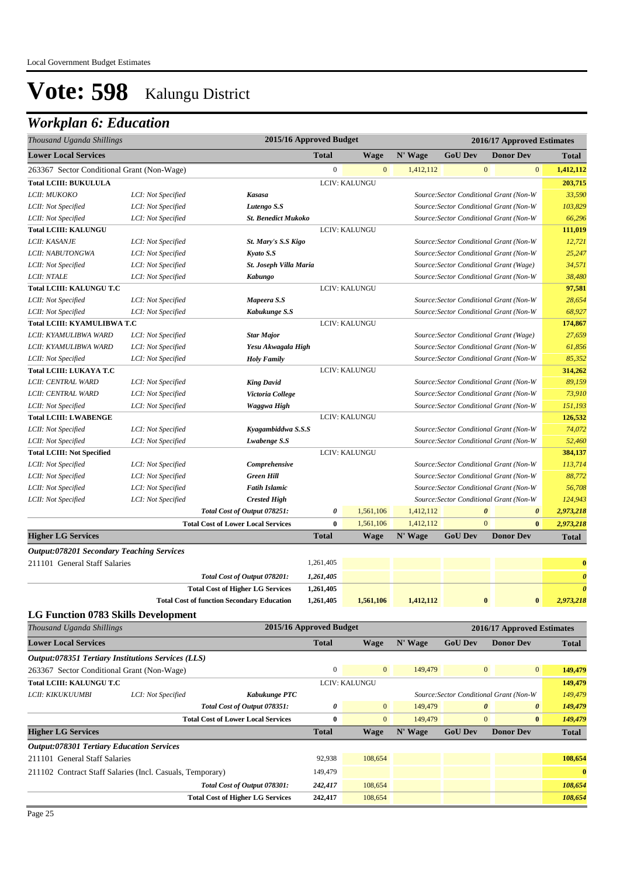| Thousand Uganda Shillings                                 |                    |                                                   | 2015/16 Approved Budget |                |           |                                         |                       | 2016/17 Approved Estimates |                       |
|-----------------------------------------------------------|--------------------|---------------------------------------------------|-------------------------|----------------|-----------|-----------------------------------------|-----------------------|----------------------------|-----------------------|
| <b>Lower Local Services</b>                               |                    |                                                   | <b>Total</b>            | <b>Wage</b>    | N' Wage   | <b>GoU Dev</b>                          |                       | <b>Donor Dev</b>           | <b>Total</b>          |
| 263367 Sector Conditional Grant (Non-Wage)                |                    |                                                   | $\overline{0}$          | $\mathbf{0}$   | 1,412,112 |                                         | $\mathbf{0}$          | $\mathbf{0}$               | 1,412,112             |
| <b>Total LCIII: BUKULULA</b>                              |                    |                                                   |                         | LCIV: KALUNGU  |           |                                         |                       |                            | 203,715               |
| LCII: MUKOKO                                              | LCI: Not Specified | Kasasa                                            |                         |                |           | Source: Sector Conditional Grant (Non-W |                       |                            | 33,590                |
| LCII: Not Specified                                       | LCI: Not Specified | Lutengo S.S                                       |                         |                |           | Source: Sector Conditional Grant (Non-W |                       |                            | 103,829               |
| LCII: Not Specified                                       | LCI: Not Specified | <b>St. Benedict Mukoko</b>                        |                         |                |           | Source: Sector Conditional Grant (Non-W |                       |                            | 66,296                |
| <b>Total LCIII: KALUNGU</b>                               |                    |                                                   |                         | LCIV: KALUNGU  |           |                                         |                       |                            | 111,019               |
| LCII: KASANJE                                             | LCI: Not Specified | St. Mary's S.S Kigo                               |                         |                |           | Source: Sector Conditional Grant (Non-W |                       |                            | 12,721                |
| LCII: NABUTONGWA                                          | LCI: Not Specified | Kyato S.S                                         |                         |                |           | Source: Sector Conditional Grant (Non-W |                       |                            | 25,247                |
| LCII: Not Specified                                       | LCI: Not Specified | St. Joseph Villa Maria                            |                         |                |           | Source: Sector Conditional Grant (Wage) |                       |                            | 34,571                |
| <b>LCII: NTALE</b>                                        | LCI: Not Specified | <b>Kabungo</b>                                    |                         |                |           | Source: Sector Conditional Grant (Non-W |                       |                            | 38,480                |
| <b>Total LCIII: KALUNGU T.C</b>                           |                    |                                                   |                         | LCIV: KALUNGU  |           |                                         |                       |                            | 97,581                |
| LCII: Not Specified                                       | LCI: Not Specified | Mapeera S.S                                       |                         |                |           | Source: Sector Conditional Grant (Non-W |                       |                            | 28,654                |
| LCII: Not Specified                                       | LCI: Not Specified | Kabukunge S.S                                     |                         |                |           | Source: Sector Conditional Grant (Non-W |                       |                            | 68,927                |
| Total LCIII: KYAMULIBWA T.C                               |                    |                                                   |                         | LCIV: KALUNGU  |           |                                         |                       |                            | 174,867               |
| LCII: KYAMULIBWA WARD                                     | LCI: Not Specified | <b>Star Major</b>                                 |                         |                |           | Source: Sector Conditional Grant (Wage) |                       |                            | 27,659                |
| LCII: KYAMULIBWA WARD                                     | LCI: Not Specified | Yesu Akwagala High                                |                         |                |           | Source: Sector Conditional Grant (Non-W |                       |                            | 61,856                |
| LCII: Not Specified                                       | LCI: Not Specified | <b>Holy Family</b>                                |                         |                |           | Source: Sector Conditional Grant (Non-W |                       |                            | 85,352                |
| Total LCIII: LUKAYA T.C                                   |                    |                                                   |                         | LCIV: KALUNGU  |           |                                         |                       |                            | 314,262               |
| LCII: CENTRAL WARD                                        | LCI: Not Specified | <b>King David</b>                                 |                         |                |           | Source: Sector Conditional Grant (Non-W |                       |                            | 89,159                |
| LCII: CENTRAL WARD                                        | LCI: Not Specified | Victoria College                                  |                         |                |           | Source: Sector Conditional Grant (Non-W |                       |                            | 73,910                |
| LCII: Not Specified                                       | LCI: Not Specified | Waggwa High                                       |                         |                |           | Source: Sector Conditional Grant (Non-W |                       |                            | 151,193               |
| <b>Total LCIII: LWABENGE</b>                              |                    |                                                   |                         | LCIV: KALUNGU  |           |                                         |                       |                            | 126,532               |
| LCII: Not Specified                                       | LCI: Not Specified | Kyagambiddwa S.S.S                                |                         |                |           | Source: Sector Conditional Grant (Non-W |                       |                            | 74,072                |
| LCII: Not Specified                                       | LCI: Not Specified | Lwabenge S.S                                      |                         |                |           | Source: Sector Conditional Grant (Non-W |                       |                            | 52,460                |
| <b>Total LCIII: Not Specified</b>                         |                    |                                                   |                         | LCIV: KALUNGU  |           |                                         |                       |                            | 384,137               |
| LCII: Not Specified                                       | LCI: Not Specified | Comprehensive                                     |                         |                |           | Source: Sector Conditional Grant (Non-W |                       |                            | 113,714               |
| LCII: Not Specified                                       | LCI: Not Specified | <b>Green Hill</b>                                 |                         |                |           | Source: Sector Conditional Grant (Non-W |                       |                            | 88,772                |
| LCII: Not Specified                                       | LCI: Not Specified | <b>Fatih Islamic</b>                              |                         |                |           | Source: Sector Conditional Grant (Non-W |                       |                            | 56,708                |
| LCII: Not Specified                                       | LCI: Not Specified | <b>Crested High</b>                               |                         |                |           | Source: Sector Conditional Grant (Non-W |                       |                            | 124,943               |
|                                                           |                    | Total Cost of Output 078251:                      | 0                       | 1,561,106      | 1,412,112 |                                         | $\boldsymbol{\theta}$ | $\pmb{\theta}$             | 2,973,218             |
|                                                           |                    | <b>Total Cost of Lower Local Services</b>         | $\bf{0}$                | 1,561,106      | 1,412,112 |                                         | $\mathbf{0}$          | $\bf{0}$                   | 2,973,218             |
| <b>Higher LG Services</b>                                 |                    |                                                   | <b>Total</b>            | <b>Wage</b>    | N' Wage   | <b>GoU Dev</b>                          |                       | <b>Donor Dev</b>           | <b>Total</b>          |
| <b>Output:078201 Secondary Teaching Services</b>          |                    |                                                   |                         |                |           |                                         |                       |                            |                       |
| 211101 General Staff Salaries                             |                    |                                                   | 1,261,405               |                |           |                                         |                       |                            | $\bf{0}$              |
|                                                           |                    | Total Cost of Output 078201:                      | 1,261,405               |                |           |                                         |                       |                            | $\boldsymbol{\theta}$ |
|                                                           |                    | <b>Total Cost of Higher LG Services</b>           | 1,261,405               |                |           |                                         |                       |                            | $\boldsymbol{\theta}$ |
|                                                           |                    | <b>Total Cost of function Secondary Education</b> | 1,261,405               | 1,561,106      | 1,412,112 |                                         |                       |                            | 2,973,218             |
| <b>LG Function 0783 Skills Development</b>                |                    |                                                   |                         |                |           |                                         |                       |                            |                       |
| Thousand Uganda Shillings                                 |                    |                                                   | 2015/16 Approved Budget |                |           |                                         |                       | 2016/17 Approved Estimates |                       |
| <b>Lower Local Services</b>                               |                    |                                                   | <b>Total</b>            | Wage           | N' Wage   | <b>GoU Dev</b>                          |                       | <b>Donor Dev</b>           | <b>Total</b>          |
| Output:078351 Tertiary Institutions Services (LLS)        |                    |                                                   |                         |                |           |                                         |                       |                            |                       |
| 263367 Sector Conditional Grant (Non-Wage)                |                    |                                                   | $\boldsymbol{0}$        | $\mathbf{0}$   | 149,479   |                                         | $\mathbf{0}$          | $\bf{0}$                   | 149,479               |
| Total LCIII: KALUNGU T.C                                  |                    |                                                   |                         | LCIV: KALUNGU  |           |                                         |                       |                            | 149,479               |
| LCII: KIKUKUUMBI                                          | LCI: Not Specified | Kabukunge PTC                                     |                         |                |           | Source: Sector Conditional Grant (Non-W |                       |                            | 149,479               |
|                                                           |                    | Total Cost of Output 078351:                      | $\pmb{\theta}$          | $\mathbf{0}$   | 149,479   |                                         | $\boldsymbol{\theta}$ | 0                          | 149,479               |
|                                                           |                    | <b>Total Cost of Lower Local Services</b>         | $\bf{0}$                | $\overline{0}$ | 149,479   |                                         | $\overline{0}$        | $\pmb{0}$                  | 149,479               |
| <b>Higher LG Services</b>                                 |                    |                                                   | <b>Total</b>            | <b>Wage</b>    | N' Wage   | <b>GoU Dev</b>                          |                       | <b>Donor Dev</b>           | <b>Total</b>          |
| <b>Output:078301 Tertiary Education Services</b>          |                    |                                                   |                         |                |           |                                         |                       |                            |                       |
| 211101 General Staff Salaries                             |                    |                                                   | 92,938                  | 108,654        |           |                                         |                       |                            | 108,654               |
|                                                           |                    |                                                   |                         |                |           |                                         |                       |                            | $\bf{0}$              |
| 211102 Contract Staff Salaries (Incl. Casuals, Temporary) |                    |                                                   | 149,479                 |                |           |                                         |                       |                            |                       |
|                                                           |                    | Total Cost of Output 078301:                      | 242,417                 | 108,654        |           |                                         |                       |                            | 108,654               |
|                                                           |                    | <b>Total Cost of Higher LG Services</b>           | 242,417                 | 108,654        |           |                                         |                       |                            | 108,654               |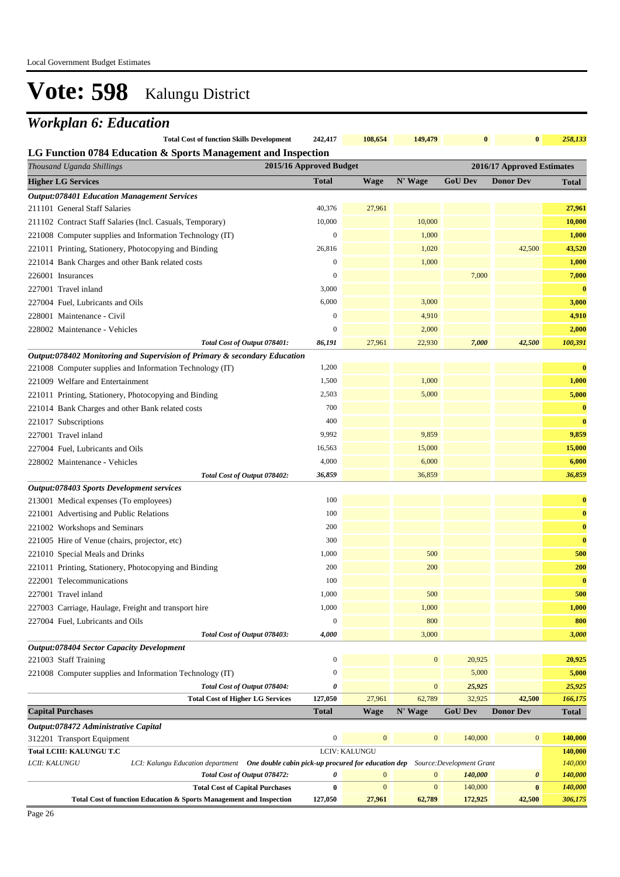| <b>Total Cost of function Skills Development</b>              | 242.417 | 108.654 | 149.479 | $\mathbf{0}$ | $\mathbf{0}$ | 258,133 |
|---------------------------------------------------------------|---------|---------|---------|--------------|--------------|---------|
| LG Function 0784 Education & Sports Management and Inspection |         |         |         |              |              |         |

| ∟G г инсион 0704 Education & Sports манаgement анd mspection<br>Thousand Uganda Shillings                                              | 2015/16 Approved Budget |                  |                  |                                      | 2016/17 Approved Estimates |                    |
|----------------------------------------------------------------------------------------------------------------------------------------|-------------------------|------------------|------------------|--------------------------------------|----------------------------|--------------------|
| <b>Higher LG Services</b>                                                                                                              | <b>Total</b>            | <b>Wage</b>      | N' Wage          | <b>GoU Dev</b>                       | <b>Donor Dev</b>           | Total              |
| <b>Output:078401 Education Management Services</b>                                                                                     |                         |                  |                  |                                      |                            |                    |
| 211101 General Staff Salaries                                                                                                          | 40,376                  | 27,961           |                  |                                      |                            | 27,961             |
| 211102 Contract Staff Salaries (Incl. Casuals, Temporary)                                                                              | 10,000                  |                  | 10,000           |                                      |                            | 10,000             |
| 221008 Computer supplies and Information Technology (IT)                                                                               | $\boldsymbol{0}$        |                  | 1,000            |                                      |                            | 1,000              |
| 221011 Printing, Stationery, Photocopying and Binding                                                                                  | 26,816                  |                  | 1,020            |                                      | 42,500                     | 43,520             |
| 221014 Bank Charges and other Bank related costs                                                                                       | $\mathbf{0}$            |                  | 1,000            |                                      |                            | 1,000              |
| 226001 Insurances                                                                                                                      | $\mathbf{0}$            |                  |                  | 7,000                                |                            | 7,000              |
| 227001 Travel inland                                                                                                                   | 3,000                   |                  |                  |                                      |                            | $\bf{0}$           |
| 227004 Fuel, Lubricants and Oils                                                                                                       | 6,000                   |                  | 3,000            |                                      |                            | 3,000              |
| 228001 Maintenance - Civil                                                                                                             | $\mathbf{0}$            |                  | 4,910            |                                      |                            | 4,910              |
| 228002 Maintenance - Vehicles                                                                                                          | $\mathbf{0}$            |                  | 2,000            |                                      |                            | 2,000              |
| Total Cost of Output 078401:                                                                                                           | 86,191                  | 27,961           | 22,930           | 7,000                                | 42,500                     | 100,391            |
| Output:078402 Monitoring and Supervision of Primary & secondary Education                                                              |                         |                  |                  |                                      |                            |                    |
| 221008 Computer supplies and Information Technology (IT)                                                                               | 1,200                   |                  |                  |                                      |                            | $\bf{0}$           |
| 221009 Welfare and Entertainment                                                                                                       | 1,500                   |                  | 1,000            |                                      |                            | 1,000              |
| 221011 Printing, Stationery, Photocopying and Binding                                                                                  | 2,503                   |                  | 5,000            |                                      |                            | 5,000              |
| 221014 Bank Charges and other Bank related costs                                                                                       | 700                     |                  |                  |                                      |                            | $\bf{0}$           |
| 221017 Subscriptions                                                                                                                   | 400                     |                  |                  |                                      |                            | $\bf{0}$           |
| 227001 Travel inland                                                                                                                   | 9,992                   |                  | 9,859            |                                      |                            | 9,859              |
| 227004 Fuel, Lubricants and Oils                                                                                                       | 16,563                  |                  | 15,000           |                                      |                            | 15,000             |
| 228002 Maintenance - Vehicles                                                                                                          | 4,000                   |                  | 6,000            |                                      |                            | 6,000              |
| Total Cost of Output 078402:                                                                                                           | 36,859                  |                  | 36,859           |                                      |                            | 36,859             |
| Output:078403 Sports Development services                                                                                              |                         |                  |                  |                                      |                            |                    |
| 213001 Medical expenses (To employees)                                                                                                 | 100                     |                  |                  |                                      |                            | $\bf{0}$           |
| 221001 Advertising and Public Relations                                                                                                | 100                     |                  |                  |                                      |                            | $\bf{0}$           |
| 221002 Workshops and Seminars                                                                                                          | 200                     |                  |                  |                                      |                            | $\bf{0}$           |
| 221005 Hire of Venue (chairs, projector, etc)                                                                                          | 300                     |                  |                  |                                      |                            | $\bf{0}$           |
| 221010 Special Meals and Drinks                                                                                                        | 1,000                   |                  | 500              |                                      |                            | 500                |
| 221011 Printing, Stationery, Photocopying and Binding                                                                                  | 200                     |                  | 200              |                                      |                            | 200                |
| 222001 Telecommunications                                                                                                              | 100                     |                  |                  |                                      |                            | $\bf{0}$           |
| 227001 Travel inland                                                                                                                   | 1,000                   |                  | 500              |                                      |                            | 500                |
| 227003 Carriage, Haulage, Freight and transport hire                                                                                   | 1,000                   |                  | 1,000            |                                      |                            | 1,000              |
| 227004 Fuel, Lubricants and Oils                                                                                                       | $\Omega$                |                  | 800              |                                      |                            | 800                |
| Total Cost of Output 078403:                                                                                                           | 4,000                   |                  | 3,000            |                                      |                            | 3,000              |
| <b>Output:078404 Sector Capacity Development</b>                                                                                       |                         |                  |                  |                                      |                            |                    |
| 221003 Staff Training                                                                                                                  | $\boldsymbol{0}$        |                  | $\mathbf{0}$     | 20,925                               |                            | 20,925             |
| 221008 Computer supplies and Information Technology (IT)                                                                               | $\boldsymbol{0}$        |                  |                  | 5,000                                |                            | 5,000              |
| Total Cost of Output 078404:                                                                                                           | 0                       |                  | $\boldsymbol{0}$ | 25,925                               |                            | 25,925             |
| <b>Total Cost of Higher LG Services</b>                                                                                                | 127,050                 | 27,961           | 62,789           | 32,925                               | 42,500                     | 166,175            |
| <b>Capital Purchases</b>                                                                                                               | <b>Total</b>            | <b>Wage</b>      | N' Wage          | <b>GoU Dev</b>                       | <b>Donor Dev</b>           | <b>Total</b>       |
| Output:078472 Administrative Capital                                                                                                   |                         |                  |                  |                                      |                            |                    |
| 312201 Transport Equipment                                                                                                             | $\boldsymbol{0}$        | $\mathbf{0}$     | $\boldsymbol{0}$ | 140,000                              | $\bf{0}$                   | 140,000            |
| Total LCIII: KALUNGU T.C                                                                                                               |                         | LCIV: KALUNGU    |                  |                                      |                            | 140,000            |
| LCII: KALUNGU<br>LCI: Kalungu Education department One double cabin pick-up procured for education dep<br>Total Cost of Output 078472: | 0                       | $\boldsymbol{0}$ | $\boldsymbol{0}$ | Source: Development Grant<br>140,000 | 0                          | 140,000<br>140,000 |
| <b>Total Cost of Capital Purchases</b>                                                                                                 | $\boldsymbol{0}$        | $\mathbf{0}$     | $\boldsymbol{0}$ | 140,000                              | $\bf{0}$                   | 140,000            |
| Total Cost of function Education & Sports Management and Inspection                                                                    | 127,050                 | 27,961           | 62,789           | 172,925                              | 42,500                     | 306,175            |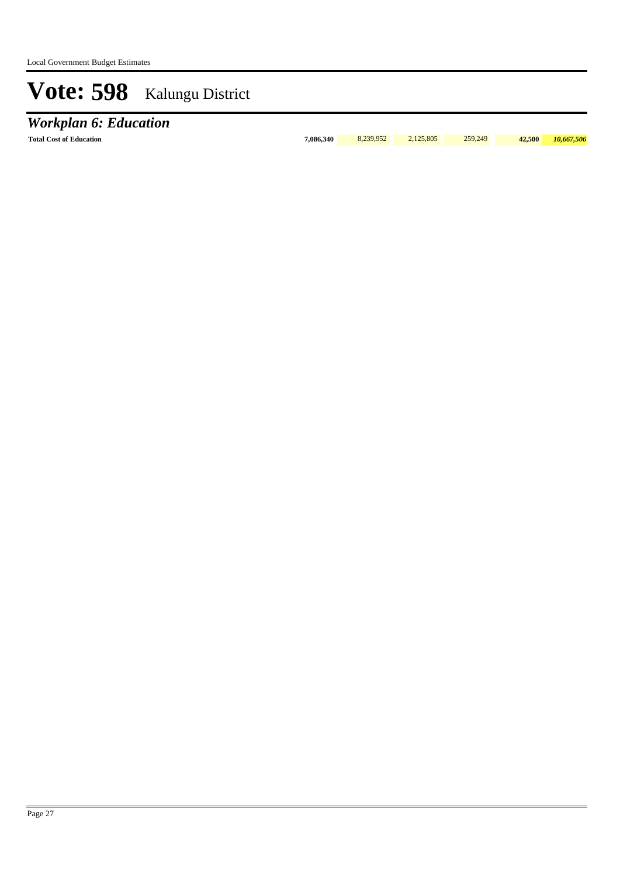*Workplan 6: Education*

**Total Cost of Education 7,086,340** 8,239,952 2,125,805 259,249 **42,500** *10,667,506*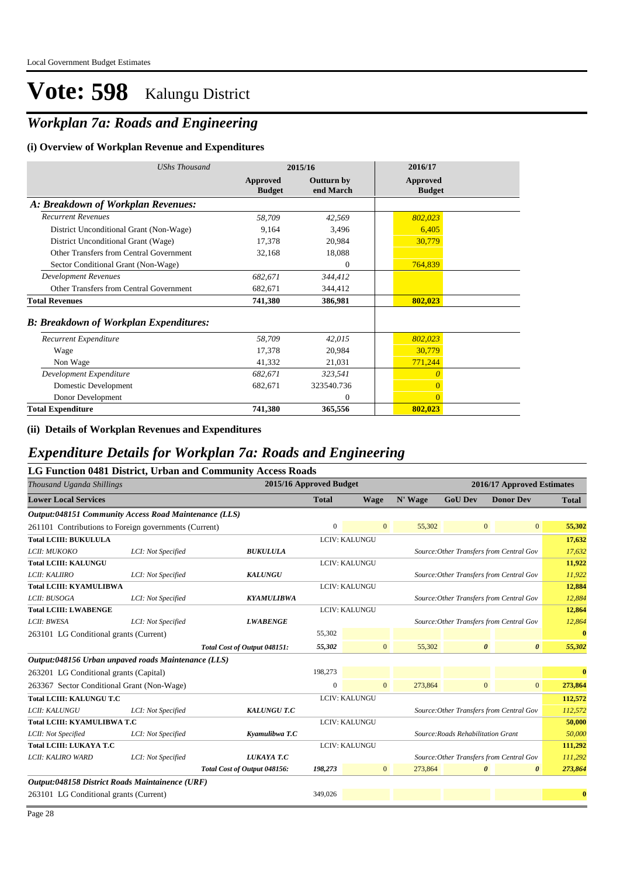### *Workplan 7a: Roads and Engineering*

#### **(i) Overview of Workplan Revenue and Expenditures**

| <b>UShs Thousand</b>                          |                                  | 2015/16                        | 2016/17                   |
|-----------------------------------------------|----------------------------------|--------------------------------|---------------------------|
|                                               | <b>Approved</b><br><b>Budget</b> | <b>Outturn by</b><br>end March | Approved<br><b>Budget</b> |
| A: Breakdown of Workplan Revenues:            |                                  |                                |                           |
| <b>Recurrent Revenues</b>                     | 58,709                           | 42,569                         | 802,023                   |
| District Unconditional Grant (Non-Wage)       | 9,164                            | 3,496                          | 6,405                     |
| District Unconditional Grant (Wage)           | 17,378                           | 20,984                         | 30,779                    |
| Other Transfers from Central Government       | 32,168                           | 18,088                         |                           |
| Sector Conditional Grant (Non-Wage)           |                                  | $\Omega$                       | 764,839                   |
| <b>Development Revenues</b>                   | 682,671                          | 344,412                        |                           |
| Other Transfers from Central Government       | 682,671                          | 344,412                        |                           |
| <b>Total Revenues</b>                         | 741,380                          | 386,981                        | 802,023                   |
| <b>B: Breakdown of Workplan Expenditures:</b> |                                  |                                |                           |
| Recurrent Expenditure                         | 58,709                           | 42,015                         | 802,023                   |
| Wage                                          | 17,378                           | 20,984                         | 30,779                    |
| Non Wage                                      | 41,332                           | 21,031                         | 771,244                   |
| Development Expenditure                       | 682,671                          | 323,541                        | $\theta$                  |
| Domestic Development                          | 682,671                          | 323540.736                     | $\overline{0}$            |
| Donor Development                             |                                  | $\Omega$                       | $\Omega$                  |
| <b>Total Expenditure</b>                      | 741,380                          | 365,556                        | 802,023                   |

**(ii) Details of Workplan Revenues and Expenditures**

#### *Expenditure Details for Workplan 7a: Roads and Engineering*

|                                                       |                    | LG Function 0481 District, Urban and Community Access Roads |                         |                |         |                                    |                                          |                  |
|-------------------------------------------------------|--------------------|-------------------------------------------------------------|-------------------------|----------------|---------|------------------------------------|------------------------------------------|------------------|
| Thousand Uganda Shillings                             |                    |                                                             | 2015/16 Approved Budget |                |         |                                    | 2016/17 Approved Estimates               |                  |
| <b>Lower Local Services</b>                           |                    |                                                             | <b>Total</b>            | <b>Wage</b>    | N' Wage | <b>GoU Dev</b>                     | <b>Donor Dev</b>                         | <b>Total</b>     |
| Output:048151 Community Access Road Maintenance (LLS) |                    |                                                             |                         |                |         |                                    |                                          |                  |
| 261101 Contributions to Foreign governments (Current) |                    |                                                             | $\mathbf{0}$            | $\overline{0}$ | 55,302  | $\mathbf{0}$                       | $\mathbf{0}$                             | 55,302           |
| <b>Total LCIII: BUKULULA</b>                          |                    |                                                             |                         | LCIV: KALUNGU  |         |                                    |                                          | 17,632           |
| LCII: MUKOKO                                          | LCI: Not Specified | <b>BUKULULA</b>                                             |                         |                |         |                                    | Source: Other Transfers from Central Gov | 17,632           |
| <b>Total LCIII: KALUNGU</b>                           |                    |                                                             |                         | LCIV: KALUNGU  |         |                                    |                                          | 11,922           |
| LCII: KALIIRO                                         | LCI: Not Specified | <b>KALUNGU</b>                                              |                         |                |         |                                    | Source: Other Transfers from Central Gov | 11,922           |
| <b>Total LCIII: KYAMULIBWA</b>                        |                    |                                                             |                         | LCIV: KALUNGU  |         |                                    |                                          | 12,884           |
| LCII: BUSOGA                                          | LCI: Not Specified | <b>KYAMULIBWA</b>                                           |                         |                |         |                                    | Source: Other Transfers from Central Gov | 12,884           |
| <b>Total LCIII: LWABENGE</b>                          |                    |                                                             |                         | LCIV: KALUNGU  |         |                                    |                                          | 12,864           |
| LCII: BWESA                                           | LCI: Not Specified | <b>LWABENGE</b>                                             |                         |                |         |                                    | Source: Other Transfers from Central Gov | 12,864           |
| 263101 LG Conditional grants (Current)                |                    |                                                             | 55,302                  |                |         |                                    |                                          | $\bf{0}$         |
|                                                       |                    | Total Cost of Output 048151:                                | 55,302                  | $\overline{0}$ | 55,302  | $\boldsymbol{\theta}$              | $\boldsymbol{\theta}$                    | 55,302           |
| Output:048156 Urban unpaved roads Maintenance (LLS)   |                    |                                                             |                         |                |         |                                    |                                          |                  |
| 263201 LG Conditional grants (Capital)                |                    |                                                             | 198,273                 |                |         |                                    |                                          | $\bf{0}$         |
| 263367 Sector Conditional Grant (Non-Wage)            |                    |                                                             | $\mathbf{0}$            | $\overline{0}$ | 273,864 | $\mathbf{0}$                       | $\overline{0}$                           | 273,864          |
| <b>Total LCIII: KALUNGU T.C</b>                       |                    |                                                             |                         | LCIV: KALUNGU  |         |                                    |                                          | 112,572          |
| LCII: KALUNGU                                         | LCI: Not Specified | <b>KALUNGU T.C</b>                                          |                         |                |         |                                    | Source: Other Transfers from Central Gov | 112,572          |
| Total LCIII: KYAMULIBWA T.C                           |                    |                                                             |                         | LCIV: KALUNGU  |         |                                    |                                          | 50,000           |
| LCII: Not Specified                                   | LCI: Not Specified | Kyamulibwa T.C                                              |                         |                |         | Source: Roads Rehabilitation Grant |                                          | 50,000           |
| <b>Total LCIII: LUKAYA T.C</b>                        |                    |                                                             |                         | LCIV: KALUNGU  |         |                                    |                                          | 111,292          |
| LCII: KALIRO WARD                                     | LCI: Not Specified | LUKAYA T.C                                                  |                         |                |         |                                    | Source: Other Transfers from Central Gov | 111,292          |
|                                                       |                    | Total Cost of Output 048156:                                | 198,273                 | $\overline{0}$ | 273,864 | $\boldsymbol{\theta}$              | $\boldsymbol{\theta}$                    | 273,864          |
| Output:048158 District Roads Maintainence (URF)       |                    |                                                             |                         |                |         |                                    |                                          |                  |
| 263101 LG Conditional grants (Current)                |                    |                                                             | 349,026                 |                |         |                                    |                                          | $\boldsymbol{0}$ |
|                                                       |                    |                                                             |                         |                |         |                                    |                                          |                  |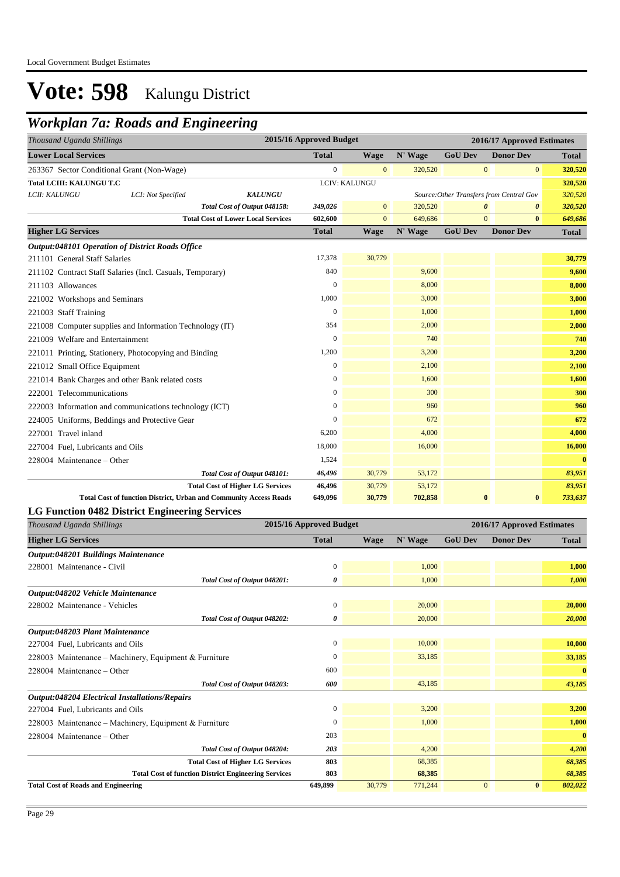### *Workplan 7a: Roads and Engineering*

| 2015/16 Approved Budget<br>Thousand Uganda Shillings |                                                           |                                                                   |                |                |         | 2016/17 Approved Estimates |                                          |              |
|------------------------------------------------------|-----------------------------------------------------------|-------------------------------------------------------------------|----------------|----------------|---------|----------------------------|------------------------------------------|--------------|
| <b>Lower Local Services</b>                          |                                                           |                                                                   | <b>Total</b>   | <b>Wage</b>    | N' Wage | <b>GoU Dev</b>             | <b>Donor Dev</b>                         | <b>Total</b> |
|                                                      | 263367 Sector Conditional Grant (Non-Wage)                |                                                                   | $\overline{0}$ | $\mathbf{0}$   | 320,520 | $\mathbf{0}$               | $\overline{0}$                           | 320,520      |
| Total LCIII: KALUNGU T.C                             |                                                           |                                                                   |                | LCIV: KALUNGU  |         |                            |                                          | 320,520      |
| LCII: KALUNGU                                        | LCI: Not Specified                                        | <b>KALUNGU</b>                                                    |                |                |         |                            | Source: Other Transfers from Central Gov | 320,520      |
|                                                      |                                                           | Total Cost of Output 048158:                                      | 349,026        | $\overline{0}$ | 320,520 | 0                          | 0                                        | 320,520      |
|                                                      |                                                           | <b>Total Cost of Lower Local Services</b>                         | 602,600        | $\overline{0}$ | 649,686 | $\mathbf{0}$               | $\bf{0}$                                 | 649,686      |
| <b>Higher LG Services</b>                            |                                                           |                                                                   | <b>Total</b>   | <b>Wage</b>    | N' Wage | <b>GoU Dev</b>             | <b>Donor Dev</b>                         | <b>Total</b> |
|                                                      | <b>Output:048101 Operation of District Roads Office</b>   |                                                                   |                |                |         |                            |                                          |              |
| 211101 General Staff Salaries                        |                                                           |                                                                   | 17,378         | 30,779         |         |                            |                                          | 30,779       |
|                                                      | 211102 Contract Staff Salaries (Incl. Casuals, Temporary) |                                                                   | 840            |                | 9,600   |                            |                                          | 9,600        |
| 211103 Allowances                                    |                                                           |                                                                   | $\mathbf{0}$   |                | 8,000   |                            |                                          | 8,000        |
| 221002 Workshops and Seminars                        |                                                           |                                                                   | 1,000          |                | 3,000   |                            |                                          | 3,000        |
| 221003 Staff Training                                |                                                           |                                                                   | $\overline{0}$ |                | 1,000   |                            |                                          | 1,000        |
|                                                      | 221008 Computer supplies and Information Technology (IT)  |                                                                   | 354            |                | 2,000   |                            |                                          | 2,000        |
| 221009 Welfare and Entertainment                     |                                                           |                                                                   | $\mathbf{0}$   |                | 740     |                            |                                          | 740          |
|                                                      | 221011 Printing, Stationery, Photocopying and Binding     |                                                                   | 1,200          |                | 3,200   |                            |                                          | 3,200        |
| 221012 Small Office Equipment                        |                                                           |                                                                   | $\mathbf{0}$   |                | 2,100   |                            |                                          | 2,100        |
|                                                      | 221014 Bank Charges and other Bank related costs          |                                                                   | $\mathbf{0}$   |                | 1,600   |                            |                                          | 1,600        |
| 222001 Telecommunications                            |                                                           |                                                                   | $\mathbf{0}$   |                | 300     |                            |                                          | 300          |
|                                                      | 222003 Information and communications technology (ICT)    |                                                                   | $\mathbf{0}$   |                | 960     |                            |                                          | 960          |
|                                                      | 224005 Uniforms, Beddings and Protective Gear             |                                                                   | $\mathbf{0}$   |                | 672     |                            |                                          | 672          |
| 227001 Travel inland                                 |                                                           |                                                                   | 6,200          |                | 4,000   |                            |                                          | 4,000        |
| 227004 Fuel, Lubricants and Oils                     |                                                           |                                                                   | 18,000         |                | 16,000  |                            |                                          | 16,000       |
| 228004 Maintenance - Other                           |                                                           |                                                                   | 1,524          |                |         |                            |                                          | $\bf{0}$     |
|                                                      |                                                           | Total Cost of Output 048101:                                      | 46,496         | 30,779         | 53,172  |                            |                                          | 83,951       |
|                                                      |                                                           | <b>Total Cost of Higher LG Services</b>                           | 46,496         | 30,779         | 53,172  |                            |                                          | 83,951       |
|                                                      |                                                           | Total Cost of function District, Urban and Community Access Roads | 649,096        | 30,779         | 702,858 | $\bf{0}$                   | $\bf{0}$                                 | 733,637      |

#### **LG Function 0482 District Engineering Services**

| Thousand Uganda Shillings                                   | 2015/16 Approved Budget |             |         |                |                  | 2016/17 Approved Estimates |  |  |
|-------------------------------------------------------------|-------------------------|-------------|---------|----------------|------------------|----------------------------|--|--|
| <b>Higher LG Services</b>                                   | <b>Total</b>            | <b>Wage</b> | N' Wage | <b>GoU Dev</b> | <b>Donor Dev</b> | <b>Total</b>               |  |  |
| Output:048201 Buildings Maintenance                         |                         |             |         |                |                  |                            |  |  |
| 228001 Maintenance - Civil                                  | 0                       |             | 1,000   |                |                  | 1,000                      |  |  |
| Total Cost of Output 048201:                                | 0                       |             | 1.000   |                |                  | 1,000                      |  |  |
| Output:048202 Vehicle Maintenance                           |                         |             |         |                |                  |                            |  |  |
| 228002 Maintenance - Vehicles                               | 0                       |             | 20,000  |                |                  | 20,000                     |  |  |
| Total Cost of Output 048202:                                | 0                       |             | 20,000  |                |                  | 20,000                     |  |  |
| Output:048203 Plant Maintenance                             |                         |             |         |                |                  |                            |  |  |
| 227004 Fuel, Lubricants and Oils                            | $\overline{0}$          |             | 10,000  |                |                  | 10,000                     |  |  |
| 228003 Maintenance – Machinery, Equipment & Furniture       | 0                       |             | 33,185  |                |                  | 33,185                     |  |  |
| 228004 Maintenance – Other                                  | 600                     |             |         |                |                  | $\bf{0}$                   |  |  |
| Total Cost of Output 048203:                                | 600                     |             | 43,185  |                |                  | 43,185                     |  |  |
| <b>Output:048204 Electrical Installations/Repairs</b>       |                         |             |         |                |                  |                            |  |  |
| 227004 Fuel, Lubricants and Oils                            | $\overline{0}$          |             | 3,200   |                |                  | 3,200                      |  |  |
| 228003 Maintenance – Machinery, Equipment & Furniture       | 0                       |             | 1,000   |                |                  | 1,000                      |  |  |
| 228004 Maintenance – Other                                  | 203                     |             |         |                |                  | $\bf{0}$                   |  |  |
| Total Cost of Output 048204:                                | 203                     |             | 4,200   |                |                  | 4,200                      |  |  |
| <b>Total Cost of Higher LG Services</b>                     | 803                     |             | 68,385  |                |                  | 68,385                     |  |  |
| <b>Total Cost of function District Engineering Services</b> | 803                     |             | 68,385  |                |                  | 68,385                     |  |  |
| <b>Total Cost of Roads and Engineering</b>                  | 649,899                 | 30,779      | 771,244 | $\mathbf{0}$   | $\bf{0}$         | 802,022                    |  |  |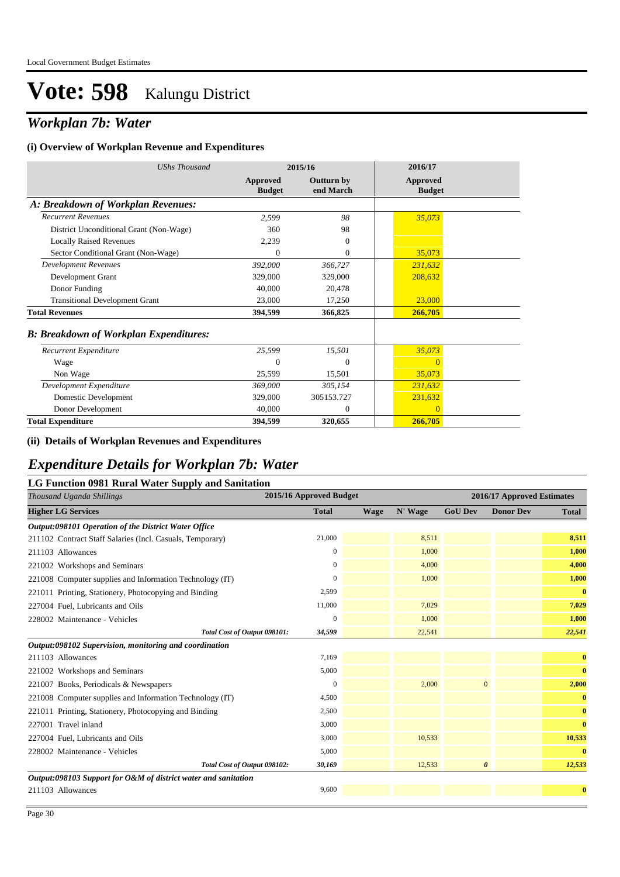### *Workplan 7b: Water*

#### **(i) Overview of Workplan Revenue and Expenditures**

| <b>UShs Thousand</b>                          |                                  | 2015/16                        | 2016/17                          |
|-----------------------------------------------|----------------------------------|--------------------------------|----------------------------------|
|                                               | <b>Approved</b><br><b>Budget</b> | <b>Outturn by</b><br>end March | <b>Approved</b><br><b>Budget</b> |
| A: Breakdown of Workplan Revenues:            |                                  |                                |                                  |
| <b>Recurrent Revenues</b>                     | 2,599                            | 98                             | 35,073                           |
| District Unconditional Grant (Non-Wage)       | 360                              | 98                             |                                  |
| <b>Locally Raised Revenues</b>                | 2,239                            | $\overline{0}$                 |                                  |
| Sector Conditional Grant (Non-Wage)           | $\Omega$                         | $\mathbf{0}$                   | 35,073                           |
| <b>Development Revenues</b>                   | 392,000                          | 366,727                        | 231,632                          |
| Development Grant                             | 329,000                          | 329,000                        | 208,632                          |
| Donor Funding                                 | 40,000                           | 20,478                         |                                  |
| <b>Transitional Development Grant</b>         | 23,000                           | 17,250                         | 23,000                           |
| <b>Total Revenues</b>                         | 394,599                          | 366,825                        | 266,705                          |
| <b>B: Breakdown of Workplan Expenditures:</b> |                                  |                                |                                  |
| Recurrent Expenditure                         | 25,599                           | 15,501                         | 35,073                           |
| Wage                                          | 0                                | $\theta$                       | $\Omega$                         |
| Non Wage                                      | 25,599                           | 15,501                         | 35,073                           |
| Development Expenditure                       | 369,000                          | 305,154                        | 231,632                          |
| Domestic Development                          | 329,000                          | 305153.727                     | 231,632                          |
| Donor Development                             | 40,000                           | $\theta$                       | $\Omega$                         |
| <b>Total Expenditure</b>                      | 394,599                          | 320,655                        | 266,705                          |

#### **(ii) Details of Workplan Revenues and Expenditures**

### *Expenditure Details for Workplan 7b: Water*

#### **LG Function 0981 Rural Water Supply and Sanitation**

| 2015/16 Approved Budget<br>Thousand Uganda Shillings           |              |             | 2016/17 Approved Estimates |                       |                  |              |
|----------------------------------------------------------------|--------------|-------------|----------------------------|-----------------------|------------------|--------------|
| <b>Higher LG Services</b>                                      | <b>Total</b> | <b>Wage</b> | N' Wage                    | <b>GoU Dev</b>        | <b>Donor Dev</b> | <b>Total</b> |
| Output:098101 Operation of the District Water Office           |              |             |                            |                       |                  |              |
| 211102 Contract Staff Salaries (Incl. Casuals, Temporary)      | 21,000       |             | 8,511                      |                       |                  | 8,511        |
| 211103 Allowances                                              | $\Omega$     |             | 1,000                      |                       |                  | 1,000        |
| 221002 Workshops and Seminars                                  | $\mathbf{0}$ |             | 4,000                      |                       |                  | 4,000        |
| 221008 Computer supplies and Information Technology (IT)       | $\mathbf{0}$ |             | 1,000                      |                       |                  | 1,000        |
| 221011 Printing, Stationery, Photocopying and Binding          | 2,599        |             |                            |                       |                  | $\bf{0}$     |
| 227004 Fuel, Lubricants and Oils                               | 11,000       |             | 7,029                      |                       |                  | 7,029        |
| 228002 Maintenance - Vehicles                                  | $\mathbf{0}$ |             | 1,000                      |                       |                  | 1,000        |
| Total Cost of Output 098101:                                   | 34,599       |             | 22,541                     |                       |                  | 22,541       |
| Output:098102 Supervision, monitoring and coordination         |              |             |                            |                       |                  |              |
| 211103 Allowances                                              | 7,169        |             |                            |                       |                  | $\bf{0}$     |
| 221002 Workshops and Seminars                                  | 5,000        |             |                            |                       |                  | $\bf{0}$     |
| 221007 Books, Periodicals & Newspapers                         | $\Omega$     |             | 2,000                      | $\mathbf{0}$          |                  | 2,000        |
| 221008 Computer supplies and Information Technology (IT)       | 4,500        |             |                            |                       |                  | $\bf{0}$     |
| 221011 Printing, Stationery, Photocopying and Binding          | 2,500        |             |                            |                       |                  | $\bf{0}$     |
| 227001 Travel inland                                           | 3,000        |             |                            |                       |                  | $\bf{0}$     |
| 227004 Fuel, Lubricants and Oils                               | 3,000        |             | 10,533                     |                       |                  | 10,533       |
| 228002 Maintenance - Vehicles                                  | 5,000        |             |                            |                       |                  | $\bf{0}$     |
| Total Cost of Output 098102:                                   | 30,169       |             | 12,533                     | $\boldsymbol{\theta}$ |                  | 12,533       |
| Output:098103 Support for O&M of district water and sanitation |              |             |                            |                       |                  |              |
| 211103 Allowances                                              | 9,600        |             |                            |                       |                  | $\bf{0}$     |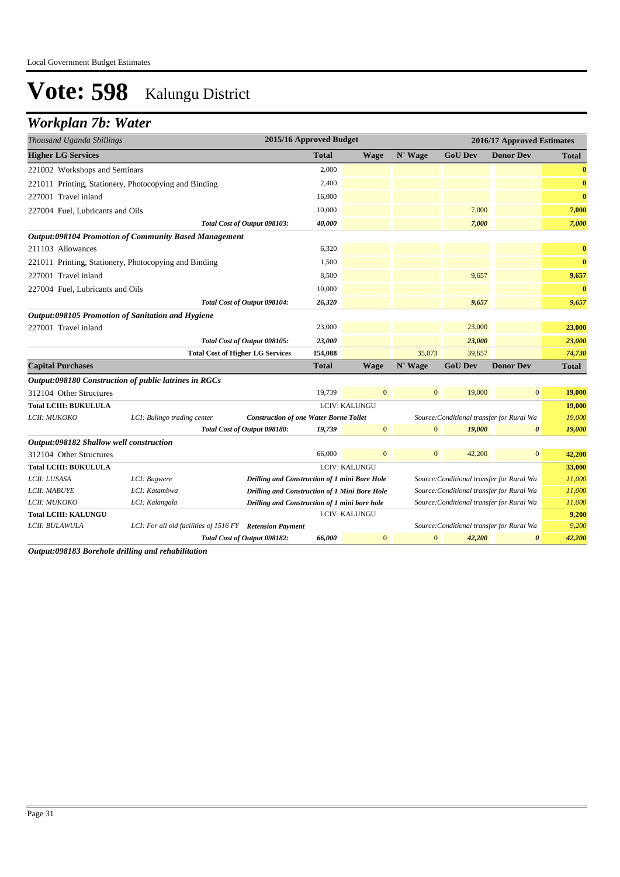### *Workplan 7b: Water*

| Thousand Uganda Shillings                                                                                 | 2015/16 Approved Budget                                                                    |              |                      |                |                                           | 2016/17 Approved Estimates |                |
|-----------------------------------------------------------------------------------------------------------|--------------------------------------------------------------------------------------------|--------------|----------------------|----------------|-------------------------------------------|----------------------------|----------------|
| <b>Higher LG Services</b>                                                                                 |                                                                                            | <b>Total</b> | <b>Wage</b>          | N' Wage        | <b>GoU Dev</b>                            | <b>Donor Dev</b>           | <b>Total</b>   |
| 221002 Workshops and Seminars                                                                             |                                                                                            | 2,000        |                      |                |                                           |                            | $\bf{0}$       |
| 221011 Printing, Stationery, Photocopying and Binding                                                     |                                                                                            | 2,400        |                      |                |                                           |                            | $\bf{0}$       |
| 227001 Travel inland                                                                                      |                                                                                            | 16,000       |                      |                |                                           |                            | $\bf{0}$       |
| 227004 Fuel, Lubricants and Oils                                                                          |                                                                                            | 10,000       |                      |                | 7,000                                     |                            | 7,000          |
| Total Cost of Output 098103:                                                                              |                                                                                            | 40,000       |                      |                | 7,000                                     |                            | 7,000          |
| <b>Output:098104 Promotion of Community Based Management</b>                                              |                                                                                            |              |                      |                |                                           |                            |                |
| 211103 Allowances                                                                                         |                                                                                            | 6,320        |                      |                |                                           |                            | $\bf{0}$       |
| 221011 Printing, Stationery, Photocopying and Binding                                                     |                                                                                            | 1,500        |                      |                |                                           |                            | $\bf{0}$       |
| 227001 Travel inland                                                                                      |                                                                                            | 8,500        |                      |                | 9,657                                     |                            | 9,657          |
| 227004 Fuel, Lubricants and Oils                                                                          |                                                                                            | 10,000       |                      |                |                                           |                            | $\bf{0}$       |
| Total Cost of Output 098104:                                                                              |                                                                                            | 26,320       |                      |                | 9,657                                     |                            | 9,657          |
| Output:098105 Promotion of Sanitation and Hygiene                                                         |                                                                                            |              |                      |                |                                           |                            |                |
| 227001 Travel inland                                                                                      |                                                                                            | 23,000       |                      |                | 23,000                                    |                            | 23,000         |
| Total Cost of Output 098105:                                                                              |                                                                                            | 23,000       |                      |                | 23,000                                    |                            | 23,000         |
| <b>Total Cost of Higher LG Services</b>                                                                   |                                                                                            | 154,088      |                      | 35,073         | 39,657                                    |                            | 74,730         |
| <b>Capital Purchases</b>                                                                                  |                                                                                            | <b>Total</b> | <b>Wage</b>          | N' Wage        | <b>GoU Dev</b>                            | <b>Donor Dev</b>           | <b>Total</b>   |
| Output:098180 Construction of public latrines in RGCs                                                     |                                                                                            |              |                      |                |                                           |                            |                |
| 312104 Other Structures                                                                                   |                                                                                            | 19.739       | $\overline{0}$       | $\overline{0}$ | 19,000                                    | $\mathbf{0}$               | 19,000         |
| <b>Total LCIII: BUKULULA</b>                                                                              |                                                                                            |              | <b>LCIV: KALUNGU</b> |                |                                           |                            | 19,000         |
| LCII: MUKOKO<br>LCI: Bulingo trading center                                                               | <b>Construction of one Water Borne Toilet</b>                                              |              |                      |                | Source: Conditional transfer for Rural Wa |                            | 19,000         |
| Total Cost of Output 098180:                                                                              |                                                                                            | 19,739       | $\overline{0}$       | $\mathbf{0}$   | 19,000                                    | $\boldsymbol{\theta}$      | 19,000         |
| Output:098182 Shallow well construction                                                                   |                                                                                            |              |                      |                |                                           |                            |                |
| 312104 Other Structures                                                                                   |                                                                                            | 66,000       | $\overline{0}$       | $\mathbf{0}$   | 42,200                                    | $\mathbf{0}$               | 42,200         |
| <b>Total LCIII: BUKULULA</b>                                                                              |                                                                                            |              | LCIV: KALUNGU        |                |                                           |                            | 33,000         |
| LCII: LUSASA<br>LCI: Bugwere                                                                              | Drilling and Construction of 1 mini Bore Hole<br>Source: Conditional transfer for Rural Wa |              |                      | 11,000         |                                           |                            |                |
| LCI: Katambwa<br><b>LCII: MABUYE</b>                                                                      | Drilling and Construction of 1 Mini Bore Hole                                              |              |                      |                | Source: Conditional transfer for Rural Wa |                            | 11,000         |
| LCII: MUKOKO<br>LCI: Kalangala                                                                            | Drilling and Construction of 1 mini bore hole                                              |              |                      |                | Source: Conditional transfer for Rural Wa |                            | 11,000         |
| <b>Total LCIII: KALUNGU</b><br>LCII: BULAWULA<br>LCI: For all old facilities of 1516 FY Retension Payment |                                                                                            |              | <b>LCIV: KALUNGU</b> |                | Source: Conditional transfer for Rural Wa |                            | 9,200<br>9,200 |
| Total Cost of Output 098182:                                                                              |                                                                                            | 66,000       | $\mathbf{0}$         | $\mathbf{0}$   | 42,200                                    | $\boldsymbol{\theta}$      | 42,200         |

*Output:098183 Borehole drilling and rehabilitation*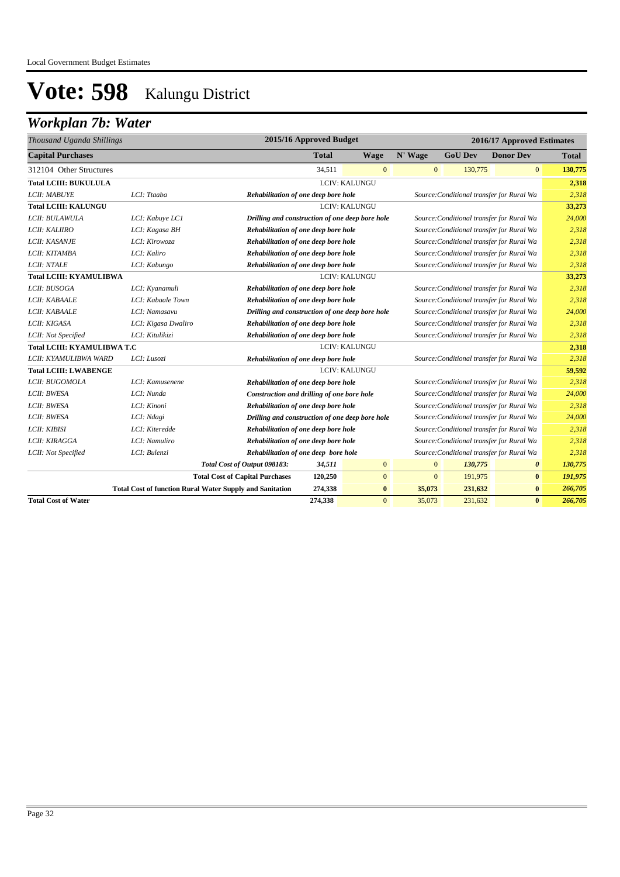### *Workplan 7b: Water*

| 2015/16 Approved Budget<br>Thousand Uganda Shillings |                                                                 |                                                 |              |                      |              | 2016/17 Approved Estimates |                                           |              |
|------------------------------------------------------|-----------------------------------------------------------------|-------------------------------------------------|--------------|----------------------|--------------|----------------------------|-------------------------------------------|--------------|
| <b>Capital Purchases</b>                             |                                                                 |                                                 | <b>Total</b> | <b>Wage</b>          | N' Wage      | <b>GoU Dev</b>             | <b>Donor Dev</b>                          | <b>Total</b> |
| 312104 Other Structures                              |                                                                 |                                                 | 34,511       | $\overline{0}$       | $\mathbf{0}$ | 130,775                    | $\mathbf{0}$                              | 130,775      |
| <b>Total LCIII: BUKULULA</b>                         |                                                                 |                                                 |              | <b>LCIV: KALUNGU</b> |              |                            |                                           | 2,318        |
| LCII: MABUYE                                         | LCI: Ttaaba                                                     | Rehabilitation of one deep bore hole            |              |                      |              |                            | Source: Conditional transfer for Rural Wa | 2,318        |
| <b>Total LCIII: KALUNGU</b>                          |                                                                 |                                                 |              | LCIV: KALUNGU        |              |                            |                                           | 33,273       |
| LCII: BULAWULA                                       | LCI: Kabuye LC1                                                 | Drilling and construction of one deep bore hole |              |                      |              |                            | Source: Conditional transfer for Rural Wa | 24,000       |
| LCII: KALIIRO                                        | LCI: Kagasa BH                                                  | Rehabilitation of one deep bore hole            |              |                      |              |                            | Source: Conditional transfer for Rural Wa | 2,318        |
| LCII: KASANJE                                        | LCI: Kirowoza                                                   | Rehabilitation of one deep bore hole            |              |                      |              |                            | Source: Conditional transfer for Rural Wa | 2,318        |
| LCII: KITAMBA                                        | LCI: Kaliro                                                     | Rehabilitation of one deep bore hole            |              |                      |              |                            | Source: Conditional transfer for Rural Wa | 2,318        |
| LCII: NTALE                                          | LCI: Kabungo                                                    | Rehabilitation of one deep bore hole            |              |                      |              |                            | Source: Conditional transfer for Rural Wa | 2,318        |
| <b>Total LCIII: KYAMULIBWA</b>                       |                                                                 |                                                 |              | <b>LCIV: KALUNGU</b> |              |                            |                                           | 33,273       |
| LCII: BUSOGA                                         | LCI: Kyanamuli                                                  | Rehabilitation of one deep bore hole            |              |                      |              |                            | Source: Conditional transfer for Rural Wa | 2.318        |
| LCII: KABAALE                                        | LCI: Kabaale Town                                               | Rehabilitation of one deep bore hole            |              |                      |              |                            | Source: Conditional transfer for Rural Wa | 2.318        |
| LCII: KABAALE                                        | LCI: Namasavu                                                   | Drilling and construction of one deep bore hole |              |                      |              |                            | Source: Conditional transfer for Rural Wa | 24,000       |
| LCII: KIGASA                                         | LCI: Kigasa Dwaliro                                             | Rehabilitation of one deep bore hole            |              |                      |              |                            | Source: Conditional transfer for Rural Wa | 2,318        |
| LCII: Not Specified                                  | LCI: Kitulikizi                                                 | Rehabilitation of one deep bore hole            |              |                      |              |                            | Source: Conditional transfer for Rural Wa | 2,318        |
| <b>Total LCIII: KYAMULIBWA T.C</b>                   |                                                                 |                                                 |              | <b>LCIV: KALUNGU</b> |              |                            |                                           | 2,318        |
| LCII: KYAMULIBWA WARD                                | LCI: Lusozi                                                     | Rehabilitation of one deep bore hole            |              |                      |              |                            | Source: Conditional transfer for Rural Wa | 2,318        |
| <b>Total LCIII: LWABENGE</b>                         |                                                                 |                                                 |              | LCIV: KALUNGU        |              |                            |                                           | 59,592       |
| LCII: BUGOMOLA                                       | LCI: Kamusenene                                                 | Rehabilitation of one deep bore hole            |              |                      |              |                            | Source: Conditional transfer for Rural Wa | 2,318        |
| LCII: BWESA                                          | LCI: Nunda                                                      | Construction and drilling of one bore hole      |              |                      |              |                            | Source: Conditional transfer for Rural Wa | 24,000       |
| LCII: BWESA                                          | LCI: Kinoni                                                     | Rehabilitation of one deep bore hole            |              |                      |              |                            | Source: Conditional transfer for Rural Wa | 2,318        |
| LCII: BWESA                                          | LCI: Ndagi                                                      | Drilling and construction of one deep bore hole |              |                      |              |                            | Source: Conditional transfer for Rural Wa | 24,000       |
| LCII: KIBISI                                         | LCI: Kiteredde                                                  | Rehabilitation of one deep bore hole            |              |                      |              |                            | Source: Conditional transfer for Rural Wa | 2,318        |
| LCII: KIRAGGA                                        | LCI: Namuliro                                                   | Rehabilitation of one deep bore hole            |              |                      |              |                            | Source: Conditional transfer for Rural Wa | 2,318        |
| LCII: Not Specified                                  | LCI: Bulenzi                                                    | Rehabilitation of one deep bore hole            |              |                      |              |                            | Source: Conditional transfer for Rural Wa | 2,318        |
|                                                      |                                                                 | Total Cost of Output 098183:                    | 34,511       | $\mathbf{0}$         | $\mathbf{0}$ | 130,775                    | $\boldsymbol{\theta}$                     | 130,775      |
|                                                      |                                                                 | <b>Total Cost of Capital Purchases</b>          | 120,250      | $\overline{0}$       | $\mathbf{0}$ | 191,975                    | $\bf{0}$                                  | 191,975      |
|                                                      | <b>Total Cost of function Rural Water Supply and Sanitation</b> |                                                 | 274,338      | $\bf{0}$             | 35,073       | 231,632                    | $\bf{0}$                                  | 266,705      |
| <b>Total Cost of Water</b>                           |                                                                 |                                                 | 274,338      | $\overline{0}$       | 35,073       | 231,632                    | $\mathbf{0}$                              | 266,705      |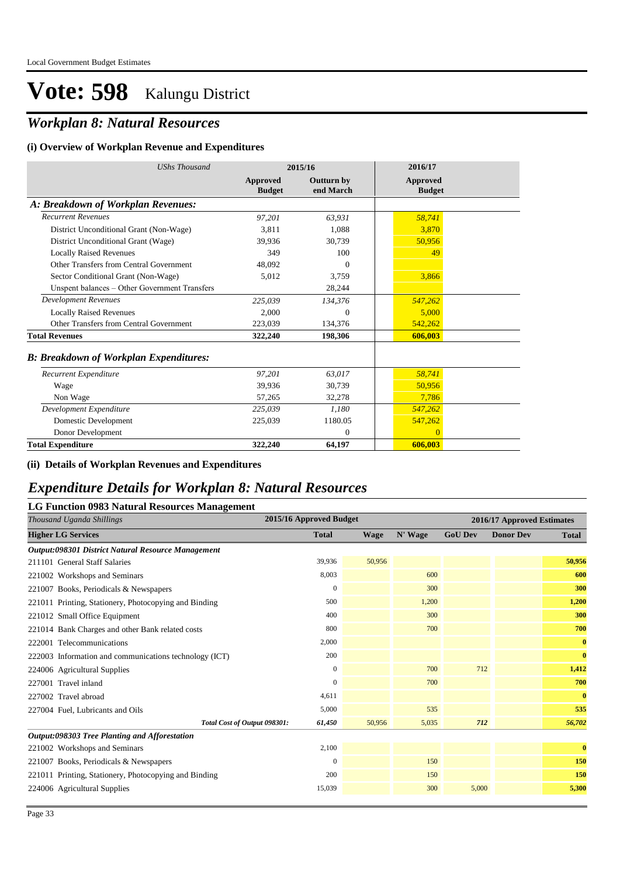### *Workplan 8: Natural Resources*

#### **(i) Overview of Workplan Revenue and Expenditures**

| <b>UShs Thousand</b>                          |                           | 2015/16                 | 2016/17                   |  |
|-----------------------------------------------|---------------------------|-------------------------|---------------------------|--|
|                                               | Approved<br><b>Budget</b> | Outturn by<br>end March | Approved<br><b>Budget</b> |  |
| A: Breakdown of Workplan Revenues:            |                           |                         |                           |  |
| <b>Recurrent Revenues</b>                     | 97,201                    | 63,931                  | 58,741                    |  |
| District Unconditional Grant (Non-Wage)       | 3,811                     | 1,088                   | 3,870                     |  |
| District Unconditional Grant (Wage)           | 39.936                    | 30,739                  | 50,956                    |  |
| <b>Locally Raised Revenues</b>                | 349                       | 100                     | 49                        |  |
| Other Transfers from Central Government       | 48.092                    | 0                       |                           |  |
| Sector Conditional Grant (Non-Wage)           | 5,012                     | 3,759                   | 3,866                     |  |
| Unspent balances - Other Government Transfers |                           | 28,244                  |                           |  |
| Development Revenues                          | 225,039                   | 134,376                 | 547,262                   |  |
| <b>Locally Raised Revenues</b>                | 2.000                     | $\overline{0}$          | 5,000                     |  |
| Other Transfers from Central Government       | 223,039                   | 134,376                 | 542,262                   |  |
| <b>Total Revenues</b>                         | 322,240                   | 198,306                 | 606,003                   |  |
| <b>B: Breakdown of Workplan Expenditures:</b> |                           |                         |                           |  |
| Recurrent Expenditure                         | 97,201                    | 63.017                  | 58,741                    |  |
| Wage                                          | 39,936                    | 30,739                  | 50,956                    |  |
| Non Wage                                      | 57,265                    | 32,278                  | 7,786                     |  |
| Development Expenditure                       | 225,039                   | 1,180                   | 547,262                   |  |
| Domestic Development                          | 225,039                   | 1180.05                 | 547,262                   |  |
| Donor Development                             |                           | $\theta$                | $\Omega$                  |  |
| <b>Total Expenditure</b>                      | 322,240                   | 64,197                  | 606,003                   |  |

**(ii) Details of Workplan Revenues and Expenditures**

#### *Expenditure Details for Workplan 8: Natural Resources*

| Thousand Uganda Shillings<br><b>Higher LG Services</b> | 2015/16 Approved Budget<br><b>Total</b> |        |         |                |                            |              |  |  |
|--------------------------------------------------------|-----------------------------------------|--------|---------|----------------|----------------------------|--------------|--|--|
|                                                        |                                         |        |         |                | 2016/17 Approved Estimates |              |  |  |
|                                                        |                                         | Wage   | N' Wage | <b>GoU Dev</b> | <b>Donor Dev</b>           | <b>Total</b> |  |  |
| Output:098301 District Natural Resource Management     |                                         |        |         |                |                            |              |  |  |
| 211101 General Staff Salaries                          | 39,936                                  | 50,956 |         |                |                            | 50,956       |  |  |
| 221002 Workshops and Seminars                          | 8,003                                   |        | 600     |                |                            | 600          |  |  |
| 221007 Books, Periodicals & Newspapers                 | $\mathbf{0}$                            |        | 300     |                |                            | 300          |  |  |
| 221011 Printing, Stationery, Photocopying and Binding  | 500                                     |        | 1,200   |                |                            | 1,200        |  |  |
| 221012 Small Office Equipment                          | 400                                     |        | 300     |                |                            | 300          |  |  |
| 221014 Bank Charges and other Bank related costs       | 800                                     |        | 700     |                |                            | 700          |  |  |
| 222001 Telecommunications                              | 2,000                                   |        |         |                |                            | $\bf{0}$     |  |  |
| 222003 Information and communications technology (ICT) | 200                                     |        |         |                |                            | $\bf{0}$     |  |  |
| 224006 Agricultural Supplies                           | $\mathbf{0}$                            |        | 700     | 712            |                            | 1,412        |  |  |
| 227001 Travel inland                                   | $\Omega$                                |        | 700     |                |                            | 700          |  |  |
| 227002 Travel abroad                                   | 4,611                                   |        |         |                |                            | $\bf{0}$     |  |  |
| 227004 Fuel, Lubricants and Oils                       | 5,000                                   |        | 535     |                |                            | 535          |  |  |
| Total Cost of Output 098301:                           | 61,450                                  | 50,956 | 5,035   | 712            |                            | 56,702       |  |  |
| Output:098303 Tree Planting and Afforestation          |                                         |        |         |                |                            |              |  |  |
| 221002 Workshops and Seminars                          | 2,100                                   |        |         |                |                            | $\bf{0}$     |  |  |
| 221007 Books, Periodicals & Newspapers                 | $\Omega$                                |        | 150     |                |                            | 150          |  |  |
| 221011 Printing, Stationery, Photocopying and Binding  | 200                                     |        | 150     |                |                            | 150          |  |  |
| 224006 Agricultural Supplies                           | 15,039                                  |        | 300     | 5,000          |                            | 5,300        |  |  |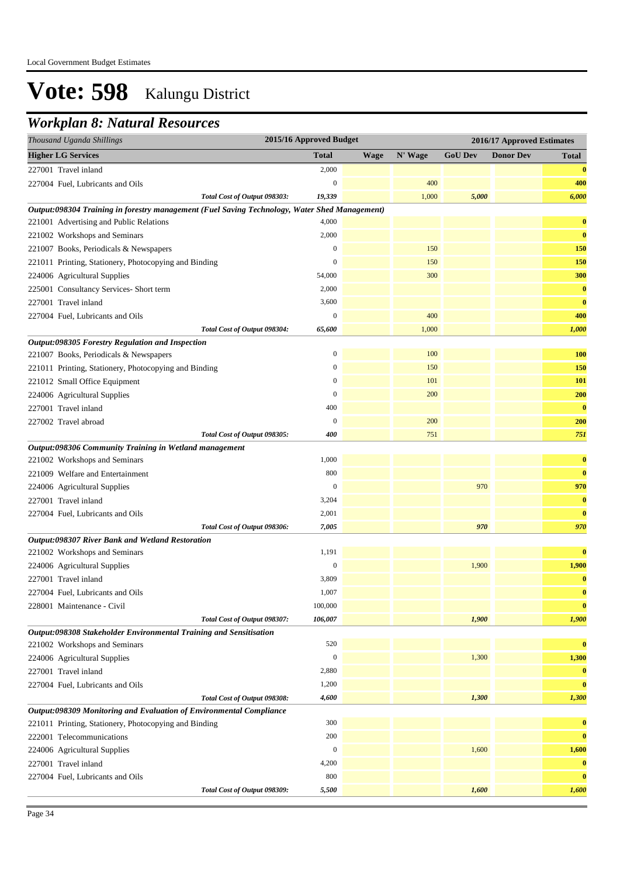### *Workplan 8: Natural Resources*

|                           | Thousand Uganda Shillings                                                                     | 2015/16 Approved Budget |             |         |                | 2016/17 Approved Estimates |              |
|---------------------------|-----------------------------------------------------------------------------------------------|-------------------------|-------------|---------|----------------|----------------------------|--------------|
| <b>Higher LG Services</b> |                                                                                               | Total                   | <b>Wage</b> | N' Wage | <b>GoU Dev</b> | <b>Donor Dev</b>           | <b>Total</b> |
| 227001 Travel inland      |                                                                                               | 2,000                   |             |         |                |                            | $\bf{0}$     |
|                           | 227004 Fuel, Lubricants and Oils                                                              | $\mathbf{0}$            |             | 400     |                |                            | 400          |
|                           | Total Cost of Output 098303:                                                                  | 19,339                  |             | 1,000   | 5,000          |                            | 6,000        |
|                           | Output:098304 Training in forestry management (Fuel Saving Technology, Water Shed Management) |                         |             |         |                |                            |              |
|                           | 221001 Advertising and Public Relations                                                       | 4,000                   |             |         |                |                            | $\bf{0}$     |
|                           | 221002 Workshops and Seminars                                                                 | 2,000                   |             |         |                |                            | $\bf{0}$     |
|                           | 221007 Books, Periodicals & Newspapers                                                        | $\boldsymbol{0}$        |             | 150     |                |                            | 150          |
|                           | 221011 Printing, Stationery, Photocopying and Binding                                         | $\boldsymbol{0}$        |             | 150     |                |                            | 150          |
|                           | 224006 Agricultural Supplies                                                                  | 54,000                  |             | 300     |                |                            | 300          |
|                           | 225001 Consultancy Services- Short term                                                       | 2,000                   |             |         |                |                            | $\bf{0}$     |
| 227001 Travel inland      |                                                                                               | 3,600                   |             |         |                |                            | $\bf{0}$     |
|                           | 227004 Fuel, Lubricants and Oils                                                              | $\boldsymbol{0}$        |             | 400     |                |                            | 400          |
|                           | Total Cost of Output 098304:                                                                  | 65,600                  |             | 1,000   |                |                            | 1,000        |
|                           | Output:098305 Forestry Regulation and Inspection                                              |                         |             |         |                |                            |              |
|                           | 221007 Books, Periodicals & Newspapers                                                        | $\boldsymbol{0}$        |             | 100     |                |                            | <b>100</b>   |
|                           | 221011 Printing, Stationery, Photocopying and Binding                                         | $\boldsymbol{0}$        |             | 150     |                |                            | 150          |
|                           | 221012 Small Office Equipment                                                                 | $\boldsymbol{0}$        |             | 101     |                |                            | 101          |
|                           | 224006 Agricultural Supplies                                                                  | $\boldsymbol{0}$        |             | 200     |                |                            | 200          |
| 227001 Travel inland      |                                                                                               | 400                     |             |         |                |                            | $\bf{0}$     |
| 227002 Travel abroad      |                                                                                               | $\mathbf{0}$            |             | 200     |                |                            | 200          |
|                           | Total Cost of Output 098305:                                                                  | 400                     |             | 751     |                |                            | 751          |
|                           | Output:098306 Community Training in Wetland management                                        |                         |             |         |                |                            |              |
|                           | 221002 Workshops and Seminars                                                                 | 1,000                   |             |         |                |                            | $\bf{0}$     |
|                           | 221009 Welfare and Entertainment                                                              | 800                     |             |         |                |                            | $\bf{0}$     |
|                           | 224006 Agricultural Supplies                                                                  | $\boldsymbol{0}$        |             |         | 970            |                            | 970          |
| 227001 Travel inland      |                                                                                               | 3,204                   |             |         |                |                            | $\bf{0}$     |
|                           | 227004 Fuel, Lubricants and Oils                                                              | 2,001                   |             |         |                |                            | $\bf{0}$     |
|                           | Total Cost of Output 098306:                                                                  | 7,005                   |             |         | 970            |                            | 970          |
|                           | Output:098307 River Bank and Wetland Restoration                                              |                         |             |         |                |                            |              |
|                           | 221002 Workshops and Seminars                                                                 | 1,191                   |             |         |                |                            | $\bf{0}$     |
|                           | 224006 Agricultural Supplies                                                                  | $\boldsymbol{0}$        |             |         | 1,900          |                            | 1,900        |
| 227001 Travel inland      |                                                                                               | 3,809                   |             |         |                |                            | $\bf{0}$     |
|                           | 227004 Fuel, Lubricants and Oils                                                              | 1,007                   |             |         |                |                            | $\bf{0}$     |
|                           | 228001 Maintenance - Civil                                                                    | 100,000                 |             |         |                |                            | $\bf{0}$     |
|                           | Total Cost of Output 098307:                                                                  | 106,007                 |             |         | 1,900          |                            | 1,900        |
|                           | Output:098308 Stakeholder Environmental Training and Sensitisation                            |                         |             |         |                |                            |              |
|                           | 221002 Workshops and Seminars                                                                 | 520                     |             |         |                |                            | $\bf{0}$     |
|                           | 224006 Agricultural Supplies                                                                  | $\boldsymbol{0}$        |             |         | 1,300          |                            | 1,300        |
| 227001 Travel inland      |                                                                                               | 2,880                   |             |         |                |                            | $\bf{0}$     |
|                           | 227004 Fuel, Lubricants and Oils                                                              | 1,200                   |             |         |                |                            | $\bf{0}$     |
|                           | Total Cost of Output 098308:                                                                  | 4,600                   |             |         | 1,300          |                            | 1,300        |
|                           | Output:098309 Monitoring and Evaluation of Environmental Compliance                           |                         |             |         |                |                            |              |
|                           | 221011 Printing, Stationery, Photocopying and Binding                                         | 300                     |             |         |                |                            | $\bf{0}$     |
|                           | 222001 Telecommunications                                                                     | 200                     |             |         |                |                            | $\bf{0}$     |
|                           | 224006 Agricultural Supplies                                                                  | $\boldsymbol{0}$        |             |         | 1,600          |                            | 1,600        |
| 227001 Travel inland      |                                                                                               | 4,200                   |             |         |                |                            | $\bf{0}$     |
|                           | 227004 Fuel, Lubricants and Oils                                                              | 800                     |             |         |                |                            | $\bf{0}$     |
|                           | Total Cost of Output 098309:                                                                  | 5,500                   |             |         | 1,600          |                            | 1,600        |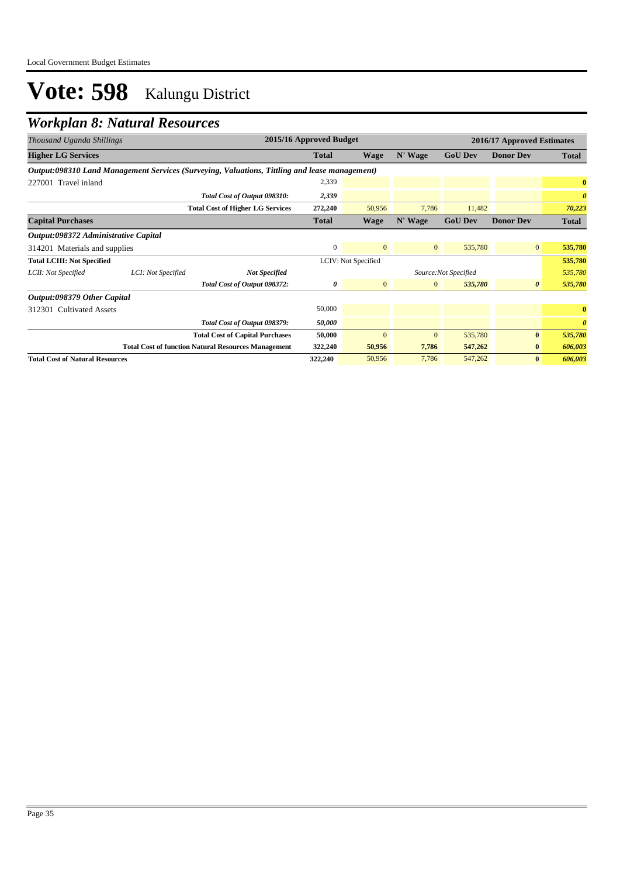### *Workplan 8: Natural Resources*

| Thousand Uganda Shillings              |                    |                                                                                               | 2015/16 Approved Budget |                     |              | 2016/17 Approved Estimates |                       |                       |  |
|----------------------------------------|--------------------|-----------------------------------------------------------------------------------------------|-------------------------|---------------------|--------------|----------------------------|-----------------------|-----------------------|--|
| <b>Higher LG Services</b>              |                    |                                                                                               | <b>Total</b>            | Wage                | N' Wage      | <b>GoU Dev</b>             | <b>Donor Dev</b>      | Total                 |  |
|                                        |                    | Output:098310 Land Management Services (Surveying, Valuations, Tittling and lease management) |                         |                     |              |                            |                       |                       |  |
| 227001 Travel inland                   |                    |                                                                                               | 2,339                   |                     |              |                            |                       | $\bf{0}$              |  |
|                                        |                    | Total Cost of Output 098310:                                                                  | 2,339                   |                     |              |                            |                       | $\boldsymbol{\theta}$ |  |
|                                        |                    | <b>Total Cost of Higher LG Services</b>                                                       | 272,240                 | 50,956              | 7,786        | 11,482                     |                       | 70,223                |  |
| <b>Capital Purchases</b>               |                    |                                                                                               | <b>Total</b>            | Wage                | N' Wage      | <b>GoU Dev</b>             | <b>Donor Dev</b>      | Total                 |  |
| Output:098372 Administrative Capital   |                    |                                                                                               |                         |                     |              |                            |                       |                       |  |
| 314201 Materials and supplies          |                    | $\mathbf{0}$                                                                                  | $\mathbf{0}$            | $\mathbf{0}$        | 535,780      | $\overline{0}$             | 535,780               |                       |  |
| <b>Total LCIII: Not Specified</b>      |                    |                                                                                               |                         | LCIV: Not Specified |              |                            |                       | 535,780               |  |
| LCII: Not Specified                    | LCI: Not Specified | <b>Not Specified</b>                                                                          |                         |                     |              | Source:Not Specified       |                       | 535,780               |  |
|                                        |                    | Total Cost of Output 098372:                                                                  | 0                       | $\mathbf{0}$        | $\mathbf{0}$ | 535,780                    | $\boldsymbol{\theta}$ | 535,780               |  |
| Output:098379 Other Capital            |                    |                                                                                               |                         |                     |              |                            |                       |                       |  |
| 312301 Cultivated Assets               |                    |                                                                                               | 50,000                  |                     |              |                            |                       | $\bf{0}$              |  |
|                                        |                    | Total Cost of Output 098379:                                                                  | 50,000                  |                     |              |                            |                       | $\boldsymbol{\theta}$ |  |
|                                        |                    | <b>Total Cost of Capital Purchases</b>                                                        | 50,000                  | $\mathbf{0}$        | $\mathbf{0}$ | 535,780                    | $\bf{0}$              | 535,780               |  |
|                                        |                    | <b>Total Cost of function Natural Resources Management</b>                                    | 322,240                 | 50,956              | 7,786        | 547,262                    | $\bf{0}$              | 606,003               |  |
| <b>Total Cost of Natural Resources</b> |                    |                                                                                               | 322,240                 | 50,956              | 7,786        | 547,262                    | $\bf{0}$              | 606,003               |  |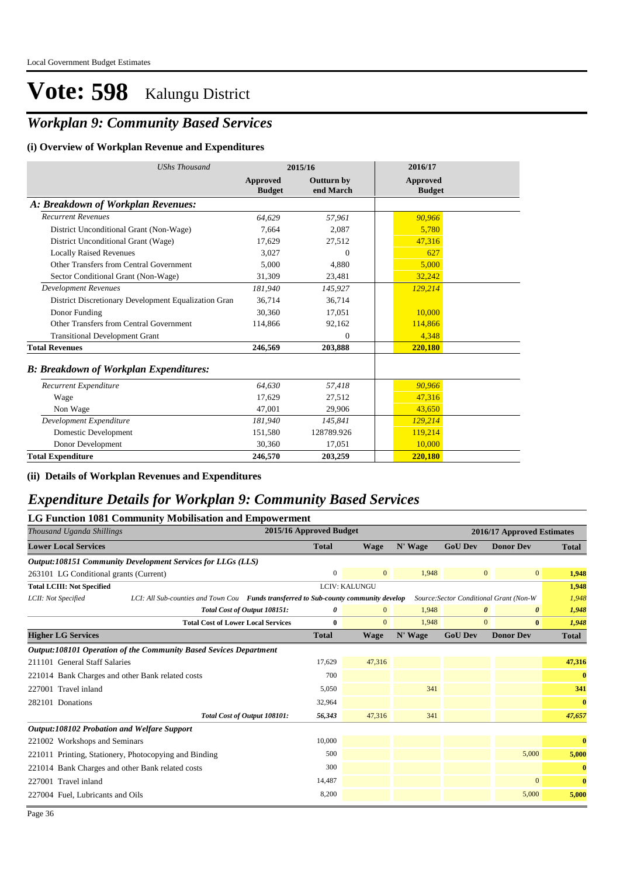### *Workplan 9: Community Based Services*

#### **(i) Overview of Workplan Revenue and Expenditures**

| <b>UShs Thousand</b>                                 |                           | 2015/16                        | 2016/17                   |  |
|------------------------------------------------------|---------------------------|--------------------------------|---------------------------|--|
|                                                      | Approved<br><b>Budget</b> | <b>Outturn by</b><br>end March | Approved<br><b>Budget</b> |  |
| A: Breakdown of Workplan Revenues:                   |                           |                                |                           |  |
| <b>Recurrent Revenues</b>                            | 64.629                    | 57,961                         | 90,966                    |  |
| District Unconditional Grant (Non-Wage)              | 7.664                     | 2.087                          | 5,780                     |  |
| District Unconditional Grant (Wage)                  | 17,629                    | 27,512                         | 47,316                    |  |
| <b>Locally Raised Revenues</b>                       | 3,027                     | $\Omega$                       | 627                       |  |
| Other Transfers from Central Government              | 5.000                     | 4,880                          | 5.000                     |  |
| Sector Conditional Grant (Non-Wage)                  | 31,309                    | 23,481                         | 32,242                    |  |
| Development Revenues                                 | 181.940                   | 145,927                        | 129,214                   |  |
| District Discretionary Development Equalization Gran | 36,714                    | 36,714                         |                           |  |
| Donor Funding                                        | 30,360                    | 17,051                         | 10,000                    |  |
| Other Transfers from Central Government              | 114,866                   | 92,162                         | 114,866                   |  |
| <b>Transitional Development Grant</b>                |                           | $\mathbf{0}$                   | 4,348                     |  |
| <b>Total Revenues</b>                                | 246,569                   | 203,888                        | 220,180                   |  |
| <b>B: Breakdown of Workplan Expenditures:</b>        |                           |                                |                           |  |
| Recurrent Expenditure                                | 64,630                    | 57,418                         | 90,966                    |  |
| Wage                                                 | 17,629                    | 27,512                         | 47,316                    |  |
| Non Wage                                             | 47.001                    | 29,906                         | 43,650                    |  |
| Development Expenditure                              | 181,940                   | 145,841                        | 129,214                   |  |
| Domestic Development                                 | 151,580                   | 128789.926                     | 119,214                   |  |
| Donor Development                                    | 30,360                    | 17,051                         | 10,000                    |  |
| Total Expenditure                                    | 246,570                   | 203,259                        | 220,180                   |  |

#### **(ii) Details of Workplan Revenues and Expenditures**

### *Expenditure Details for Workplan 9: Community Based Services*

#### **LG Function 1081 Community Mobilisation and Empowerment**

| Thousand Uganda Shillings                                          |                                                                                      |              | 2015/16 Approved Budget |         |                | 2016/17 Approved Estimates              |              |  |
|--------------------------------------------------------------------|--------------------------------------------------------------------------------------|--------------|-------------------------|---------|----------------|-----------------------------------------|--------------|--|
| <b>Lower Local Services</b>                                        |                                                                                      | <b>Total</b> | <b>Wage</b>             | N' Wage | <b>GoU Dev</b> | <b>Donor Dev</b>                        | <b>Total</b> |  |
| <b>Output:108151 Community Development Services for LLGs (LLS)</b> |                                                                                      |              |                         |         |                |                                         |              |  |
| 263101 LG Conditional grants (Current)                             |                                                                                      | $\mathbf{0}$ | $\overline{0}$          | 1,948   |                | $\mathbf{0}$<br>$\mathbf{0}$            | 1,948        |  |
| <b>Total LCIII: Not Specified</b>                                  |                                                                                      |              | <b>LCIV: KALUNGU</b>    |         |                |                                         | 1,948        |  |
| LCII: Not Specified                                                | LCI: All Sub-counties and Town Cou Funds transferred to Sub-county community develop |              |                         |         |                | Source: Sector Conditional Grant (Non-W | 1,948        |  |
|                                                                    | Total Cost of Output 108151:                                                         | 0            | $\mathbf{0}$            | 1,948   |                | 0<br>0                                  | 1,948        |  |
|                                                                    | <b>Total Cost of Lower Local Services</b>                                            | $\mathbf{0}$ | $\Omega$                | 1,948   |                | $\overline{0}$<br>$\bf{0}$              | 1,948        |  |
| <b>Higher LG Services</b>                                          |                                                                                      | <b>Total</b> | <b>Wage</b>             | N' Wage | <b>GoU Dev</b> | <b>Donor Dev</b>                        | Total        |  |
| Output:108101 Operation of the Community Based Sevices Department  |                                                                                      |              |                         |         |                |                                         |              |  |
| 211101 General Staff Salaries                                      |                                                                                      | 17,629       | 47,316                  |         |                |                                         | 47,316       |  |
| 221014 Bank Charges and other Bank related costs                   |                                                                                      | 700          |                         |         |                |                                         | $\bf{0}$     |  |
| 227001 Travel inland                                               |                                                                                      | 5,050        |                         | 341     |                |                                         | 341          |  |
| 282101 Donations                                                   |                                                                                      | 32,964       |                         |         |                |                                         | $\bf{0}$     |  |
|                                                                    | Total Cost of Output 108101:                                                         | 56,343       | 47,316                  | 341     |                |                                         | 47,657       |  |
| <b>Output:108102 Probation and Welfare Support</b>                 |                                                                                      |              |                         |         |                |                                         |              |  |
| 221002 Workshops and Seminars                                      |                                                                                      | 10,000       |                         |         |                |                                         | $\bf{0}$     |  |
| 221011 Printing, Stationery, Photocopying and Binding              |                                                                                      | 500          |                         |         |                | 5,000                                   | 5,000        |  |
| 221014 Bank Charges and other Bank related costs                   |                                                                                      | 300          |                         |         |                |                                         | $\mathbf{0}$ |  |
| 227001 Travel inland                                               |                                                                                      | 14,487       |                         |         |                | $\overline{0}$                          | $\bf{0}$     |  |
| 227004 Fuel, Lubricants and Oils                                   |                                                                                      | 8,200        |                         |         |                | 5,000                                   | 5,000        |  |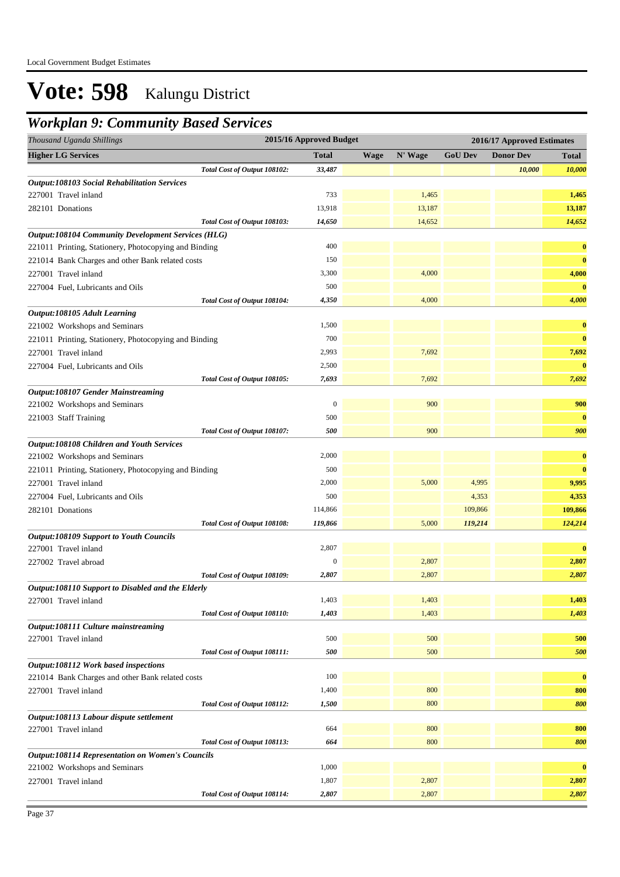### *Workplan 9: Community Based Services*

| Thousand Uganda Shillings                                                                |                              | 2015/16 Approved Budget |             |         |                | 2016/17 Approved Estimates |              |
|------------------------------------------------------------------------------------------|------------------------------|-------------------------|-------------|---------|----------------|----------------------------|--------------|
| <b>Higher LG Services</b>                                                                |                              | <b>Total</b>            | <b>Wage</b> | N' Wage | <b>GoU Dev</b> | <b>Donor Dev</b>           | <b>Total</b> |
|                                                                                          | Total Cost of Output 108102: | 33,487                  |             |         |                | 10,000                     | 10,000       |
| <b>Output:108103 Social Rehabilitation Services</b>                                      |                              |                         |             |         |                |                            |              |
| 227001 Travel inland                                                                     |                              | 733                     |             | 1,465   |                |                            | 1,465        |
| 282101 Donations                                                                         |                              | 13,918                  |             | 13,187  |                |                            | 13,187       |
|                                                                                          | Total Cost of Output 108103: | 14,650                  |             | 14,652  |                |                            | 14,652       |
| <b>Output:108104 Community Development Services (HLG)</b>                                |                              |                         |             |         |                |                            |              |
| 221011 Printing, Stationery, Photocopying and Binding                                    |                              | 400                     |             |         |                |                            | $\bf{0}$     |
| 221014 Bank Charges and other Bank related costs                                         |                              | 150                     |             |         |                |                            | $\bf{0}$     |
| 227001 Travel inland                                                                     |                              | 3,300                   |             | 4,000   |                |                            | 4,000        |
| 227004 Fuel, Lubricants and Oils                                                         |                              | 500                     |             |         |                |                            | $\bf{0}$     |
|                                                                                          | Total Cost of Output 108104: | 4,350                   |             | 4,000   |                |                            | 4,000        |
| Output:108105 Adult Learning                                                             |                              |                         |             |         |                |                            |              |
| 221002 Workshops and Seminars                                                            |                              | 1,500                   |             |         |                |                            | $\bf{0}$     |
| 221011 Printing, Stationery, Photocopying and Binding                                    |                              | 700                     |             |         |                |                            | $\bf{0}$     |
| 227001 Travel inland                                                                     |                              | 2,993                   |             | 7,692   |                |                            | 7,692        |
| 227004 Fuel, Lubricants and Oils                                                         |                              | 2,500                   |             |         |                |                            | $\bf{0}$     |
|                                                                                          | Total Cost of Output 108105: | 7,693                   |             | 7,692   |                |                            | 7,692        |
| <b>Output:108107 Gender Mainstreaming</b>                                                |                              |                         |             |         |                |                            |              |
| 221002 Workshops and Seminars                                                            |                              | $\boldsymbol{0}$        |             | 900     |                |                            | 900          |
| 221003 Staff Training                                                                    |                              | 500                     |             |         |                |                            | $\bf{0}$     |
|                                                                                          | Total Cost of Output 108107: | 500                     |             | 900     |                |                            | 900          |
| Output:108108 Children and Youth Services                                                |                              |                         |             |         |                |                            |              |
| 221002 Workshops and Seminars                                                            |                              | 2,000                   |             |         |                |                            | $\bf{0}$     |
| 221011 Printing, Stationery, Photocopying and Binding                                    |                              | 500                     |             |         |                |                            | $\bf{0}$     |
| 227001 Travel inland                                                                     |                              | 2,000                   |             | 5,000   | 4,995          |                            | 9,995        |
| 227004 Fuel, Lubricants and Oils                                                         |                              | 500                     |             |         | 4,353          |                            | 4,353        |
| 282101 Donations                                                                         |                              | 114,866                 |             |         | 109,866        |                            | 109,866      |
|                                                                                          | Total Cost of Output 108108: | 119,866                 |             | 5,000   | 119,214        |                            | 124,214      |
| <b>Output:108109 Support to Youth Councils</b>                                           |                              |                         |             |         |                |                            |              |
| 227001 Travel inland                                                                     |                              | 2,807                   |             |         |                |                            | $\bf{0}$     |
| 227002 Travel abroad                                                                     |                              | $\mathbf{0}$            |             | 2,807   |                |                            | 2,807        |
|                                                                                          | Total Cost of Output 108109: | 2,807                   |             | 2,807   |                |                            | 2,807        |
| Output:108110 Support to Disabled and the Elderly                                        |                              |                         |             |         |                |                            |              |
| 227001 Travel inland                                                                     |                              | 1,403                   |             | 1,403   |                |                            | 1,403        |
|                                                                                          | Total Cost of Output 108110: | 1,403                   |             | 1,403   |                |                            | 1,403        |
| Output:108111 Culture mainstreaming                                                      |                              |                         |             |         |                |                            |              |
| 227001 Travel inland                                                                     |                              | 500                     |             | 500     |                |                            | 500          |
|                                                                                          | Total Cost of Output 108111: | 500                     |             | 500     |                |                            | 500          |
| Output:108112 Work based inspections                                                     |                              |                         |             |         |                |                            |              |
| 221014 Bank Charges and other Bank related costs                                         |                              | 100                     |             |         |                |                            | $\bf{0}$     |
| 227001 Travel inland                                                                     |                              | 1,400                   |             | 800     |                |                            | 800          |
|                                                                                          | Total Cost of Output 108112: | 1,500                   |             | 800     |                |                            | 800          |
| Output:108113 Labour dispute settlement                                                  |                              |                         |             |         |                |                            |              |
| 227001 Travel inland                                                                     |                              | 664                     |             | 800     |                |                            | 800          |
|                                                                                          | Total Cost of Output 108113: | 664                     |             | 800     |                |                            | 800          |
| <b>Output:108114 Representation on Women's Councils</b><br>221002 Workshops and Seminars |                              | 1,000                   |             |         |                |                            | $\bf{0}$     |
| 227001 Travel inland                                                                     |                              | 1,807                   |             | 2,807   |                |                            | 2,807        |
|                                                                                          |                              |                         |             |         |                |                            | 2,807        |
|                                                                                          | Total Cost of Output 108114: | 2,807                   |             | 2,807   |                |                            |              |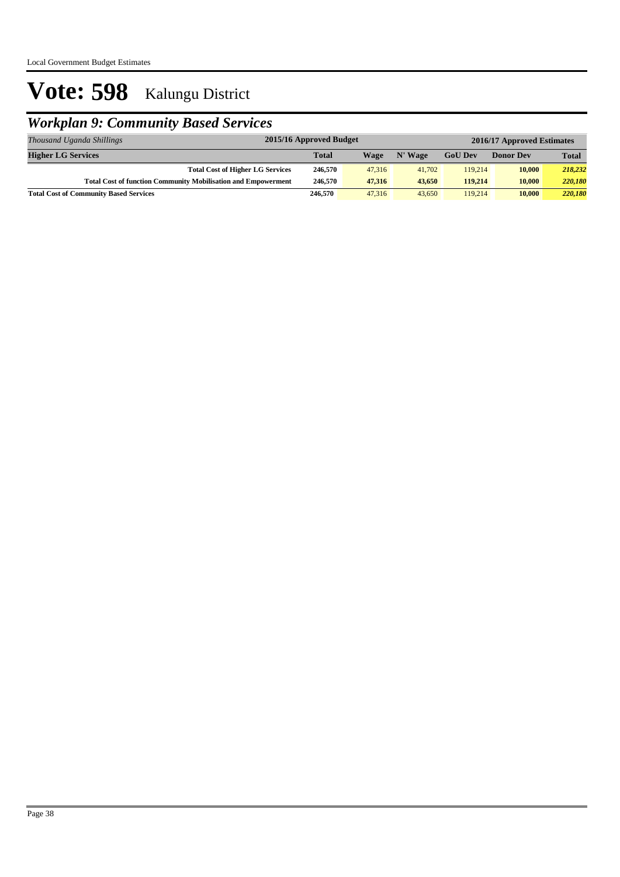### *Workplan 9: Community Based Services*

| Thousand Uganda Shillings                                            | 2015/16 Approved Budget |        |         |                | 2016/17 Approved Estimates |              |  |  |
|----------------------------------------------------------------------|-------------------------|--------|---------|----------------|----------------------------|--------------|--|--|
| <b>Higher LG Services</b>                                            | <b>Total</b>            | Wage   | N' Wage | <b>GoU Dev</b> | <b>Donor Dev</b>           | <b>Total</b> |  |  |
| <b>Total Cost of Higher LG Services</b>                              | 246,570                 | 47,316 | 41,702  | 119,214        | 10,000                     | 218,232      |  |  |
| <b>Total Cost of function Community Mobilisation and Empowerment</b> | 246,570                 | 47.316 | 43,650  | 119,214        | 10.000                     | 220,180      |  |  |
| <b>Total Cost of Community Based Services</b>                        | 246,570                 | 47,316 | 43,650  | 119,214        | 10,000                     | 220,180      |  |  |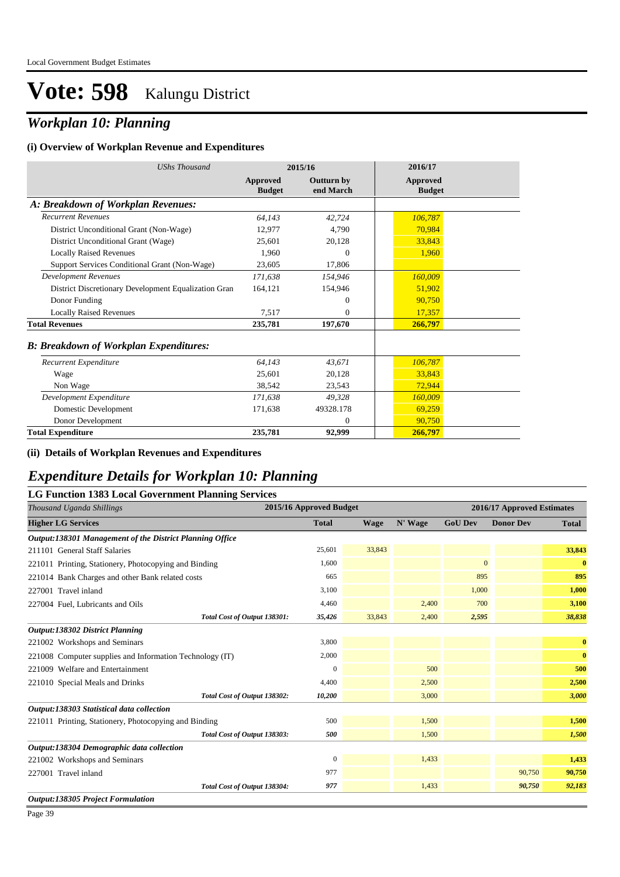### *Workplan 10: Planning*

#### **(i) Overview of Workplan Revenue and Expenditures**

| <b>UShs Thousand</b>                                 |                           | 2015/16                        | 2016/17                          |
|------------------------------------------------------|---------------------------|--------------------------------|----------------------------------|
|                                                      | Approved<br><b>Budget</b> | <b>Outturn by</b><br>end March | <b>Approved</b><br><b>Budget</b> |
| A: Breakdown of Workplan Revenues:                   |                           |                                |                                  |
| <b>Recurrent Revenues</b>                            | 64,143                    | 42.724                         | 106,787                          |
| District Unconditional Grant (Non-Wage)              | 12,977                    | 4,790                          | 70,984                           |
| District Unconditional Grant (Wage)                  | 25,601                    | 20,128                         | 33,843                           |
| <b>Locally Raised Revenues</b>                       | 1,960                     | $\Omega$                       | 1,960                            |
| Support Services Conditional Grant (Non-Wage)        | 23,605                    | 17,806                         |                                  |
| <b>Development Revenues</b>                          | 171,638                   | 154,946                        | 160,009                          |
| District Discretionary Development Equalization Gran | 164,121                   | 154,946                        | 51,902                           |
| Donor Funding                                        |                           | $\theta$                       | 90,750                           |
| <b>Locally Raised Revenues</b>                       | 7.517                     | $\Omega$                       | 17,357                           |
| <b>Total Revenues</b>                                | 235,781                   | 197,670                        | 266,797                          |
| <b>B: Breakdown of Workplan Expenditures:</b>        |                           |                                |                                  |
| Recurrent Expenditure                                | 64,143                    | 43.671                         | 106,787                          |
| Wage                                                 | 25,601                    | 20,128                         | 33,843                           |
| Non Wage                                             | 38,542                    | 23,543                         | 72,944                           |
| Development Expenditure                              | 171,638                   | 49,328                         | 160,009                          |
| Domestic Development                                 | 171.638                   | 49328.178                      | 69,259                           |
| Donor Development                                    |                           | $\mathbf{0}$                   | 90,750                           |
| <b>Total Expenditure</b>                             | 235,781                   | 92,999                         | 266,797                          |

**(ii) Details of Workplan Revenues and Expenditures**

### *Expenditure Details for Workplan 10: Planning*

| <b>LG Function 1383 Local Government Planning Services</b> |                         |             |         |                            |                  |              |
|------------------------------------------------------------|-------------------------|-------------|---------|----------------------------|------------------|--------------|
| Thousand Uganda Shillings                                  | 2015/16 Approved Budget |             |         | 2016/17 Approved Estimates |                  |              |
| <b>Higher LG Services</b>                                  | <b>Total</b>            | <b>Wage</b> | N' Wage | <b>GoU Dev</b>             | <b>Donor Dev</b> | <b>Total</b> |
| Output:138301 Management of the District Planning Office   |                         |             |         |                            |                  |              |
| 211101 General Staff Salaries                              | 25,601                  | 33,843      |         |                            |                  | 33,843       |
| 221011 Printing, Stationery, Photocopying and Binding      | 1,600                   |             |         | $\mathbf{0}$               |                  | $\bf{0}$     |
| 221014 Bank Charges and other Bank related costs           | 665                     |             |         | 895                        |                  | 895          |
| 227001 Travel inland                                       | 3,100                   |             |         | 1,000                      |                  | 1,000        |
| 227004 Fuel, Lubricants and Oils                           | 4,460                   |             | 2,400   | 700                        |                  | 3,100        |
| Total Cost of Output 138301:                               | 35,426                  | 33,843      | 2,400   | 2,595                      |                  | 38,838       |
| Output:138302 District Planning                            |                         |             |         |                            |                  |              |
| 221002 Workshops and Seminars                              | 3,800                   |             |         |                            |                  | $\bf{0}$     |
| 221008 Computer supplies and Information Technology (IT)   | 2,000                   |             |         |                            |                  | $\bf{0}$     |
| 221009 Welfare and Entertainment                           | $\mathbf{0}$            |             | 500     |                            |                  | 500          |
| 221010 Special Meals and Drinks                            | 4,400                   |             | 2,500   |                            |                  | 2,500        |
| Total Cost of Output 138302:                               | 10,200                  |             | 3,000   |                            |                  | 3,000        |
| Output:138303 Statistical data collection                  |                         |             |         |                            |                  |              |
| 221011 Printing, Stationery, Photocopying and Binding      | 500                     |             | 1,500   |                            |                  | 1,500        |
| Total Cost of Output 138303:                               | 500                     |             | 1,500   |                            |                  | 1,500        |
| Output:138304 Demographic data collection                  |                         |             |         |                            |                  |              |
| 221002 Workshops and Seminars                              | $\boldsymbol{0}$        |             | 1,433   |                            |                  | 1,433        |
| 227001 Travel inland                                       | 977                     |             |         |                            | 90,750           | 90,750       |
| Total Cost of Output 138304:                               | 977                     |             | 1.433   |                            | 90,750           | 92,183       |
| <b>Output:138305 Project Formulation</b>                   |                         |             |         |                            |                  |              |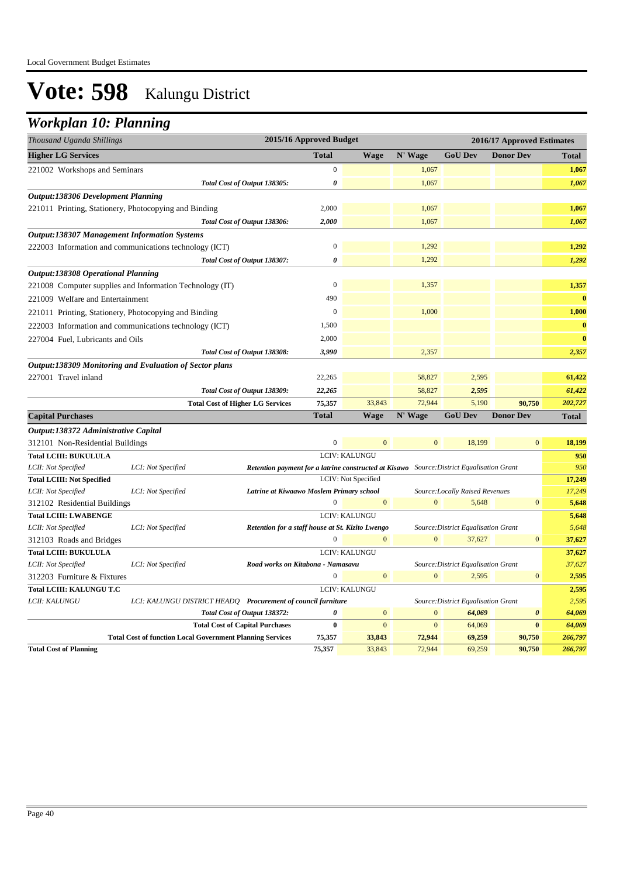### *Workplan 10: Planning*

| 2015/16 Approved Budget<br>Thousand Uganda Shillings |                                                                  |                                                                                           |                  |                      | 2016/17 Approved Estimates |                                     |                       |                    |
|------------------------------------------------------|------------------------------------------------------------------|-------------------------------------------------------------------------------------------|------------------|----------------------|----------------------------|-------------------------------------|-----------------------|--------------------|
| <b>Higher LG Services</b>                            |                                                                  |                                                                                           | <b>Total</b>     | <b>Wage</b>          | N' Wage                    | <b>GoU Dev</b>                      | <b>Donor Dev</b>      | <b>Total</b>       |
| 221002 Workshops and Seminars                        |                                                                  |                                                                                           | $\boldsymbol{0}$ |                      | 1,067                      |                                     |                       | 1,067              |
|                                                      |                                                                  | Total Cost of Output 138305:                                                              | 0                |                      | 1,067                      |                                     |                       | 1,067              |
| <b>Output:138306 Development Planning</b>            |                                                                  |                                                                                           |                  |                      |                            |                                     |                       |                    |
|                                                      | 221011 Printing, Stationery, Photocopying and Binding            |                                                                                           | 2,000            |                      | 1,067                      |                                     |                       | 1,067              |
|                                                      |                                                                  | Total Cost of Output 138306:                                                              | 2,000            |                      | 1,067                      |                                     |                       | 1,067              |
| <b>Output:138307 Management Information Systems</b>  |                                                                  |                                                                                           |                  |                      |                            |                                     |                       |                    |
|                                                      | 222003 Information and communications technology (ICT)           |                                                                                           | $\mathbf{0}$     |                      | 1,292                      |                                     |                       | 1,292              |
|                                                      |                                                                  | Total Cost of Output 138307:                                                              | 0                |                      | 1,292                      |                                     |                       | 1,292              |
| <b>Output:138308 Operational Planning</b>            |                                                                  |                                                                                           |                  |                      |                            |                                     |                       |                    |
|                                                      | 221008 Computer supplies and Information Technology (IT)         |                                                                                           | $\boldsymbol{0}$ |                      | 1,357                      |                                     |                       | 1,357              |
| 221009 Welfare and Entertainment                     |                                                                  |                                                                                           | 490              |                      |                            |                                     |                       | $\bf{0}$           |
|                                                      | 221011 Printing, Stationery, Photocopying and Binding            |                                                                                           | $\mathbf{0}$     |                      | 1,000                      |                                     |                       | 1,000              |
|                                                      | 222003 Information and communications technology (ICT)           |                                                                                           | 1,500            |                      |                            |                                     |                       | $\bf{0}$           |
| 227004 Fuel, Lubricants and Oils                     |                                                                  |                                                                                           | 2,000            |                      |                            |                                     |                       | $\bf{0}$           |
|                                                      |                                                                  | Total Cost of Output 138308:                                                              | 3,990            |                      | 2,357                      |                                     |                       | 2,357              |
|                                                      | Output:138309 Monitoring and Evaluation of Sector plans          |                                                                                           |                  |                      |                            |                                     |                       |                    |
| 227001 Travel inland                                 |                                                                  |                                                                                           | 22,265           |                      | 58,827                     | 2,595                               |                       | 61,422             |
|                                                      |                                                                  | Total Cost of Output 138309:                                                              | 22,265           |                      | 58,827                     | 2,595                               |                       | 61,422             |
|                                                      |                                                                  | <b>Total Cost of Higher LG Services</b>                                                   | 75,357           | 33,843               | 72,944                     | 5,190                               | 90,750                | 202,727            |
| <b>Capital Purchases</b>                             |                                                                  |                                                                                           | <b>Total</b>     | <b>Wage</b>          | N' Wage                    | <b>GoU Dev</b>                      | <b>Donor Dev</b>      | <b>Total</b>       |
| Output:138372 Administrative Capital                 |                                                                  |                                                                                           |                  |                      |                            |                                     |                       |                    |
| 312101 Non-Residential Buildings                     |                                                                  |                                                                                           | $\overline{0}$   | $\mathbf{0}$         | $\mathbf{0}$               | 18,199                              | $\mathbf{0}$          | 18,199             |
| <b>Total LCIII: BUKULULA</b>                         |                                                                  |                                                                                           |                  | LCIV: KALUNGU        |                            |                                     |                       | 950                |
| LCII: Not Specified                                  | LCI: Not Specified                                               | Retention payment for a latrine constructed at Kisawo Source: District Equalisation Grant |                  |                      |                            |                                     |                       | 950                |
| <b>Total LCIII: Not Specified</b>                    |                                                                  |                                                                                           |                  | LCIV: Not Specified  |                            |                                     |                       | 17,249             |
| LCII: Not Specified                                  | LCI: Not Specified                                               | Latrine at Kiwaawo Moslem Primary school                                                  |                  |                      |                            | Source: Locally Raised Revenues     |                       | 17,249             |
| 312102 Residential Buildings                         |                                                                  |                                                                                           | $\boldsymbol{0}$ | $\mathbf{0}$         | $\Omega$                   | 5,648                               | $\overline{0}$        | 5,648              |
| <b>Total LCIII: LWABENGE</b>                         |                                                                  |                                                                                           |                  | <b>LCIV: KALUNGU</b> |                            |                                     |                       | 5,648              |
| LCII: Not Specified                                  | LCI: Not Specified                                               | Retention for a staff house at St. Kizito Lwengo                                          |                  |                      |                            | Source: District Equalisation Grant |                       | 5,648              |
| 312103 Roads and Bridges                             |                                                                  |                                                                                           | $\mathbf 0$      | $\mathbf{0}$         | $\mathbf{0}$               | 37,627                              | $\mathbf{0}$          | 37,627             |
| <b>Total LCIII: BUKULULA</b>                         |                                                                  |                                                                                           |                  | LCIV: KALUNGU        |                            |                                     |                       | 37,627             |
| LCII: Not Specified                                  | LCI: Not Specified                                               | Road works on Kitabona - Namasavu                                                         |                  |                      |                            | Source: District Equalisation Grant |                       | 37,627             |
| 312203 Furniture & Fixtures                          |                                                                  |                                                                                           | $\Omega$         | $\mathbf{0}$         | $\mathbf{0}$               | 2,595                               | $\mathbf{0}$          | 2,595              |
| <b>Total LCIII: KALUNGU T.C</b>                      |                                                                  |                                                                                           |                  | LCIV: KALUNGU        |                            |                                     |                       | 2,595              |
| LCII: KALUNGU                                        |                                                                  | LCI: KALUNGU DISTRICT HEADQ Procurement of council furniture                              |                  |                      |                            | Source: District Equalisation Grant |                       | 2,595              |
|                                                      |                                                                  | Total Cost of Output 138372:                                                              | 0                | $\mathbf{0}$         | $\mathbf{0}$               | 64,069                              | $\boldsymbol{\theta}$ | 64,069             |
|                                                      |                                                                  | <b>Total Cost of Capital Purchases</b>                                                    | $\bf{0}$         | $\mathbf{0}$         | $\mathbf{0}$               | 64,069                              | $\bf{0}$              | 64,069             |
| <b>Total Cost of Planning</b>                        | <b>Total Cost of function Local Government Planning Services</b> |                                                                                           | 75,357<br>75,357 | 33,843<br>33,843     | 72,944<br>72,944           | 69,259<br>69,259                    | 90,750<br>90,750      | 266,797<br>266,797 |
|                                                      |                                                                  |                                                                                           |                  |                      |                            |                                     |                       |                    |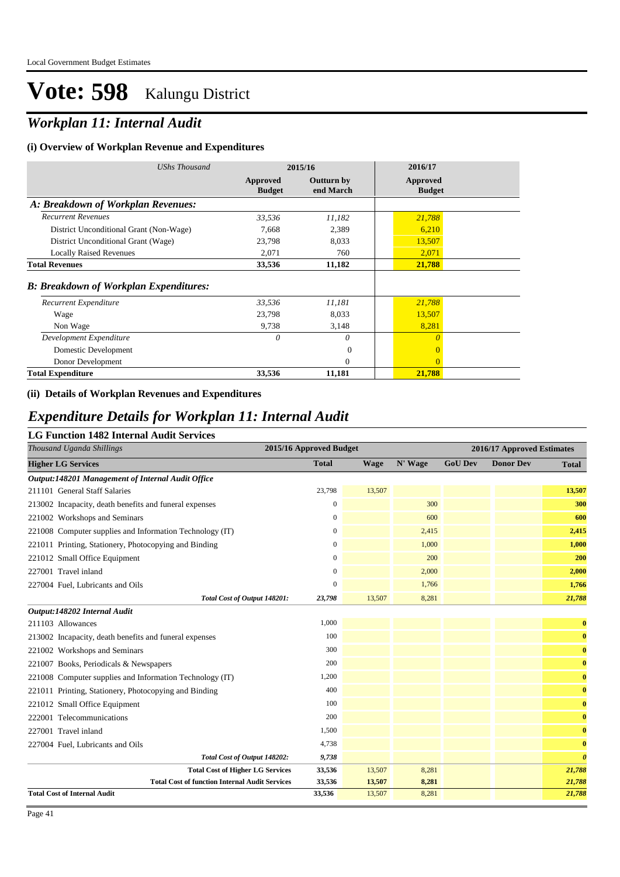### *Workplan 11: Internal Audit*

#### **(i) Overview of Workplan Revenue and Expenditures**

| <b>UShs Thousand</b>                          |                           | 2015/16                 | 2016/17                   |  |
|-----------------------------------------------|---------------------------|-------------------------|---------------------------|--|
|                                               | Approved<br><b>Budget</b> | Outturn by<br>end March | Approved<br><b>Budget</b> |  |
| A: Breakdown of Workplan Revenues:            |                           |                         |                           |  |
| <b>Recurrent Revenues</b>                     | 33,536                    | 11,182                  | 21,788                    |  |
| District Unconditional Grant (Non-Wage)       | 7,668                     | 2,389                   | 6,210                     |  |
| District Unconditional Grant (Wage)           | 23,798                    | 8,033                   | 13,507                    |  |
| <b>Locally Raised Revenues</b>                | 2,071                     | 760                     | 2,071                     |  |
| <b>Total Revenues</b>                         | 33,536                    | 11,182                  | 21,788                    |  |
| <b>B: Breakdown of Workplan Expenditures:</b> |                           |                         |                           |  |
| Recurrent Expenditure                         | 33,536                    | 11,181                  | 21,788                    |  |
| Wage                                          | 23,798                    | 8,033                   | 13,507                    |  |
| Non Wage                                      | 9,738                     | 3,148                   | 8,281                     |  |
| Development Expenditure                       | $\theta$                  | 0                       | $\theta$                  |  |
| Domestic Development                          |                           | $\Omega$                | $\overline{0}$            |  |
| Donor Development                             |                           | $\Omega$                | $\Omega$                  |  |
| <b>Total Expenditure</b>                      | 33,536                    | 11,181                  | 21,788                    |  |

#### **(ii) Details of Workplan Revenues and Expenditures**

#### *Expenditure Details for Workplan 11: Internal Audit*

#### **LG Function 1482 Internal Audit Services**

| Thousand Uganda Shillings                                | 2015/16 Approved Budget |             |         |                | 2016/17 Approved Estimates |                       |
|----------------------------------------------------------|-------------------------|-------------|---------|----------------|----------------------------|-----------------------|
| <b>Higher LG Services</b>                                | <b>Total</b>            | <b>Wage</b> | N' Wage | <b>GoU Dev</b> | <b>Donor Dev</b>           | <b>Total</b>          |
| Output:148201 Management of Internal Audit Office        |                         |             |         |                |                            |                       |
| 211101 General Staff Salaries                            | 23,798                  | 13,507      |         |                |                            | 13,507                |
| 213002 Incapacity, death benefits and funeral expenses   | $\mathbf{0}$            |             | 300     |                |                            | 300                   |
| 221002 Workshops and Seminars                            | $\mathbf{0}$            |             | 600     |                |                            | 600                   |
| 221008 Computer supplies and Information Technology (IT) | $\mathbf{0}$            |             | 2,415   |                |                            | 2,415                 |
| 221011 Printing, Stationery, Photocopying and Binding    | $\mathbf{0}$            |             | 1,000   |                |                            | 1,000                 |
| 221012 Small Office Equipment                            | $\mathbf{0}$            |             | 200     |                |                            | 200                   |
| 227001 Travel inland                                     | $\mathbf{0}$            |             | 2,000   |                |                            | 2,000                 |
| 227004 Fuel, Lubricants and Oils                         | $\mathbf{0}$            |             | 1,766   |                |                            | 1,766                 |
| Total Cost of Output 148201:                             | 23,798                  | 13,507      | 8,281   |                |                            | 21,788                |
| Output:148202 Internal Audit                             |                         |             |         |                |                            |                       |
| 211103 Allowances                                        | 1,000                   |             |         |                |                            | $\bf{0}$              |
| 213002 Incapacity, death benefits and funeral expenses   | 100                     |             |         |                |                            | $\bf{0}$              |
| 221002 Workshops and Seminars                            | 300                     |             |         |                |                            | $\bf{0}$              |
| 221007 Books, Periodicals & Newspapers                   | 200                     |             |         |                |                            | $\bf{0}$              |
| 221008 Computer supplies and Information Technology (IT) | 1,200                   |             |         |                |                            | $\mathbf{0}$          |
| 221011 Printing, Stationery, Photocopying and Binding    | 400                     |             |         |                |                            | $\mathbf{0}$          |
| 221012 Small Office Equipment                            | 100                     |             |         |                |                            | $\bf{0}$              |
| 222001 Telecommunications                                | 200                     |             |         |                |                            | $\bf{0}$              |
| 227001 Travel inland                                     | 1,500                   |             |         |                |                            | $\mathbf{0}$          |
| 227004 Fuel, Lubricants and Oils                         | 4,738                   |             |         |                |                            | $\bf{0}$              |
| Total Cost of Output 148202:                             | 9,738                   |             |         |                |                            | $\boldsymbol{\theta}$ |
| <b>Total Cost of Higher LG Services</b>                  | 33,536                  | 13,507      | 8,281   |                |                            | 21,788                |
| <b>Total Cost of function Internal Audit Services</b>    | 33,536                  | 13,507      | 8,281   |                |                            | 21,788                |
| <b>Total Cost of Internal Audit</b>                      | 33,536                  | 13,507      | 8,281   |                |                            | 21,788                |